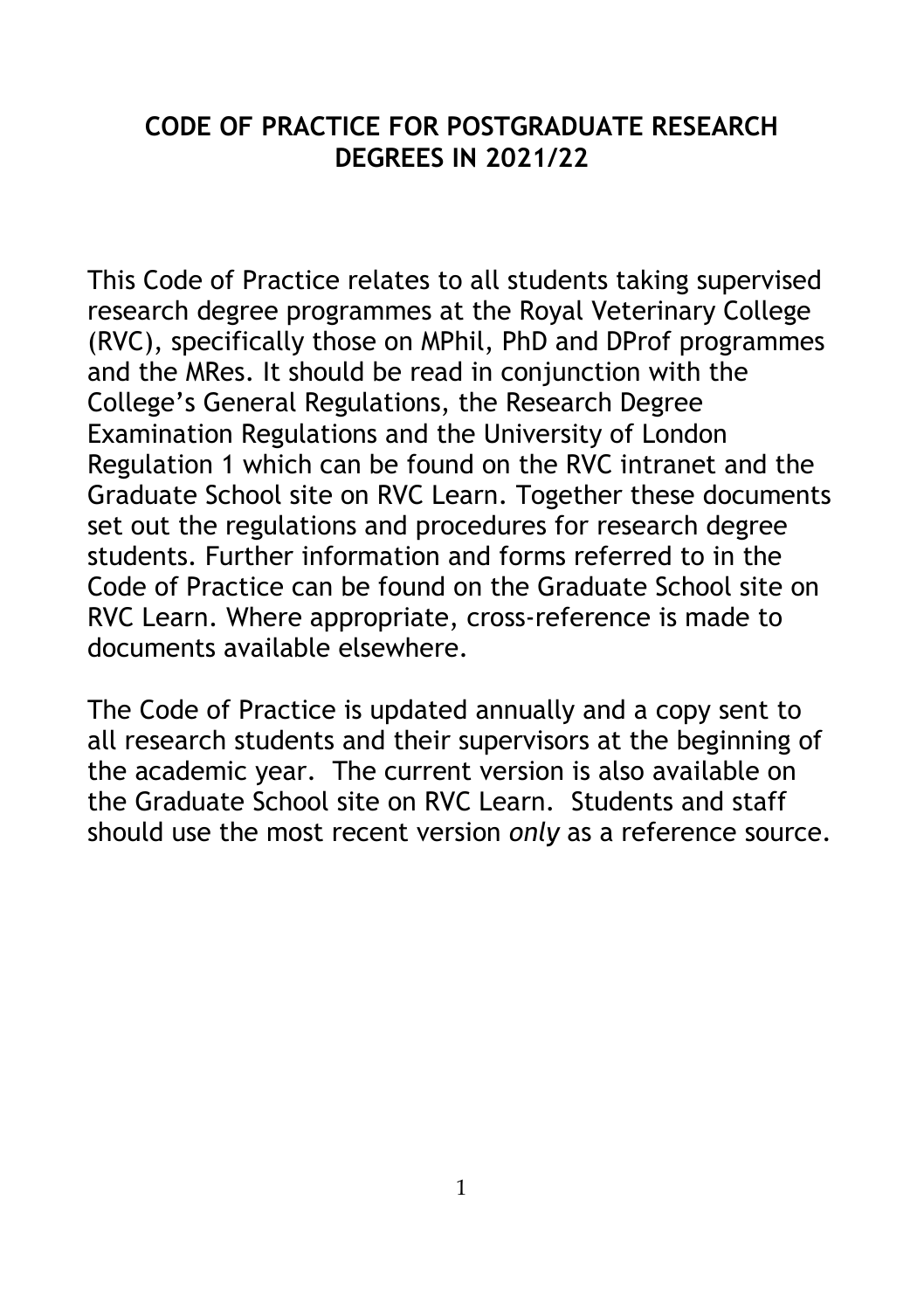#### **CODE OF PRACTICE FOR POSTGRADUATE RESEARCH DEGREES IN 2021/22**

This Code of Practice relates to all students taking supervised research degree programmes at the Royal Veterinary College (RVC), specifically those on MPhil, PhD and DProf programmes and the MRes. It should be read in conjunction with the College's General Regulations, the Research Degree Examination Regulations and the University of London Regulation 1 which can be found on the RVC intranet and the Graduate School site on RVC Learn. Together these documents set out the regulations and procedures for research degree students. Further information and forms referred to in the Code of Practice can be found on the Graduate School site on RVC Learn. Where appropriate, cross-reference is made to documents available elsewhere.

The Code of Practice is updated annually and a copy sent to all research students and their supervisors at the beginning of the academic year. The current version is also available on the Graduate School site on RVC Learn. Students and staff should use the most recent version *only* as a reference source.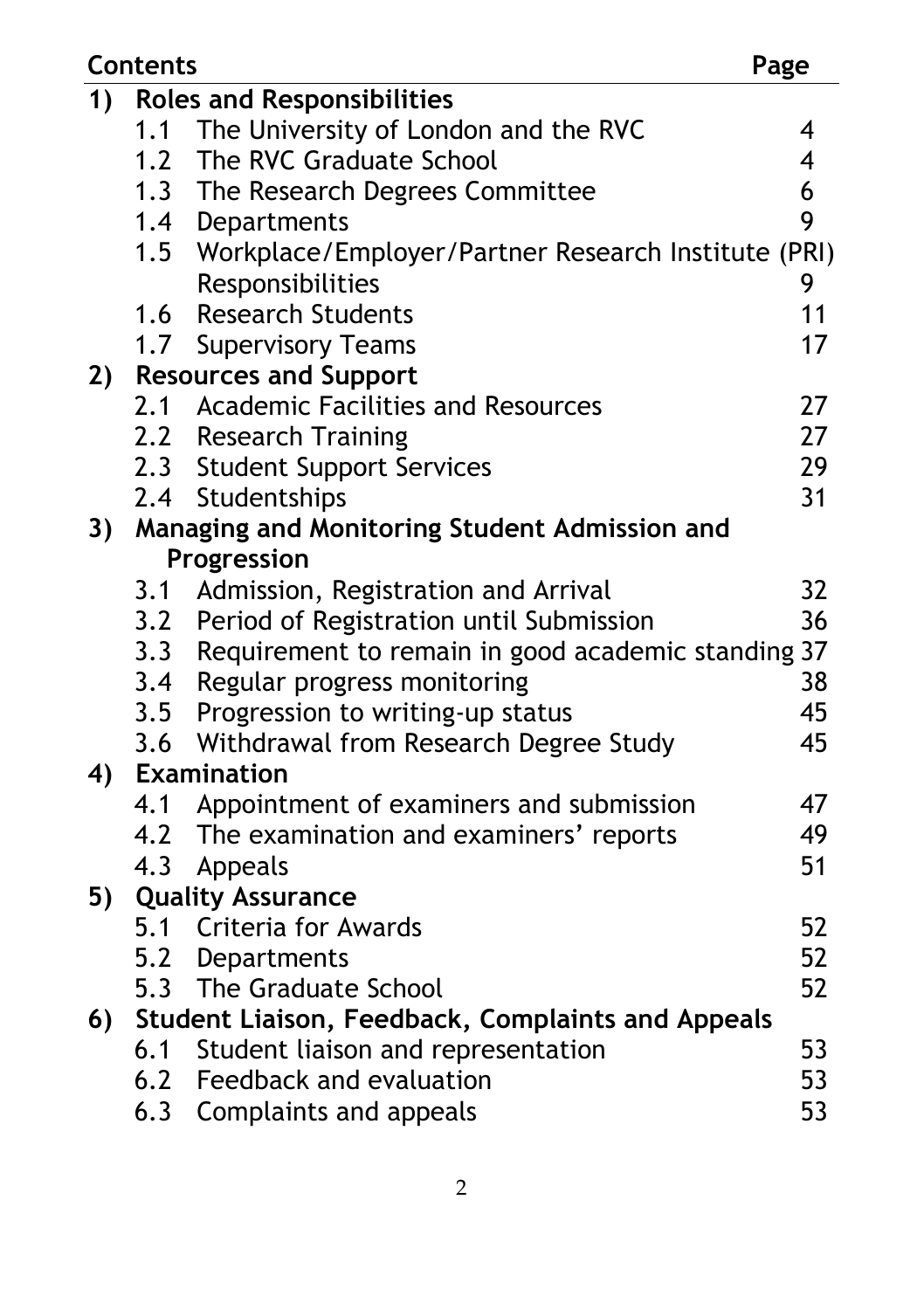| <b>Contents</b> |                                                   |                                                         | Page           |  |
|-----------------|---------------------------------------------------|---------------------------------------------------------|----------------|--|
| 1)              | <b>Roles and Responsibilities</b>                 |                                                         |                |  |
|                 | 1.1                                               | The University of London and the RVC                    | 4              |  |
|                 |                                                   | 1.2 The RVC Graduate School                             | $\overline{4}$ |  |
|                 |                                                   | 1.3 The Research Degrees Committee                      | 6              |  |
|                 |                                                   | 1.4 Departments                                         | 9              |  |
|                 |                                                   | 1.5 Workplace/Employer/Partner Research Institute (PRI) |                |  |
|                 |                                                   | Responsibilities                                        | 9              |  |
|                 |                                                   | 1.6 Research Students                                   | 11             |  |
|                 |                                                   | 1.7 Supervisory Teams                                   | 17             |  |
| 2)              | <b>Resources and Support</b>                      |                                                         |                |  |
|                 |                                                   | 2.1 Academic Facilities and Resources                   | 27             |  |
|                 |                                                   | 2.2 Research Training                                   | 27             |  |
|                 |                                                   | 2.3 Student Support Services                            | 29             |  |
|                 |                                                   | 2.4 Studentships                                        | 31             |  |
| 3)              | Managing and Monitoring Student Admission and     |                                                         |                |  |
|                 | Progression                                       |                                                         |                |  |
|                 | 3.1                                               | Admission, Registration and Arrival                     | 32             |  |
|                 |                                                   | 3.2 Period of Registration until Submission             | 36             |  |
|                 |                                                   | 3.3 Requirement to remain in good academic standing 37  |                |  |
|                 |                                                   | 3.4 Regular progress monitoring                         | 38             |  |
|                 |                                                   | 3.5 Progression to writing-up status                    | 45             |  |
|                 |                                                   | 3.6 Withdrawal from Research Degree Study               | 45             |  |
| 4)              |                                                   | <b>Examination</b>                                      |                |  |
|                 | 4.1                                               | Appointment of examiners and submission                 | 47             |  |
|                 |                                                   | 4.2 The examination and examiners' reports              | 49             |  |
|                 | 4.3                                               | Appeals                                                 | 51             |  |
| 5)              |                                                   | <b>Quality Assurance</b>                                |                |  |
|                 |                                                   | 5.1 Criteria for Awards                                 | 52             |  |
|                 |                                                   | 5.2 Departments                                         | 52             |  |
|                 |                                                   | 5.3 The Graduate School                                 | 52             |  |
| 6)              | Student Liaison, Feedback, Complaints and Appeals |                                                         |                |  |
|                 | 6.1                                               | Student liaison and representation                      | 53             |  |
|                 |                                                   | 6.2 Feedback and evaluation                             | 53             |  |
|                 | 6.3                                               | Complaints and appeals                                  | 53             |  |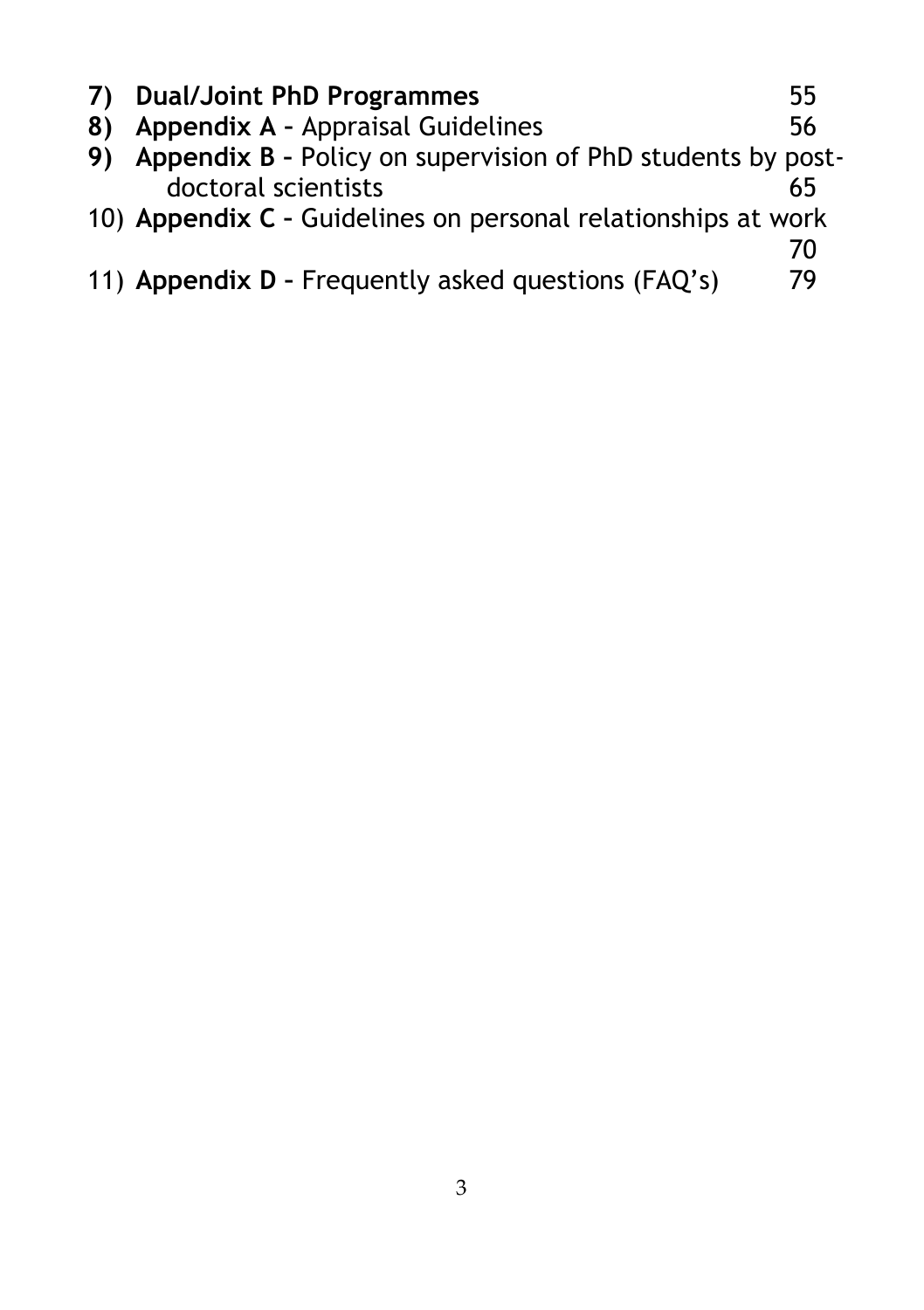|    | 7) Dual/Joint PhD Programmes                                   | 55 |
|----|----------------------------------------------------------------|----|
| 8) | Appendix A - Appraisal Guidelines                              | 56 |
|    | 9) Appendix B - Policy on supervision of PhD students by post- |    |
|    | doctoral scientists                                            | 65 |
|    | 10) Appendix C - Guidelines on personal relationships at work  |    |
|    |                                                                | 70 |
|    | 11) Appendix D - Frequently asked questions (FAQ's)            | 79 |
|    |                                                                |    |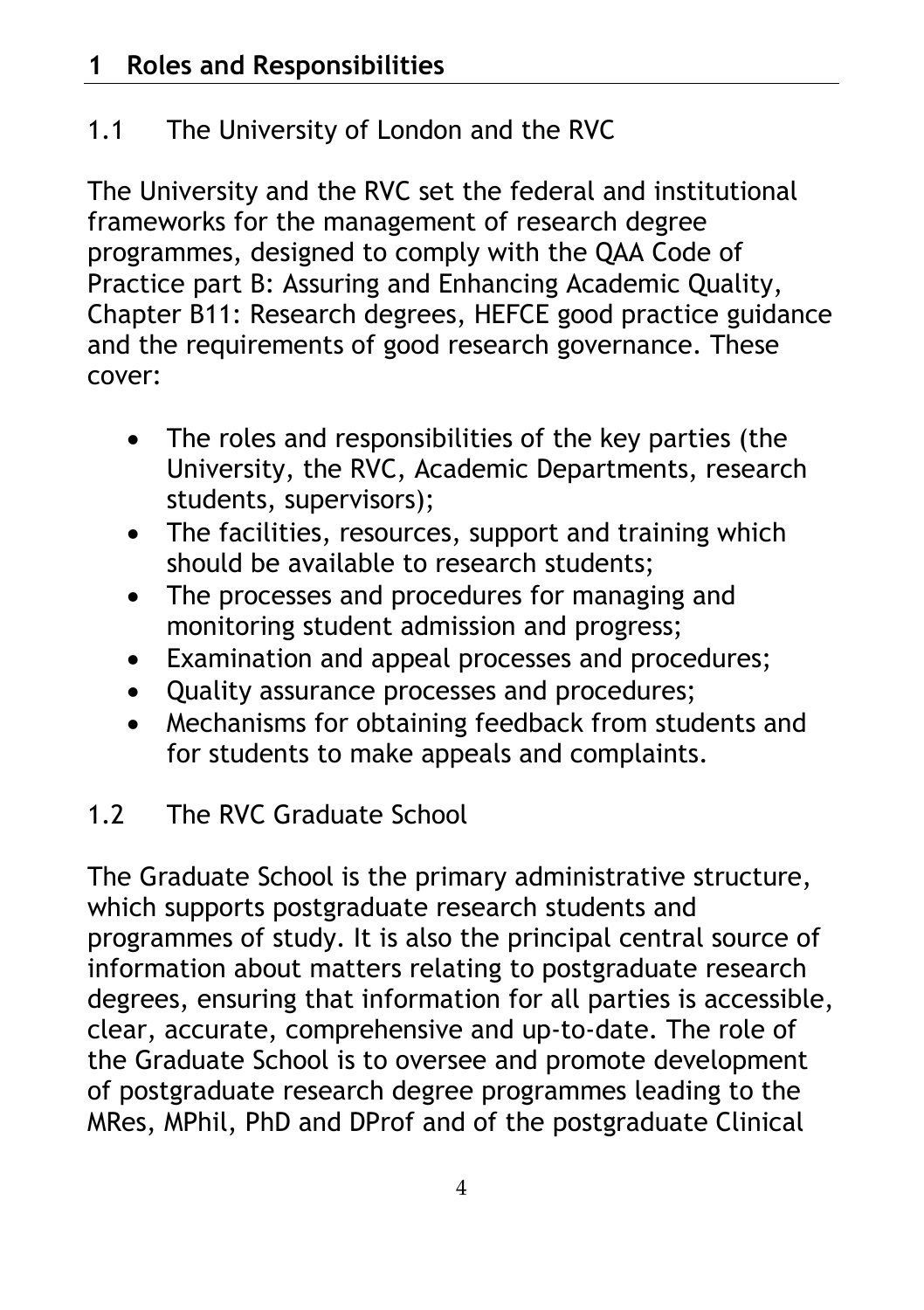# 1.1 The University of London and the RVC

The University and the RVC set the federal and institutional frameworks for the management of research degree programmes, designed to comply with the QAA Code of Practice part B: Assuring and Enhancing Academic Quality, Chapter B11: Research degrees, HEFCE good practice guidance and the requirements of good research governance. These cover:

- The roles and responsibilities of the key parties (the University, the RVC, Academic Departments, research students, supervisors);
- The facilities, resources, support and training which should be available to research students;
- The processes and procedures for managing and monitoring student admission and progress;
- Examination and appeal processes and procedures;
- Quality assurance processes and procedures;
- Mechanisms for obtaining feedback from students and for students to make appeals and complaints.

# 1.2 The RVC Graduate School

The Graduate School is the primary administrative structure, which supports postgraduate research students and programmes of study. It is also the principal central source of information about matters relating to postgraduate research degrees, ensuring that information for all parties is accessible, clear, accurate, comprehensive and up-to-date. The role of the Graduate School is to oversee and promote development of postgraduate research degree programmes leading to the MRes, MPhil, PhD and DProf and of the postgraduate Clinical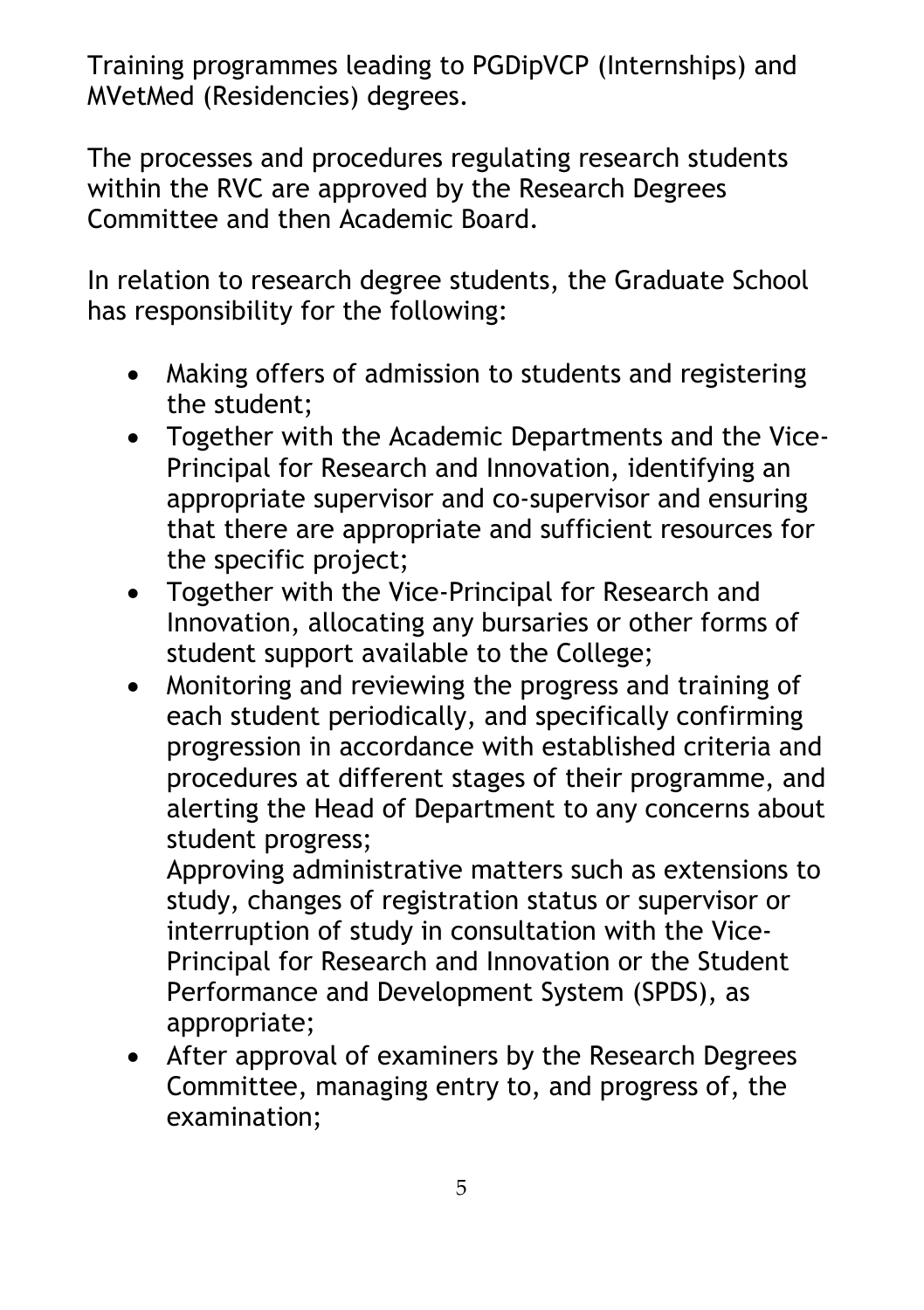Training programmes leading to PGDipVCP (Internships) and MVetMed (Residencies) degrees.

The processes and procedures regulating research students within the RVC are approved by the Research Degrees Committee and then Academic Board.

In relation to research degree students, the Graduate School has responsibility for the following:

- Making offers of admission to students and registering the student;
- Together with the Academic Departments and the Vice-Principal for Research and Innovation, identifying an appropriate supervisor and co-supervisor and ensuring that there are appropriate and sufficient resources for the specific project;
- Together with the Vice-Principal for Research and Innovation, allocating any bursaries or other forms of student support available to the College;
- Monitoring and reviewing the progress and training of each student periodically, and specifically confirming progression in accordance with established criteria and procedures at different stages of their programme, and alerting the Head of Department to any concerns about student progress;

Approving administrative matters such as extensions to study, changes of registration status or supervisor or interruption of study in consultation with the Vice-Principal for Research and Innovation or the Student Performance and Development System (SPDS), as appropriate;

• After approval of examiners by the Research Degrees Committee, managing entry to, and progress of, the examination;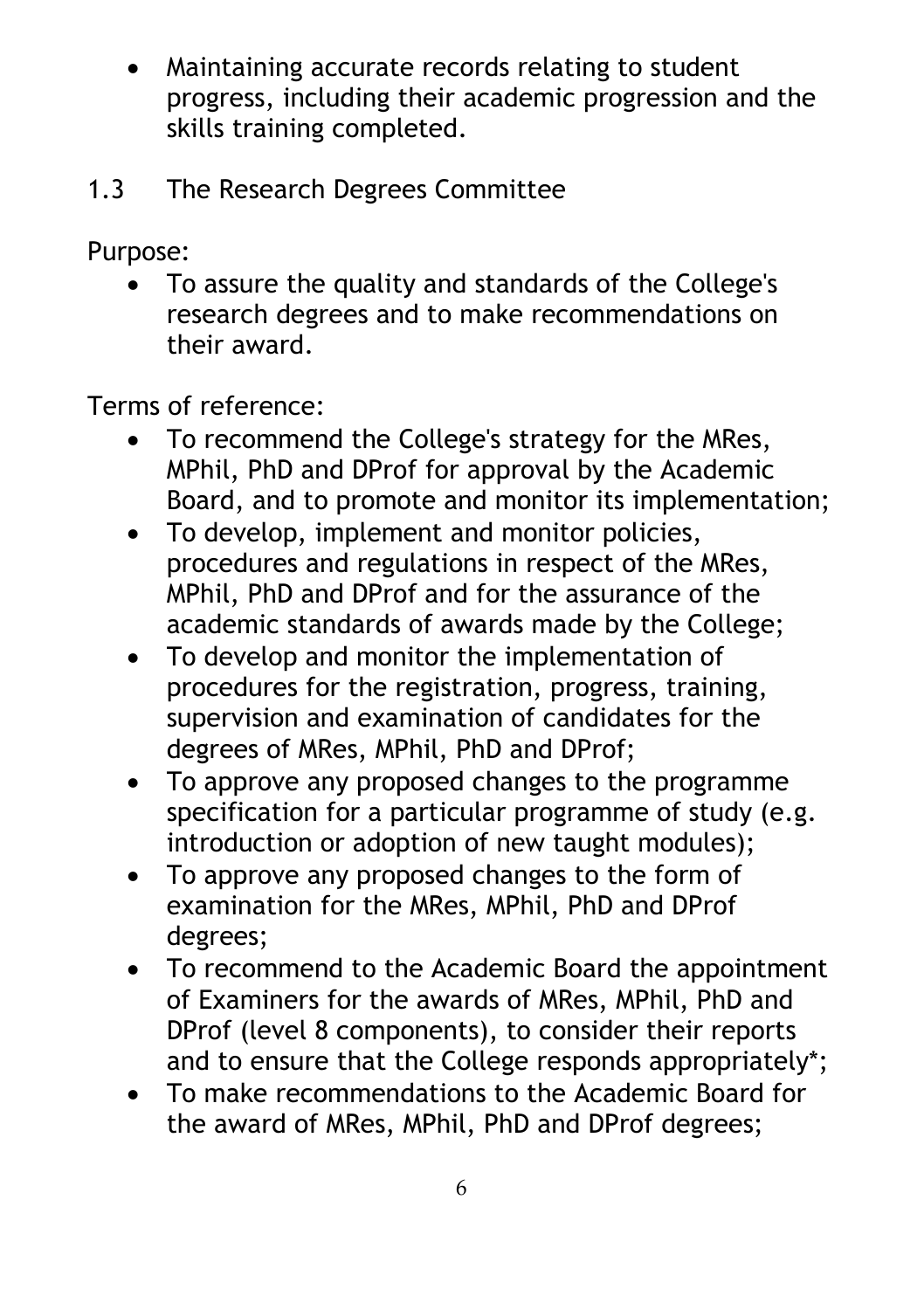- Maintaining accurate records relating to student progress, including their academic progression and the skills training completed.
- 1.3 The Research Degrees Committee

Purpose:

• To assure the quality and standards of the College's research degrees and to make recommendations on their award.

Terms of reference:

- To recommend the College's strategy for the MRes, MPhil, PhD and DProf for approval by the Academic Board, and to promote and monitor its implementation;
- To develop, implement and monitor policies, procedures and regulations in respect of the MRes, MPhil, PhD and DProf and for the assurance of the academic standards of awards made by the College;
- To develop and monitor the implementation of procedures for the registration, progress, training, supervision and examination of candidates for the degrees of MRes, MPhil, PhD and DProf;
- To approve any proposed changes to the programme specification for a particular programme of study (e.g. introduction or adoption of new taught modules);
- To approve any proposed changes to the form of examination for the MRes, MPhil, PhD and DProf degrees;
- To recommend to the Academic Board the appointment of Examiners for the awards of MRes, MPhil, PhD and DProf (level 8 components), to consider their reports and to ensure that the College responds appropriately\*;
- To make recommendations to the Academic Board for the award of MRes, MPhil, PhD and DProf degrees;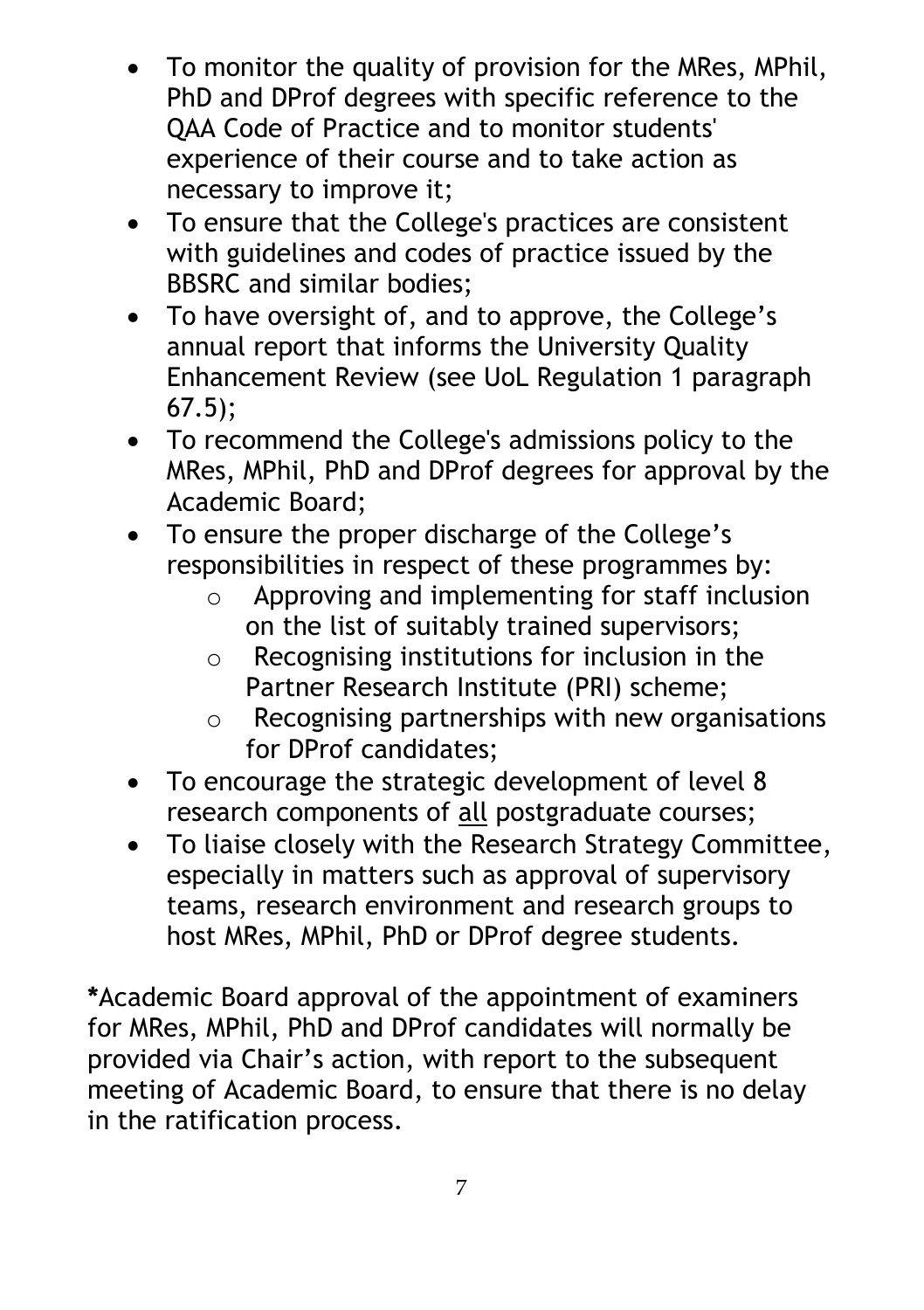- To monitor the quality of provision for the MRes, MPhil, PhD and DProf degrees with specific reference to the QAA Code of Practice and to monitor students' experience of their course and to take action as necessary to improve it;
- To ensure that the College's practices are consistent with guidelines and codes of practice issued by the BBSRC and similar bodies;
- To have oversight of, and to approve, the College's annual report that informs the University Quality Enhancement Review (see UoL Regulation 1 paragraph 67.5);
- To recommend the College's admissions policy to the MRes, MPhil, PhD and DProf degrees for approval by the Academic Board;
- To ensure the proper discharge of the College's responsibilities in respect of these programmes by:
	- o Approving and implementing for staff inclusion on the list of suitably trained supervisors;
	- o Recognising institutions for inclusion in the Partner Research Institute (PRI) scheme;
	- o Recognising partnerships with new organisations for DProf candidates;
- To encourage the strategic development of level 8 research components of all postgraduate courses;
- To liaise closely with the Research Strategy Committee, especially in matters such as approval of supervisory teams, research environment and research groups to host MRes, MPhil, PhD or DProf degree students.

**\***Academic Board approval of the appointment of examiners for MRes, MPhil, PhD and DProf candidates will normally be provided via Chair's action, with report to the subsequent meeting of Academic Board, to ensure that there is no delay in the ratification process.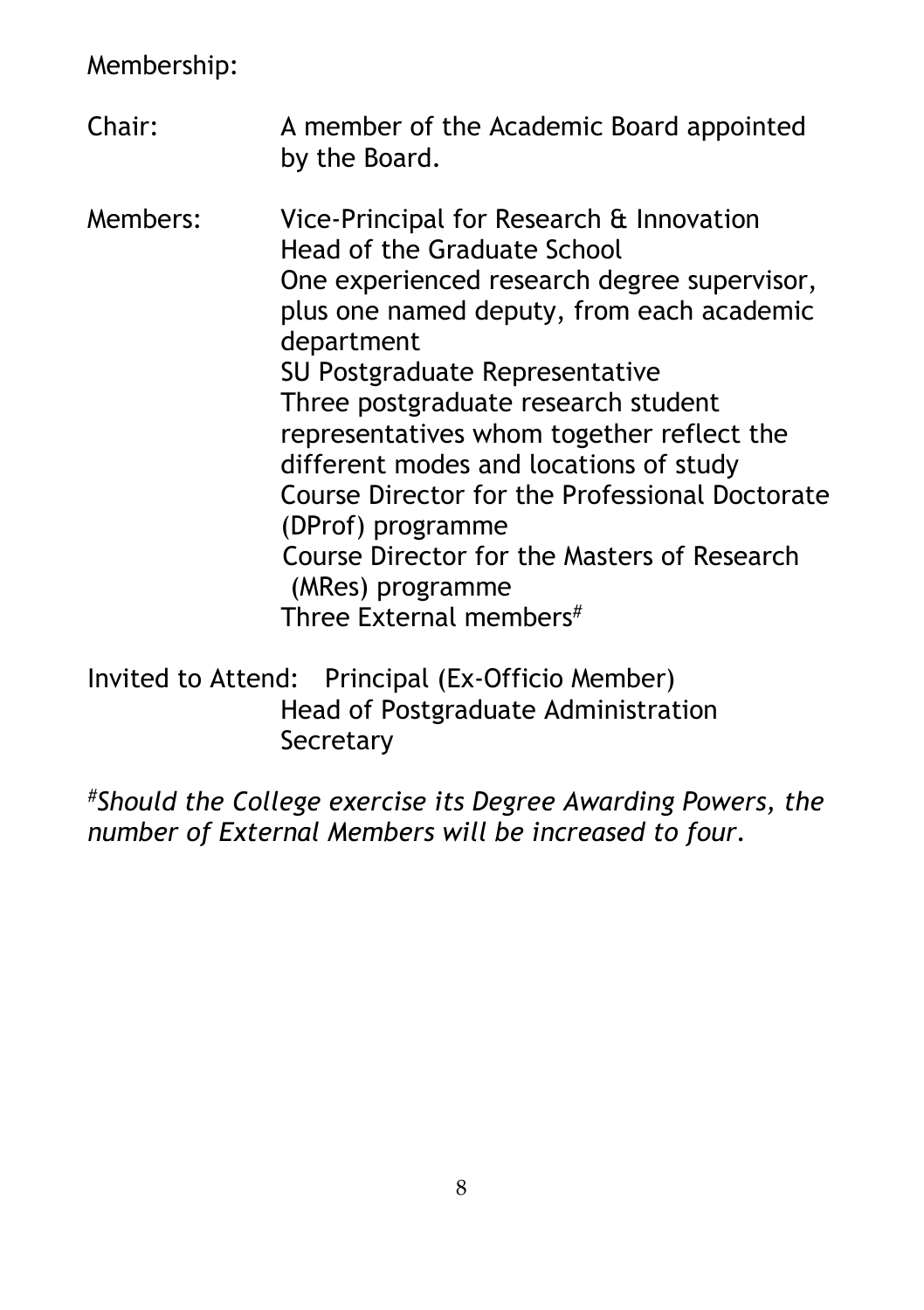Membership:

Chair: A member of the Academic Board appointed by the Board. Members: Vice-Principal for Research & Innovation Head of the Graduate School One experienced research degree supervisor, plus one named deputy, from each academic department SU Postgraduate Representative Three postgraduate research student representatives whom together reflect the different modes and locations of study Course Director for the Professional Doctorate (DProf) programme Course Director for the Masters of Research (MRes) programme Three External members#

Invited to Attend: Principal (Ex-Officio Member) Head of Postgraduate Administration **Secretary** 

*#Should the College exercise its Degree Awarding Powers, the number of External Members will be increased to four.*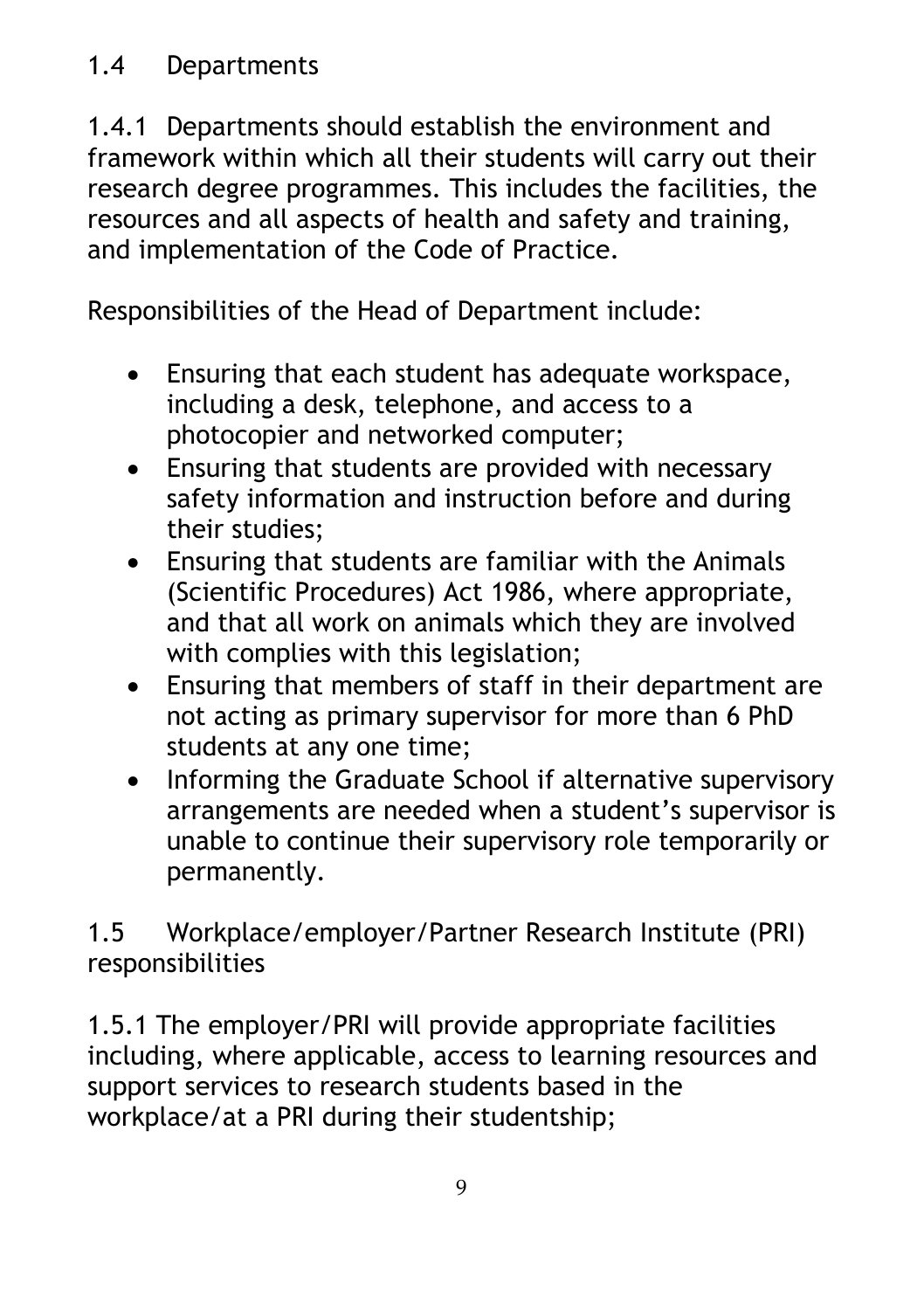1.4.1 Departments should establish the environment and framework within which all their students will carry out their research degree programmes. This includes the facilities, the resources and all aspects of health and safety and training, and implementation of the Code of Practice.

Responsibilities of the Head of Department include:

- Ensuring that each student has adequate workspace, including a desk, telephone, and access to a photocopier and networked computer;
- Ensuring that students are provided with necessary safety information and instruction before and during their studies;
- Ensuring that students are familiar with the Animals (Scientific Procedures) Act 1986, where appropriate, and that all work on animals which they are involved with complies with this legislation;
- Ensuring that members of staff in their department are not acting as primary supervisor for more than 6 PhD students at any one time;
- Informing the Graduate School if alternative supervisory arrangements are needed when a student's supervisor is unable to continue their supervisory role temporarily or permanently.

1.5 Workplace/employer/Partner Research Institute (PRI) responsibilities

1.5.1 The employer/PRI will provide appropriate facilities including, where applicable, access to learning resources and support services to research students based in the workplace/at a PRI during their studentship;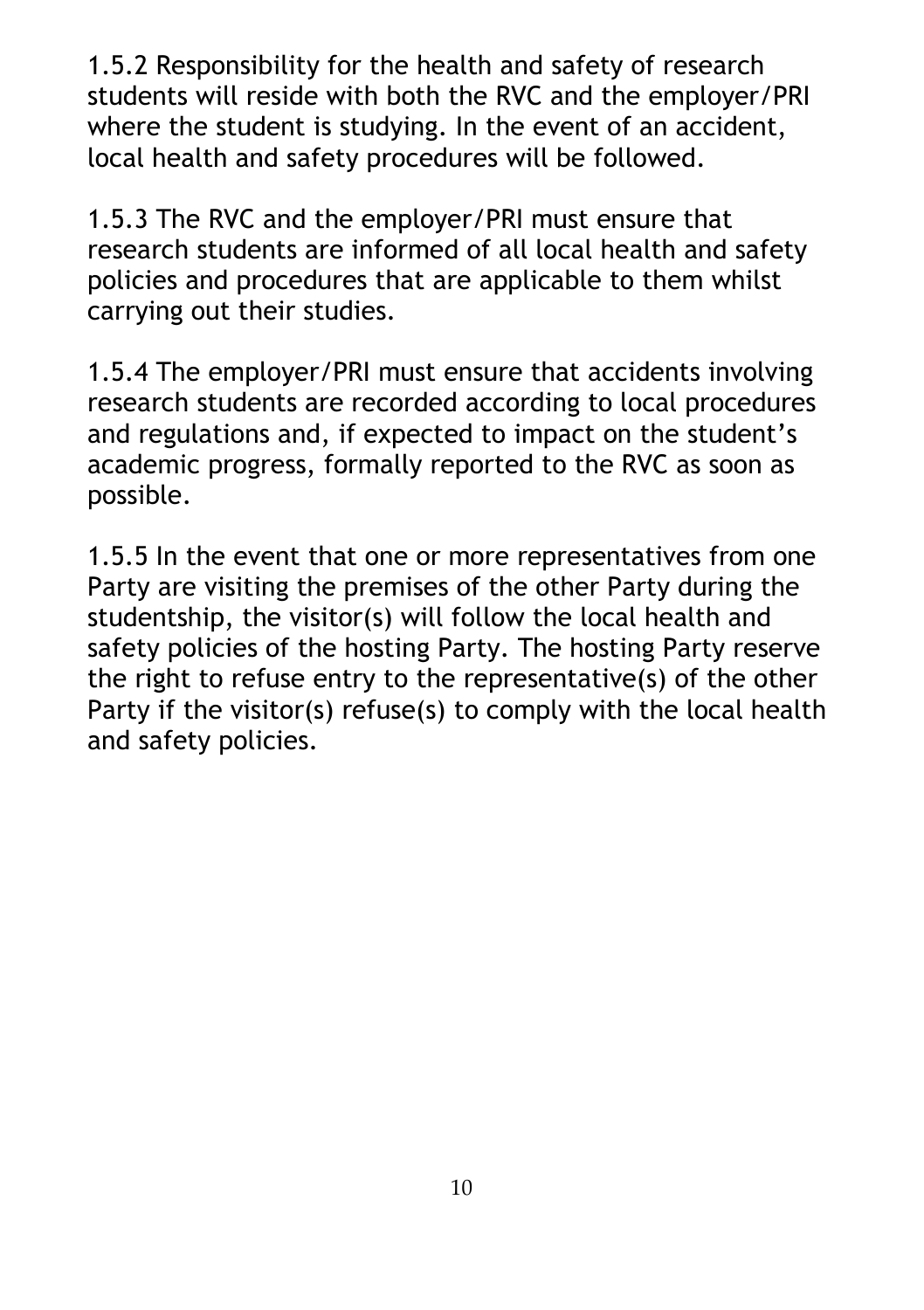1.5.2 Responsibility for the health and safety of research students will reside with both the RVC and the employer/PRI where the student is studying. In the event of an accident, local health and safety procedures will be followed.

1.5.3 The RVC and the employer/PRI must ensure that research students are informed of all local health and safety policies and procedures that are applicable to them whilst carrying out their studies.

1.5.4 The employer/PRI must ensure that accidents involving research students are recorded according to local procedures and regulations and, if expected to impact on the student's academic progress, formally reported to the RVC as soon as possible.

1.5.5 In the event that one or more representatives from one Party are visiting the premises of the other Party during the studentship, the visitor(s) will follow the local health and safety policies of the hosting Party. The hosting Party reserve the right to refuse entry to the representative(s) of the other Party if the visitor(s) refuse(s) to comply with the local health and safety policies.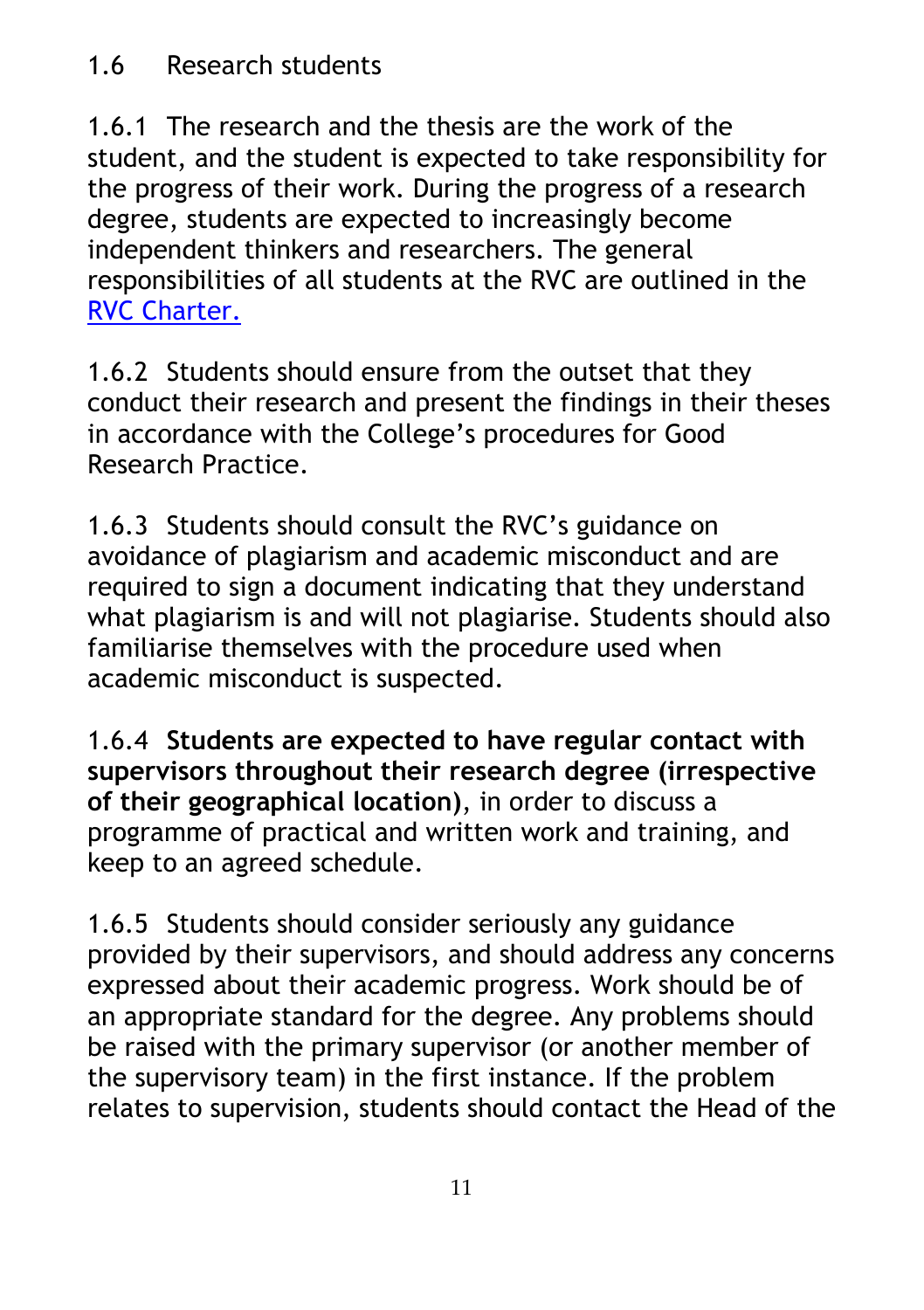### 1.6 Research students

1.6.1 The research and the thesis are the work of the student, and the student is expected to take responsibility for the progress of their work. During the progress of a research degree, students are expected to increasingly become independent thinkers and researchers. The general responsibilities of all students at the RVC are outlined in the [RVC Charter.](https://www.rvc.ac.uk/Media/Default/About/Academic%20Quality,%20Regulations%20and%20Procedures/General/THE%20ROYAL%20VETERINARY%20COLLEGE%20CHARTER.pdf)

1.6.2 Students should ensure from the outset that they conduct their research and present the findings in their theses in accordance with the College's procedures for Good Research Practice.

1.6.3 Students should consult the RVC's guidance on avoidance of plagiarism and academic misconduct and are required to sign a document indicating that they understand what plagiarism is and will not plagiarise. Students should also familiarise themselves with the procedure used when academic misconduct is suspected.

1.6.4 **Students are expected to have regular contact with supervisors throughout their research degree (irrespective of their geographical location)**, in order to discuss a programme of practical and written work and training, and keep to an agreed schedule.

1.6.5 Students should consider seriously any guidance provided by their supervisors, and should address any concerns expressed about their academic progress. Work should be of an appropriate standard for the degree. Any problems should be raised with the primary supervisor (or another member of the supervisory team) in the first instance. If the problem relates to supervision, students should contact the Head of the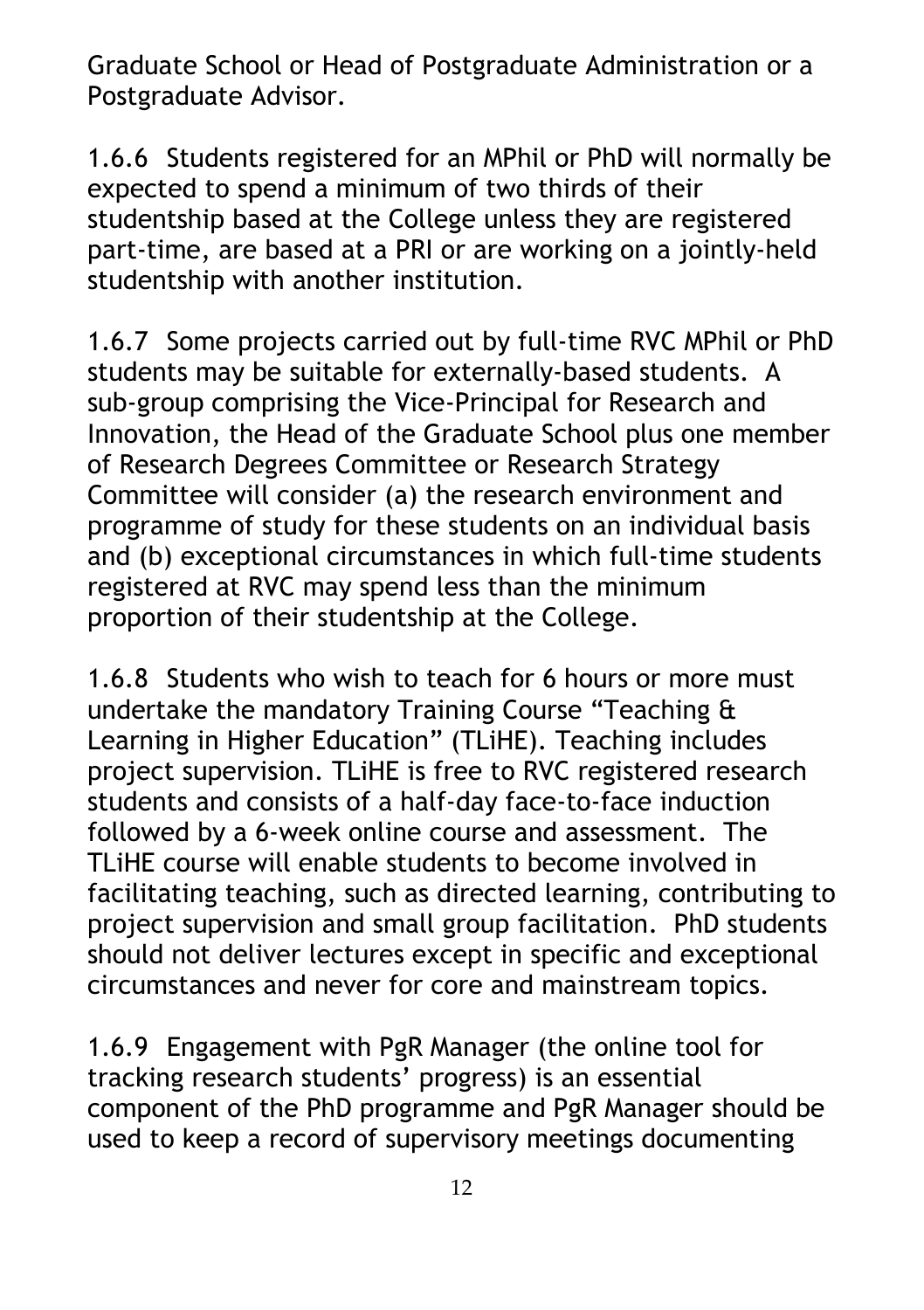Graduate School or Head of Postgraduate Administration or a Postgraduate Advisor.

1.6.6 Students registered for an MPhil or PhD will normally be expected to spend a minimum of two thirds of their studentship based at the College unless they are registered part-time, are based at a PRI or are working on a jointly-held studentship with another institution.

1.6.7 Some projects carried out by full-time RVC MPhil or PhD students may be suitable for externally-based students. A sub-group comprising the Vice-Principal for Research and Innovation, the Head of the Graduate School plus one member of Research Degrees Committee or Research Strategy Committee will consider (a) the research environment and programme of study for these students on an individual basis and (b) exceptional circumstances in which full-time students registered at RVC may spend less than the minimum proportion of their studentship at the College.

1.6.8 Students who wish to teach for 6 hours or more must undertake the mandatory Training Course "Teaching & Learning in Higher Education" (TLiHE). Teaching includes project supervision. TLiHE is free to RVC registered research students and consists of a half-day face-to-face induction followed by a 6-week online course and assessment. The TLiHE course will enable students to become involved in facilitating teaching, such as directed learning, contributing to project supervision and small group facilitation. PhD students should not deliver lectures except in specific and exceptional circumstances and never for core and mainstream topics.

1.6.9 Engagement with PgR Manager (the online tool for tracking research students' progress) is an essential component of the PhD programme and PgR Manager should be used to keep a record of supervisory meetings documenting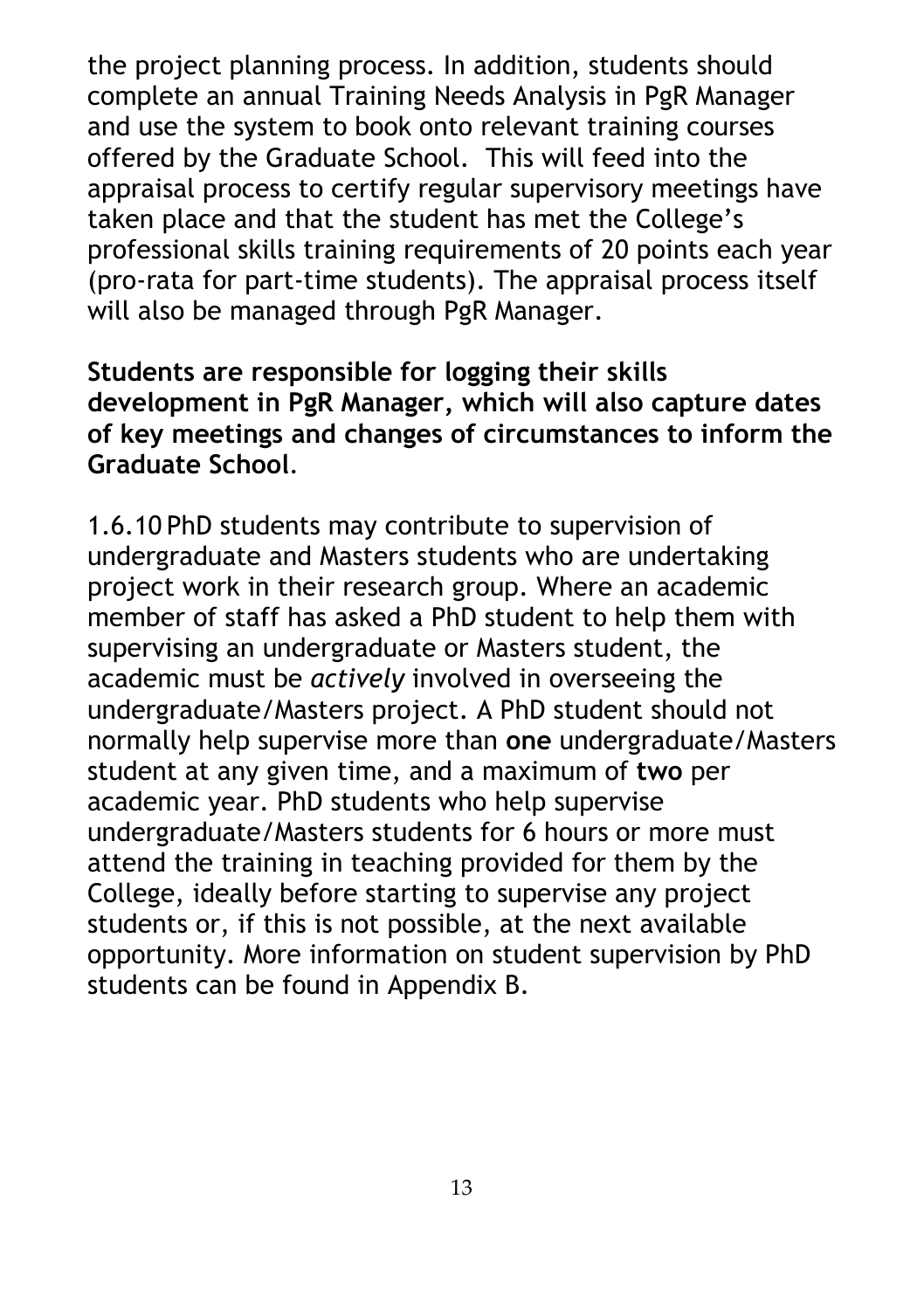the project planning process. In addition, students should complete an annual Training Needs Analysis in PgR Manager and use the system to book onto relevant training courses offered by the Graduate School. This will feed into the appraisal process to certify regular supervisory meetings have taken place and that the student has met the College's professional skills training requirements of 20 points each year (pro-rata for part-time students). The appraisal process itself will also be managed through PgR Manager.

**Students are responsible for logging their skills development in PgR Manager, which will also capture dates of key meetings and changes of circumstances to inform the Graduate School**.

1.6.10 PhD students may contribute to supervision of undergraduate and Masters students who are undertaking project work in their research group. Where an academic member of staff has asked a PhD student to help them with supervising an undergraduate or Masters student, the academic must be *actively* involved in overseeing the undergraduate/Masters project. A PhD student should not normally help supervise more than **one** undergraduate/Masters student at any given time, and a maximum of **two** per academic year. PhD students who help supervise undergraduate/Masters students for 6 hours or more must attend the training in teaching provided for them by the College, ideally before starting to supervise any project students or, if this is not possible, at the next available opportunity. More information on student supervision by PhD students can be found in Appendix B.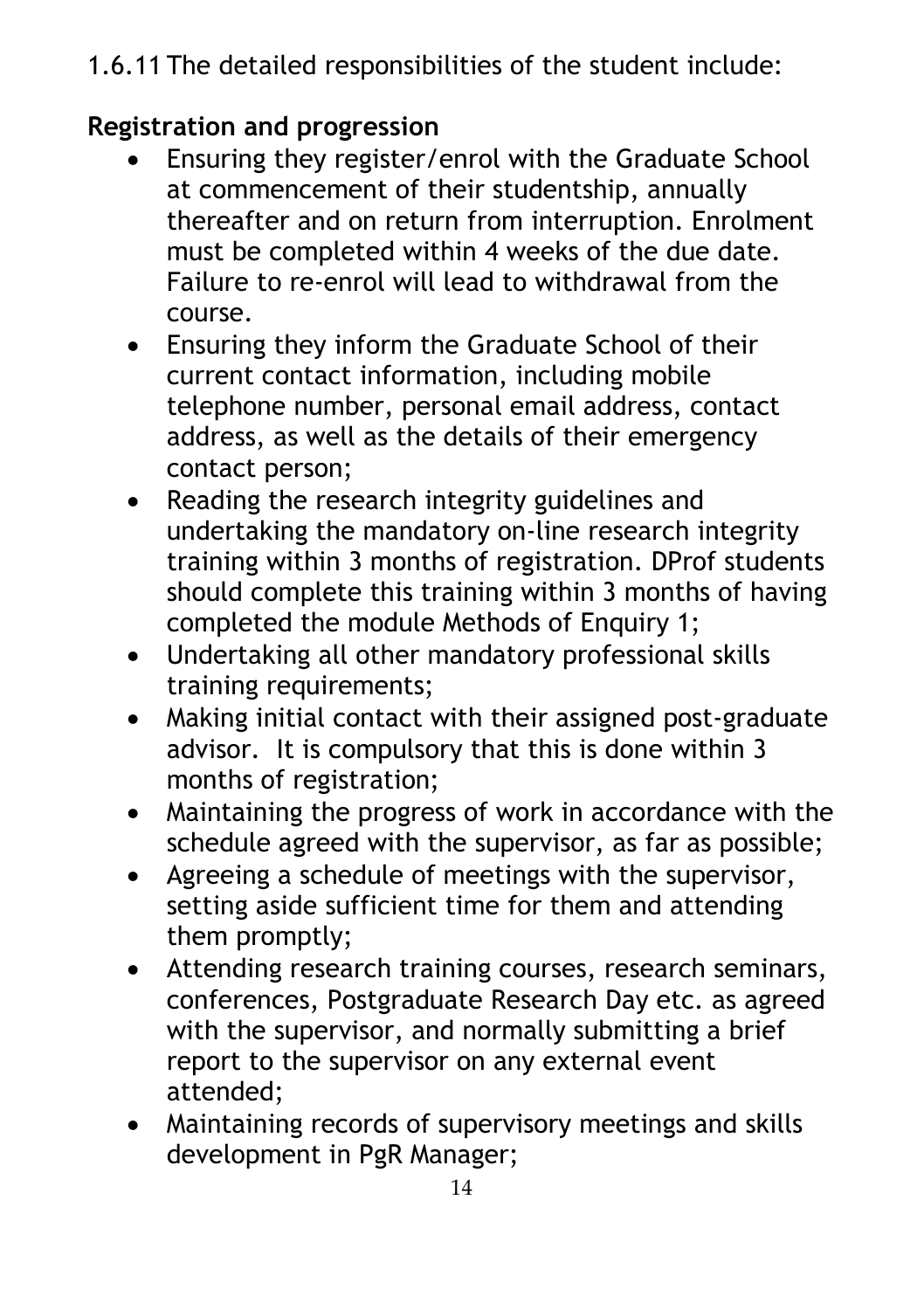1.6.11 The detailed responsibilities of the student include:

### **Registration and progression**

- Ensuring they register/enrol with the Graduate School at commencement of their studentship, annually thereafter and on return from interruption. Enrolment must be completed within 4 weeks of the due date. Failure to re-enrol will lead to withdrawal from the course.
- Ensuring they inform the Graduate School of their current contact information, including mobile telephone number, personal email address, contact address, as well as the details of their emergency contact person;
- Reading the research integrity guidelines and undertaking the mandatory on-line research integrity training within 3 months of registration. DProf students should complete this training within 3 months of having completed the module Methods of Enquiry 1;
- Undertaking all other mandatory professional skills training requirements;
- Making initial contact with their assigned post-graduate advisor. It is compulsory that this is done within 3 months of registration;
- Maintaining the progress of work in accordance with the schedule agreed with the supervisor, as far as possible;
- Agreeing a schedule of meetings with the supervisor, setting aside sufficient time for them and attending them promptly;
- Attending research training courses, research seminars, conferences, Postgraduate Research Day etc. as agreed with the supervisor, and normally submitting a brief report to the supervisor on any external event attended;
- Maintaining records of supervisory meetings and skills development in PgR Manager;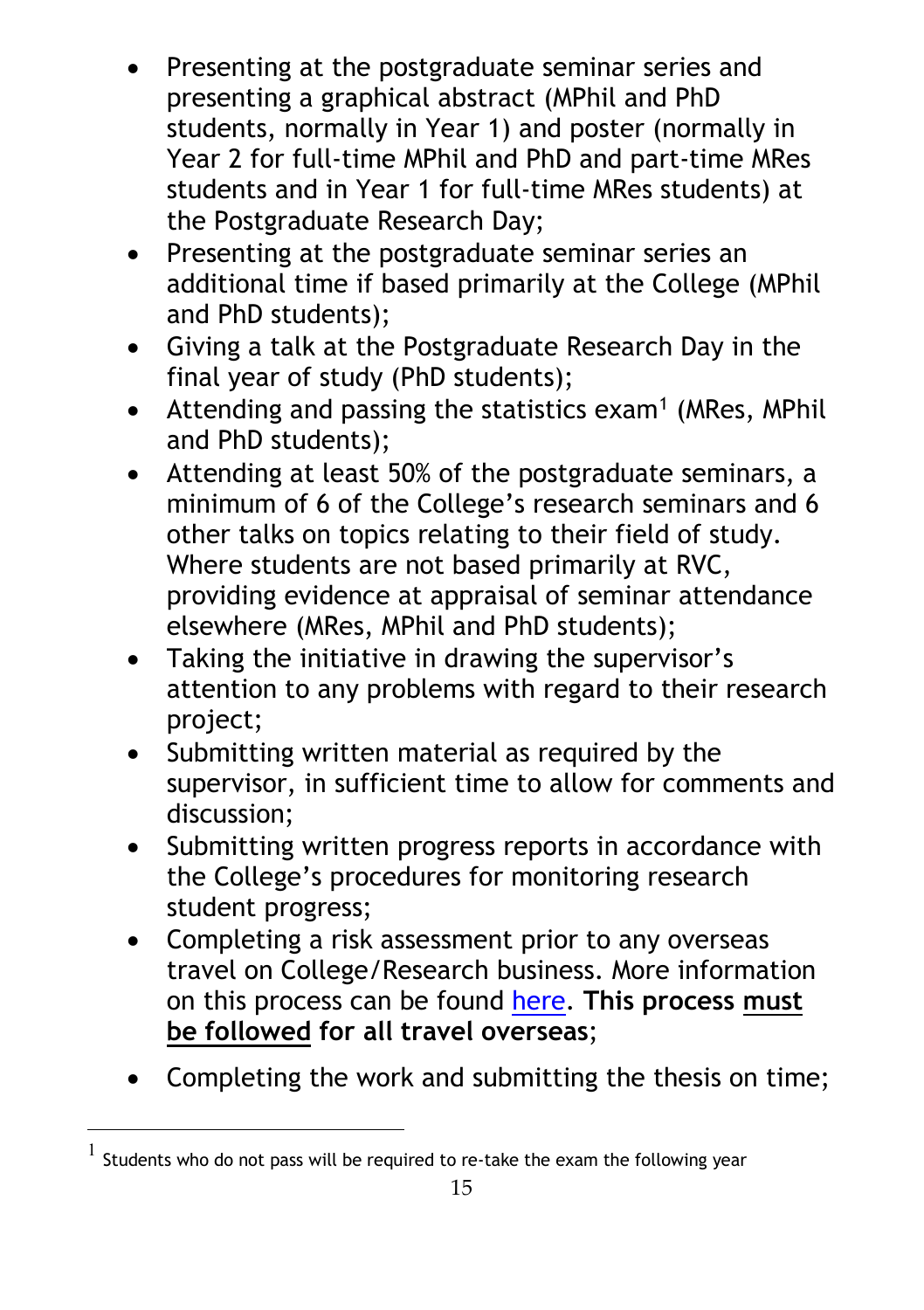- Presenting at the postgraduate seminar series and presenting a graphical abstract (MPhil and PhD students, normally in Year 1) and poster (normally in Year 2 for full-time MPhil and PhD and part-time MRes students and in Year 1 for full-time MRes students) at the Postgraduate Research Day;
- Presenting at the postgraduate seminar series an additional time if based primarily at the College (MPhil and PhD students);
- Giving a talk at the Postgraduate Research Day in the final year of study (PhD students);
- Attending and passing the statistics exam<sup>[1](#page-14-0)</sup> (MRes, MPhil and PhD students);
- Attending at least 50% of the postgraduate seminars, a minimum of 6 of the College's research seminars and 6 other talks on topics relating to their field of study. Where students are not based primarily at RVC, providing evidence at appraisal of seminar attendance elsewhere (MRes, MPhil and PhD students);
- Taking the initiative in drawing the supervisor's attention to any problems with regard to their research project;
- Submitting written material as required by the supervisor, in sufficient time to allow for comments and discussion;
- Submitting written progress reports in accordance with the College's procedures for monitoring research student progress;
- Completing a risk assessment prior to any overseas travel on College/Research business. More information on this process can be found [here.](https://intranet.rvc.ac.uk/professional-services/estates/health-and-safety/information-a-to-z.cfm#Travel) **This process must be followed for all travel overseas**;
- Completing the work and submitting the thesis on time;

<span id="page-14-0"></span> $<sup>1</sup>$  Students who do not pass will be required to re-take the exam the following year</sup>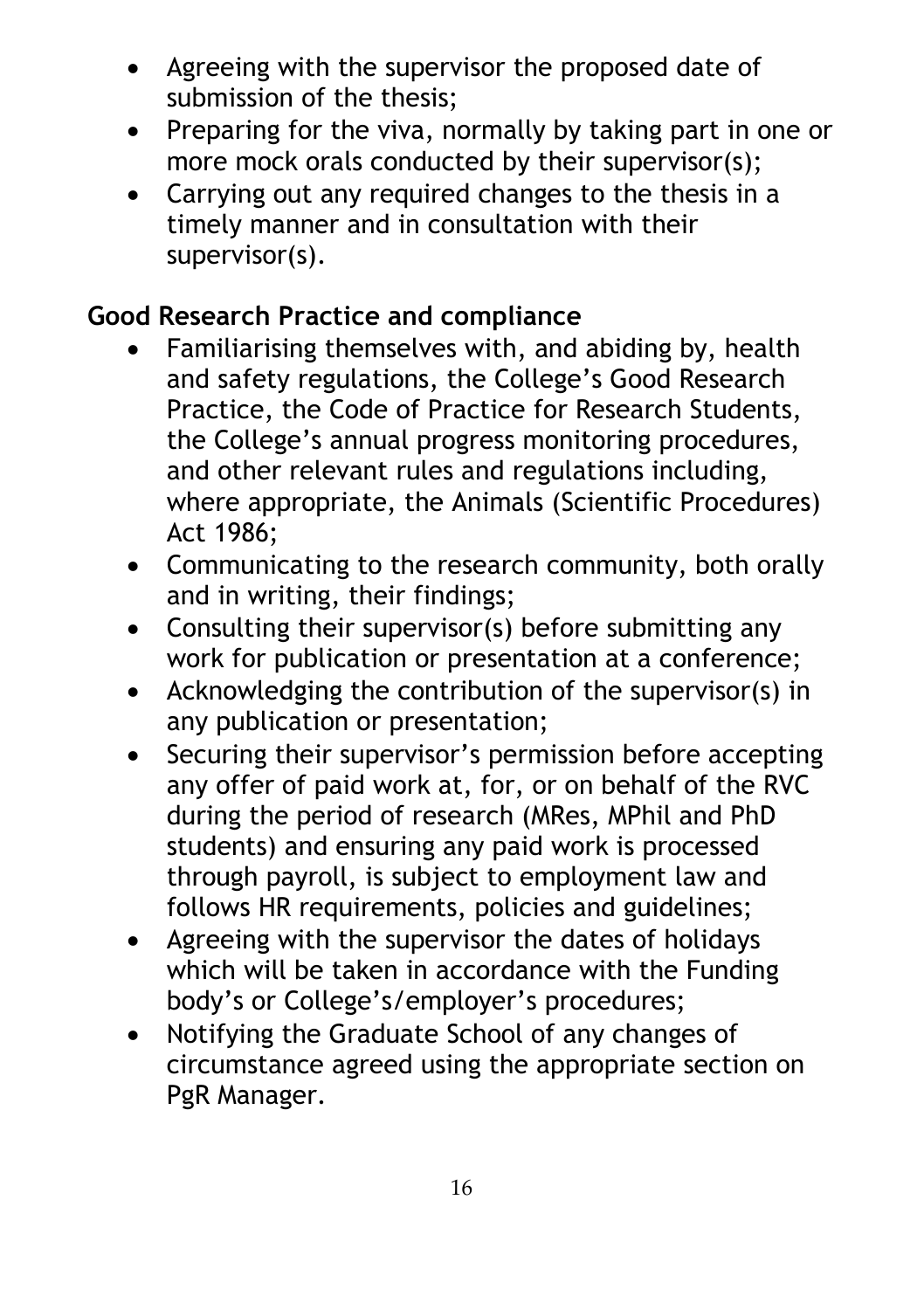- Agreeing with the supervisor the proposed date of submission of the thesis;
- Preparing for the viva, normally by taking part in one or more mock orals conducted by their supervisor(s);
- Carrying out any required changes to the thesis in a timely manner and in consultation with their supervisor(s).

#### **Good Research Practice and compliance**

- Familiarising themselves with, and abiding by, health and safety regulations, the College's Good Research Practice, the Code of Practice for Research Students, the College's annual progress monitoring procedures, and other relevant rules and regulations including, where appropriate, the Animals (Scientific Procedures) Act 1986;
- Communicating to the research community, both orally and in writing, their findings;
- Consulting their supervisor(s) before submitting any work for publication or presentation at a conference;
- Acknowledging the contribution of the supervisor(s) in any publication or presentation;
- Securing their supervisor's permission before accepting any offer of paid work at, for, or on behalf of the RVC during the period of research (MRes, MPhil and PhD students) and ensuring any paid work is processed through payroll, is subject to employment law and follows HR requirements, policies and guidelines;
- Agreeing with the supervisor the dates of holidays which will be taken in accordance with the Funding body's or College's/employer's procedures;
- Notifying the Graduate School of any changes of circumstance agreed using the appropriate section on PgR Manager.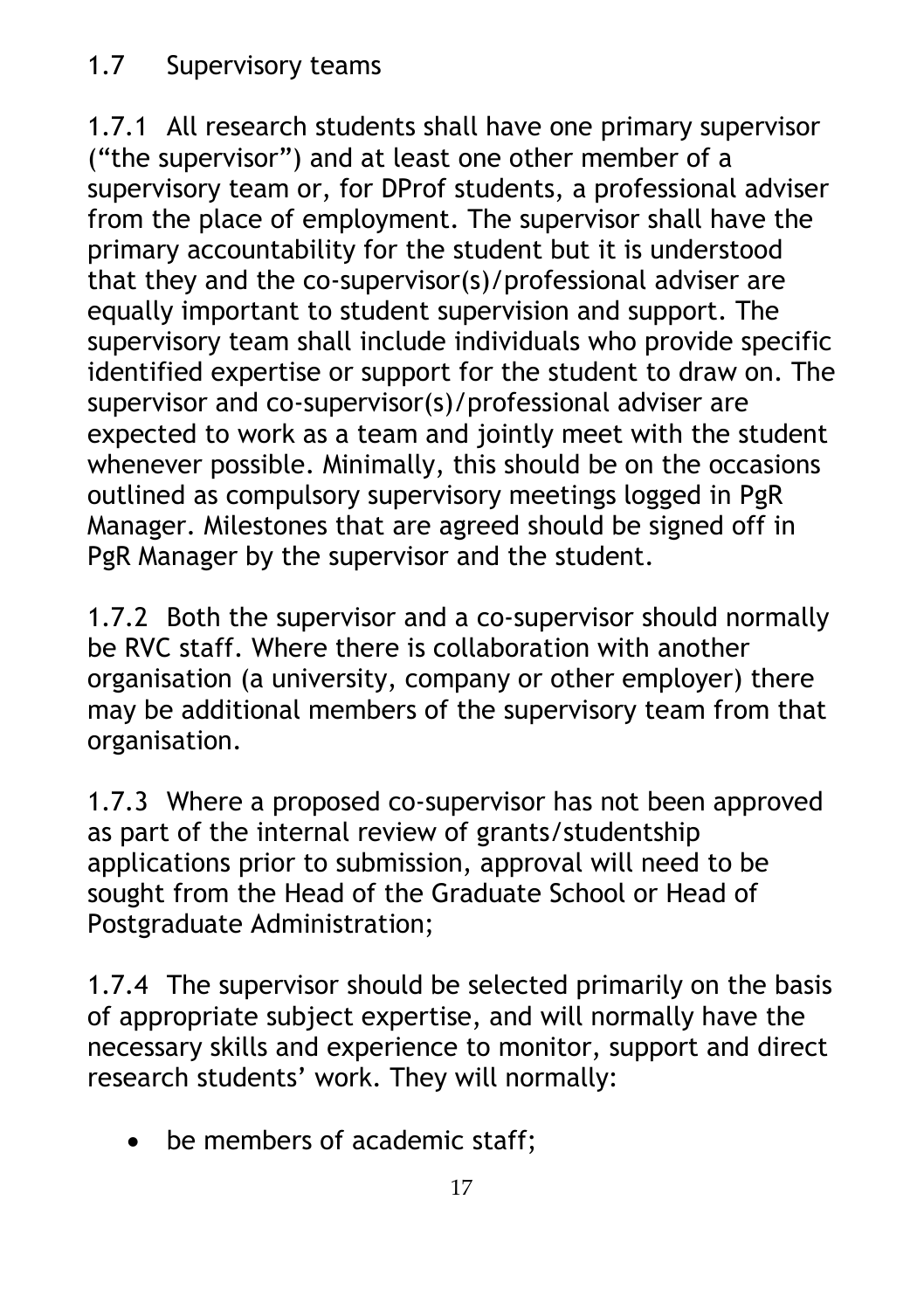1.7.1 All research students shall have one primary supervisor ("the supervisor") and at least one other member of a supervisory team or, for DProf students, a professional adviser from the place of employment. The supervisor shall have the primary accountability for the student but it is understood that they and the co-supervisor(s)/professional adviser are equally important to student supervision and support. The supervisory team shall include individuals who provide specific identified expertise or support for the student to draw on. The supervisor and co-supervisor(s)/professional adviser are expected to work as a team and jointly meet with the student whenever possible. Minimally, this should be on the occasions outlined as compulsory supervisory meetings logged in PgR Manager. Milestones that are agreed should be signed off in PgR Manager by the supervisor and the student.

1.7.2 Both the supervisor and a co-supervisor should normally be RVC staff. Where there is collaboration with another organisation (a university, company or other employer) there may be additional members of the supervisory team from that organisation.

1.7.3 Where a proposed co-supervisor has not been approved as part of the internal review of grants/studentship applications prior to submission, approval will need to be sought from the Head of the Graduate School or Head of Postgraduate Administration;

1.7.4 The supervisor should be selected primarily on the basis of appropriate subject expertise, and will normally have the necessary skills and experience to monitor, support and direct research students' work. They will normally:

• be members of academic staff;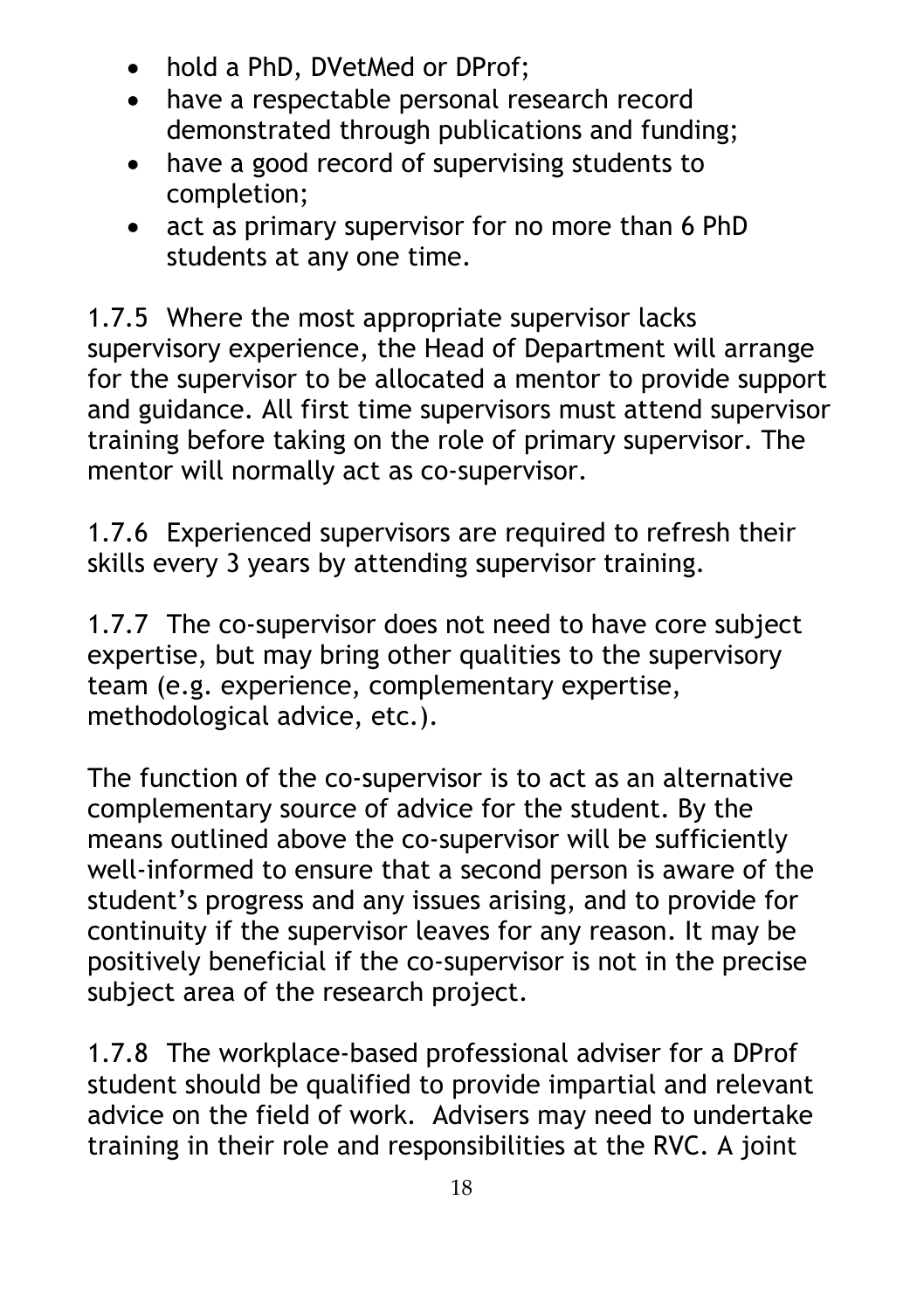- hold a PhD, DVetMed or DProf;
- have a respectable personal research record demonstrated through publications and funding;
- have a good record of supervising students to completion;
- act as primary supervisor for no more than 6 PhD students at any one time.

1.7.5 Where the most appropriate supervisor lacks supervisory experience, the Head of Department will arrange for the supervisor to be allocated a mentor to provide support and guidance. All first time supervisors must attend supervisor training before taking on the role of primary supervisor. The mentor will normally act as co-supervisor.

1.7.6 Experienced supervisors are required to refresh their skills every 3 years by attending supervisor training.

1.7.7 The co-supervisor does not need to have core subject expertise, but may bring other qualities to the supervisory team (e.g. experience, complementary expertise, methodological advice, etc.).

The function of the co-supervisor is to act as an alternative complementary source of advice for the student. By the means outlined above the co-supervisor will be sufficiently well-informed to ensure that a second person is aware of the student's progress and any issues arising, and to provide for continuity if the supervisor leaves for any reason. It may be positively beneficial if the co-supervisor is not in the precise subject area of the research project.

1.7.8 The workplace-based professional adviser for a DProf student should be qualified to provide impartial and relevant advice on the field of work. Advisers may need to undertake training in their role and responsibilities at the RVC. A joint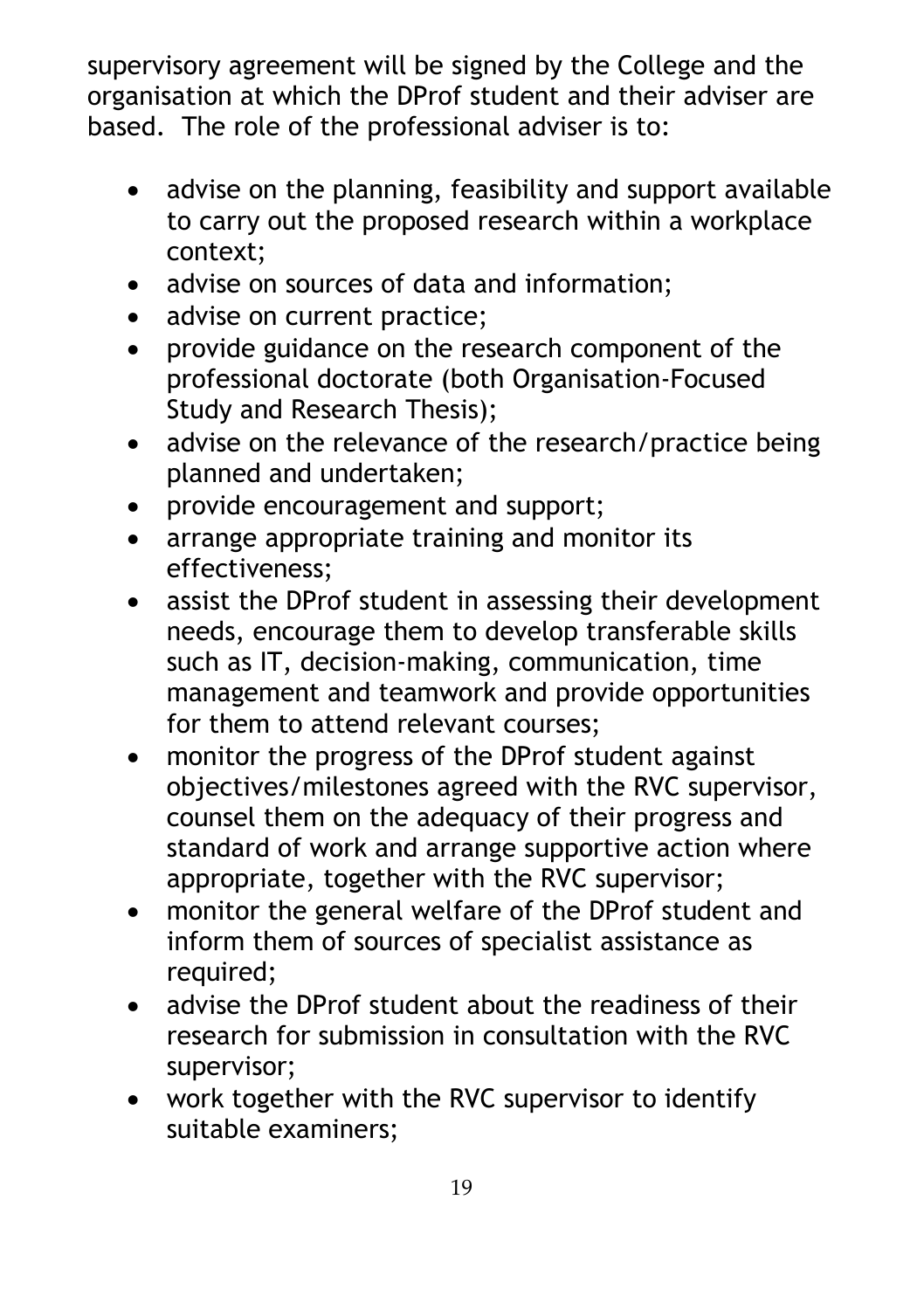supervisory agreement will be signed by the College and the organisation at which the DProf student and their adviser are based. The role of the professional adviser is to:

- advise on the planning, feasibility and support available to carry out the proposed research within a workplace context;
- advise on sources of data and information;
- advise on current practice;
- provide guidance on the research component of the professional doctorate (both Organisation-Focused Study and Research Thesis);
- advise on the relevance of the research/practice being planned and undertaken;
- provide encouragement and support;
- arrange appropriate training and monitor its effectiveness;
- assist the DProf student in assessing their development needs, encourage them to develop transferable skills such as IT, decision-making, communication, time management and teamwork and provide opportunities for them to attend relevant courses;
- monitor the progress of the DProf student against objectives/milestones agreed with the RVC supervisor, counsel them on the adequacy of their progress and standard of work and arrange supportive action where appropriate, together with the RVC supervisor;
- monitor the general welfare of the DProf student and inform them of sources of specialist assistance as required;
- advise the DProf student about the readiness of their research for submission in consultation with the RVC supervisor;
- work together with the RVC supervisor to identify suitable examiners;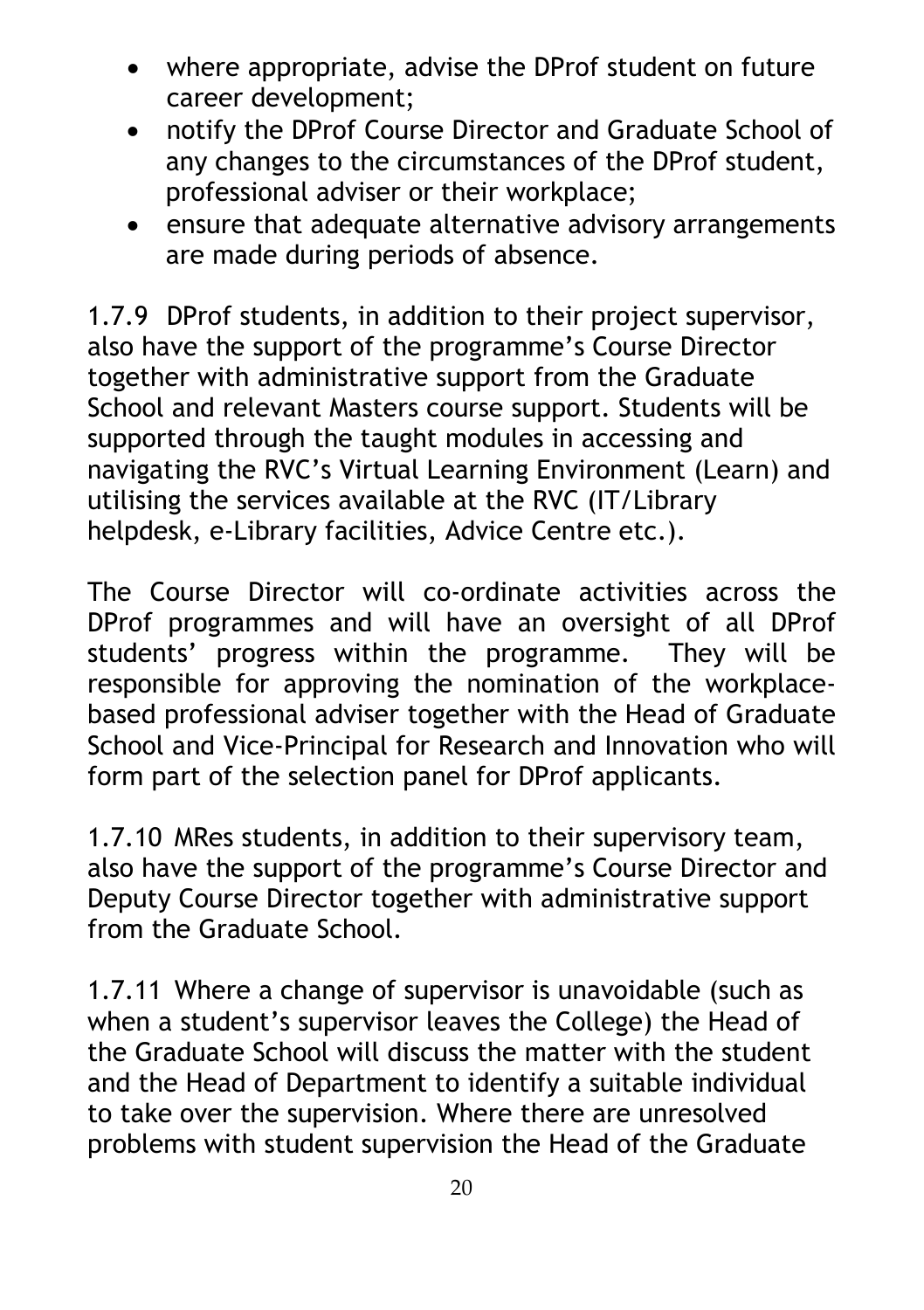- where appropriate, advise the DProf student on future career development;
- notify the DProf Course Director and Graduate School of any changes to the circumstances of the DProf student, professional adviser or their workplace;
- ensure that adequate alternative advisory arrangements are made during periods of absence.

1.7.9 DProf students, in addition to their project supervisor, also have the support of the programme's Course Director together with administrative support from the Graduate School and relevant Masters course support. Students will be supported through the taught modules in accessing and navigating the RVC's Virtual Learning Environment (Learn) and utilising the services available at the RVC (IT/Library helpdesk, e-Library facilities, Advice Centre etc.).

The Course Director will co-ordinate activities across the DProf programmes and will have an oversight of all DProf students' progress within the programme. They will be responsible for approving the nomination of the workplacebased professional adviser together with the Head of Graduate School and Vice-Principal for Research and Innovation who will form part of the selection panel for DProf applicants.

1.7.10 MRes students, in addition to their supervisory team, also have the support of the programme's Course Director and Deputy Course Director together with administrative support from the Graduate School.

1.7.11 Where a change of supervisor is unavoidable (such as when a student's supervisor leaves the College) the Head of the Graduate School will discuss the matter with the student and the Head of Department to identify a suitable individual to take over the supervision. Where there are unresolved problems with student supervision the Head of the Graduate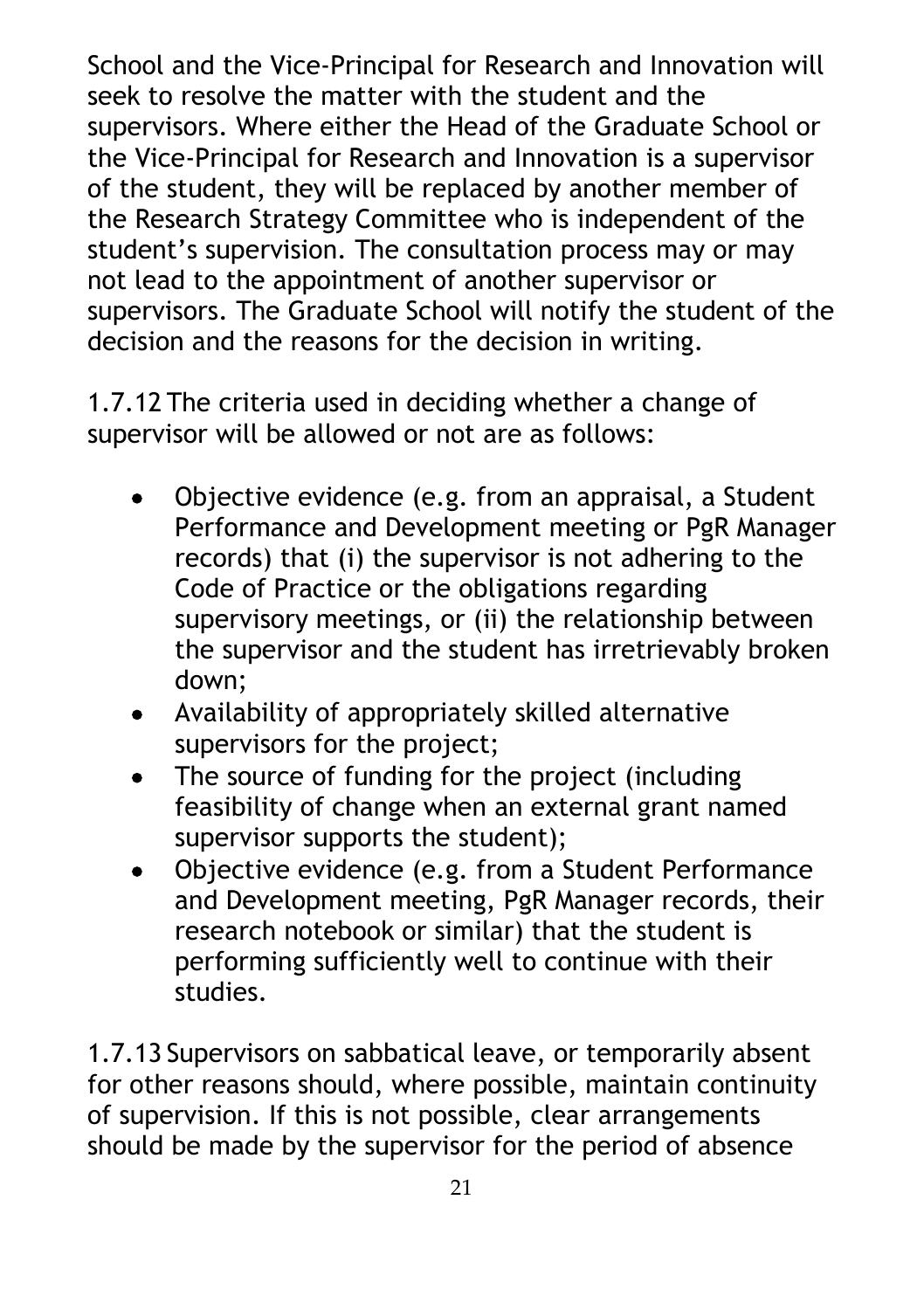School and the Vice-Principal for Research and Innovation will seek to resolve the matter with the student and the supervisors. Where either the Head of the Graduate School or the Vice-Principal for Research and Innovation is a supervisor of the student, they will be replaced by another member of the Research Strategy Committee who is independent of the student's supervision. The consultation process may or may not lead to the appointment of another supervisor or supervisors. The Graduate School will notify the student of the decision and the reasons for the decision in writing.

1.7.12 The criteria used in deciding whether a change of supervisor will be allowed or not are as follows:

- Objective evidence (e.g. from an appraisal, a Student Performance and Development meeting or PgR Manager records) that (i) the supervisor is not adhering to the Code of Practice or the obligations regarding supervisory meetings, or (ii) the relationship between the supervisor and the student has irretrievably broken down;
- Availability of appropriately skilled alternative supervisors for the project;
- The source of funding for the project (including feasibility of change when an external grant named supervisor supports the student);
- Objective evidence (e.g. from a Student Performance and Development meeting, PgR Manager records, their research notebook or similar) that the student is performing sufficiently well to continue with their studies.

1.7.13 Supervisors on sabbatical leave, or temporarily absent for other reasons should, where possible, maintain continuity of supervision. If this is not possible, clear arrangements should be made by the supervisor for the period of absence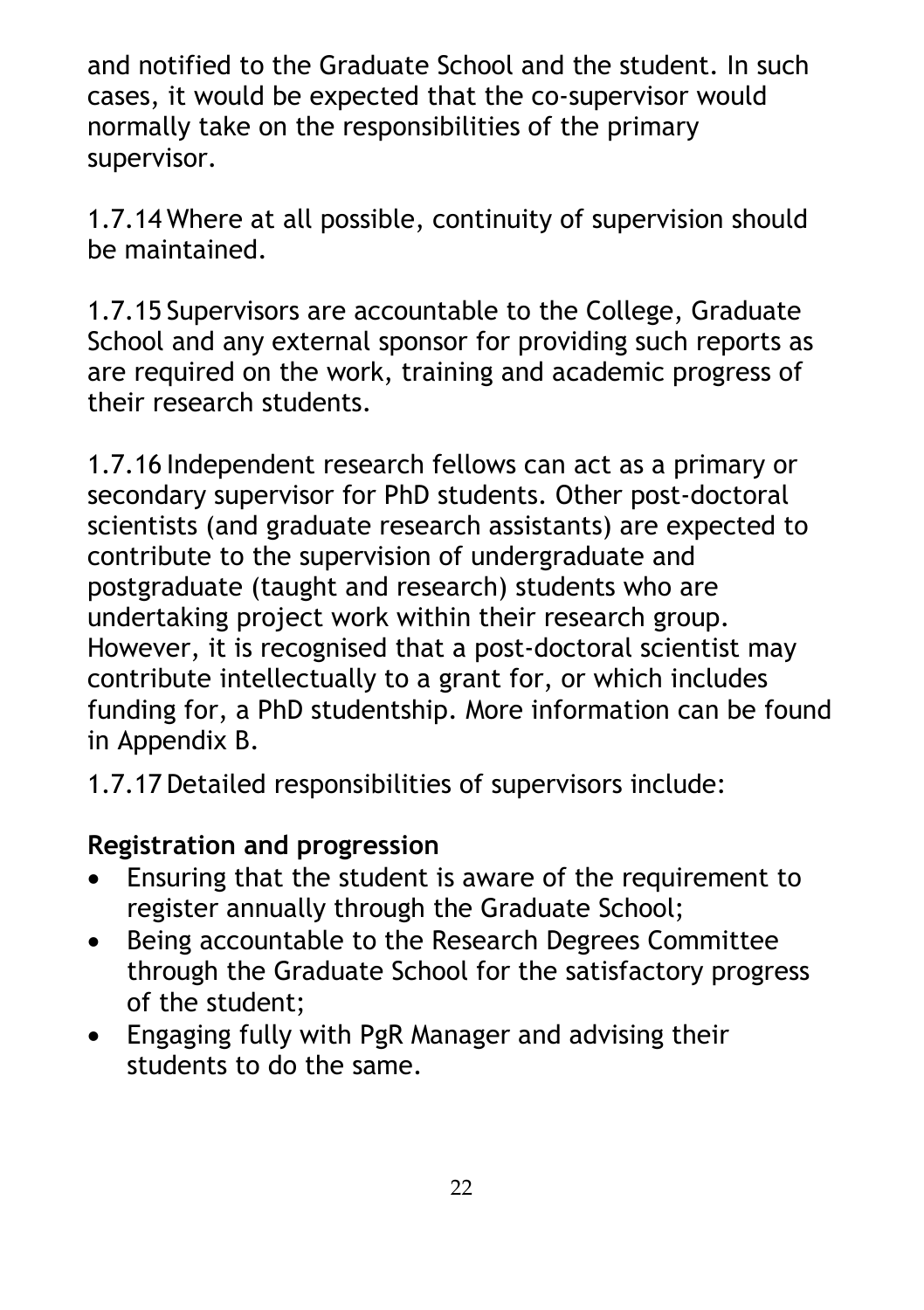and notified to the Graduate School and the student. In such cases, it would be expected that the co-supervisor would normally take on the responsibilities of the primary supervisor.

1.7.14 Where at all possible, continuity of supervision should be maintained.

1.7.15 Supervisors are accountable to the College, Graduate School and any external sponsor for providing such reports as are required on the work, training and academic progress of their research students.

1.7.16 Independent research fellows can act as a primary or secondary supervisor for PhD students. Other post-doctoral scientists (and graduate research assistants) are expected to contribute to the supervision of undergraduate and postgraduate (taught and research) students who are undertaking project work within their research group. However, it is recognised that a post-doctoral scientist may contribute intellectually to a grant for, or which includes funding for, a PhD studentship. More information can be found in Appendix B.

1.7.17 Detailed responsibilities of supervisors include:

#### **Registration and progression**

- Ensuring that the student is aware of the requirement to register annually through the Graduate School;
- Being accountable to the Research Degrees Committee through the Graduate School for the satisfactory progress of the student;
- Engaging fully with PgR Manager and advising their students to do the same.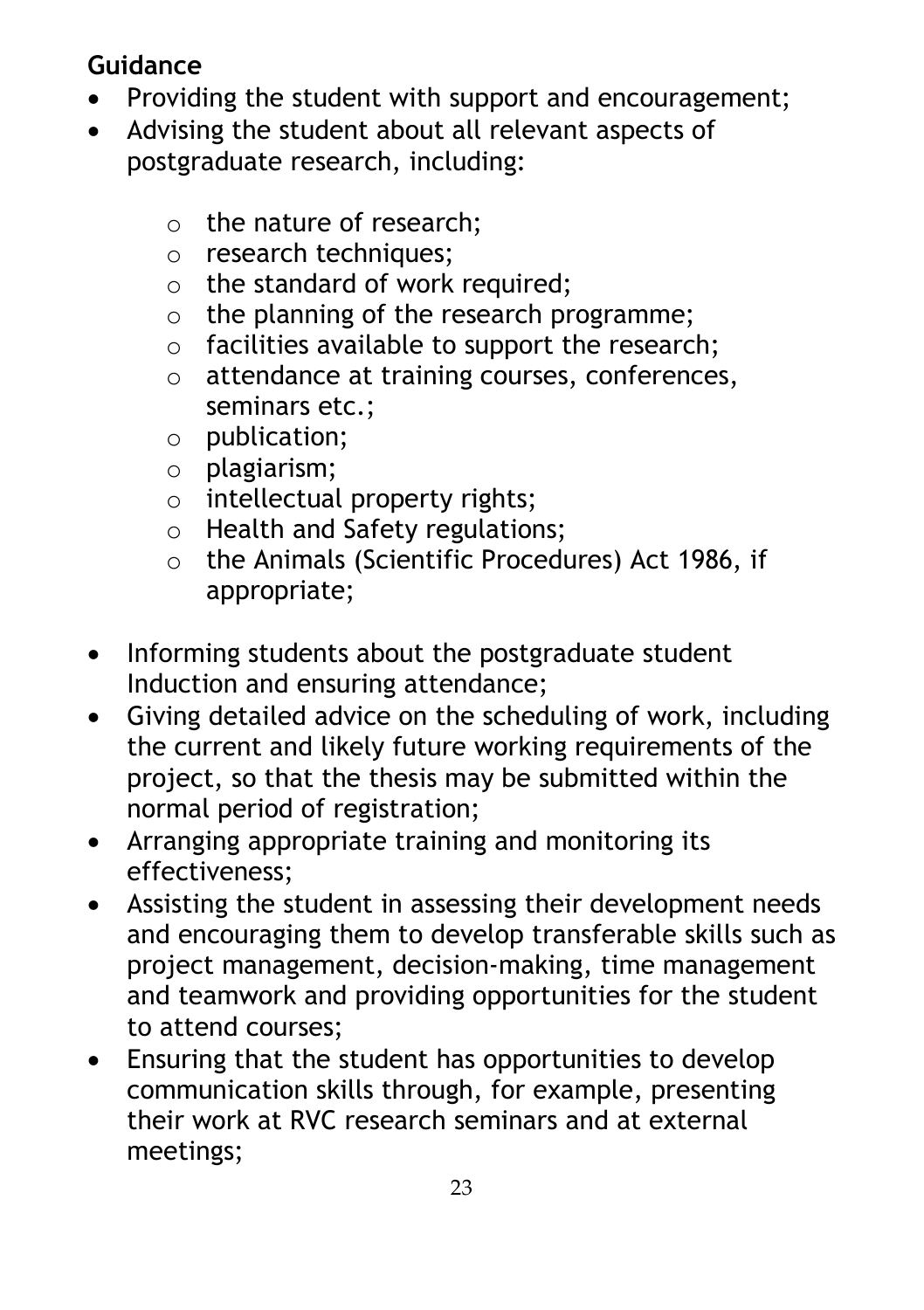# **Guidance**

- Providing the student with support and encouragement;
- Advising the student about all relevant aspects of postgraduate research, including:
	- o the nature of research;
	- o research techniques;
	- $\circ$  the standard of work required;
	- o the planning of the research programme;
	- $\circ$  facilities available to support the research;
	- o attendance at training courses, conferences, seminars etc.;
	- o publication;
	- o plagiarism;
	- o intellectual property rights;
	- o Health and Safety regulations;
	- o the Animals (Scientific Procedures) Act 1986, if appropriate;
- Informing students about the postgraduate student Induction and ensuring attendance;
- Giving detailed advice on the scheduling of work, including the current and likely future working requirements of the project, so that the thesis may be submitted within the normal period of registration;
- Arranging appropriate training and monitoring its effectiveness;
- Assisting the student in assessing their development needs and encouraging them to develop transferable skills such as project management, decision-making, time management and teamwork and providing opportunities for the student to attend courses;
- Ensuring that the student has opportunities to develop communication skills through, for example, presenting their work at RVC research seminars and at external meetings;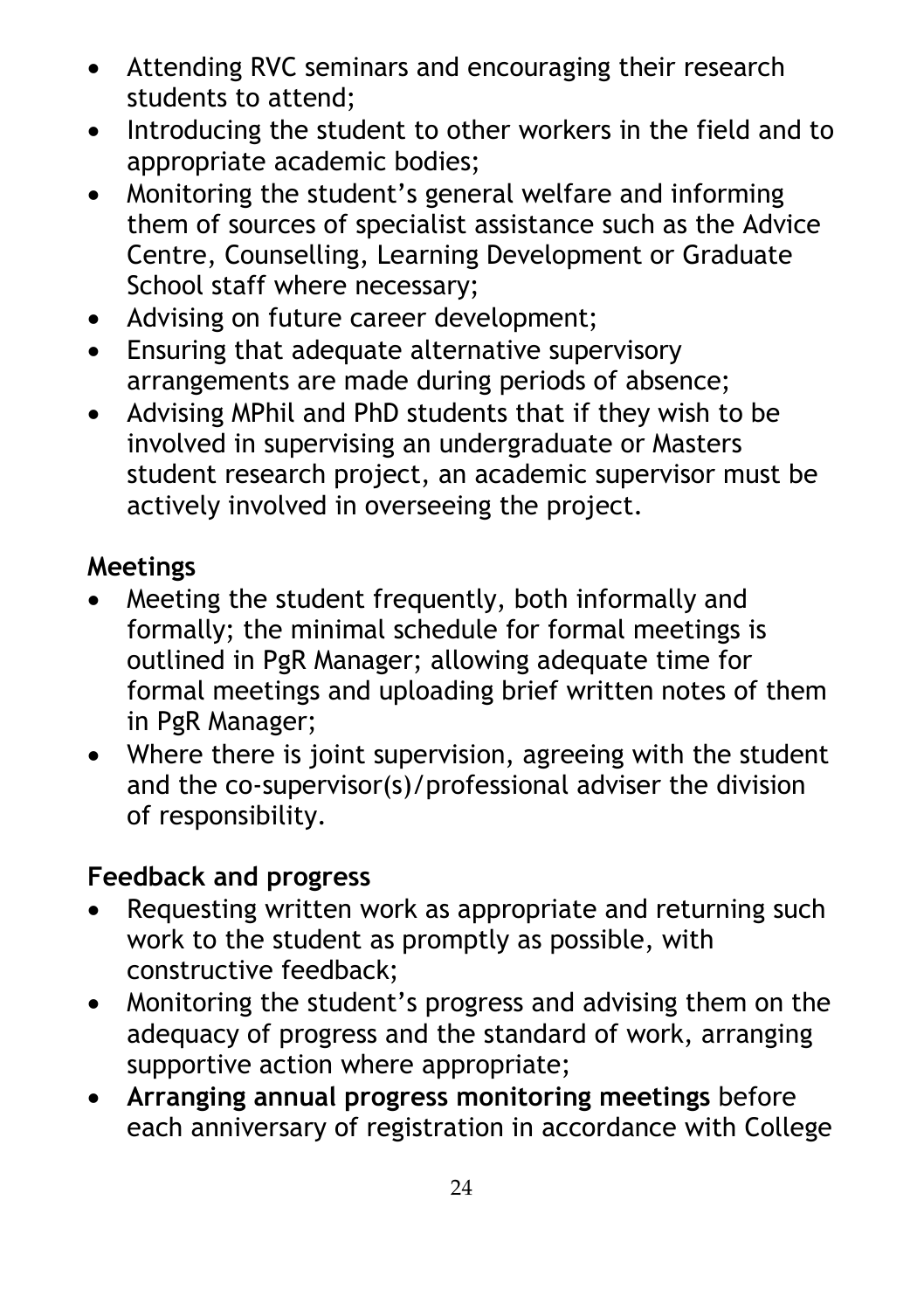- Attending RVC seminars and encouraging their research students to attend;
- Introducing the student to other workers in the field and to appropriate academic bodies;
- Monitoring the student's general welfare and informing them of sources of specialist assistance such as the Advice Centre, Counselling, Learning Development or Graduate School staff where necessary;
- Advising on future career development;
- Ensuring that adequate alternative supervisory arrangements are made during periods of absence;
- Advising MPhil and PhD students that if they wish to be involved in supervising an undergraduate or Masters student research project, an academic supervisor must be actively involved in overseeing the project.

### **Meetings**

- Meeting the student frequently, both informally and formally; the minimal schedule for formal meetings is outlined in PgR Manager; allowing adequate time for formal meetings and uploading brief written notes of them in PgR Manager;
- Where there is joint supervision, agreeing with the student and the co-supervisor(s)/professional adviser the division of responsibility.

## **Feedback and progress**

- Requesting written work as appropriate and returning such work to the student as promptly as possible, with constructive feedback;
- Monitoring the student's progress and advising them on the adequacy of progress and the standard of work, arranging supportive action where appropriate;
- **Arranging annual progress monitoring meetings** before each anniversary of registration in accordance with College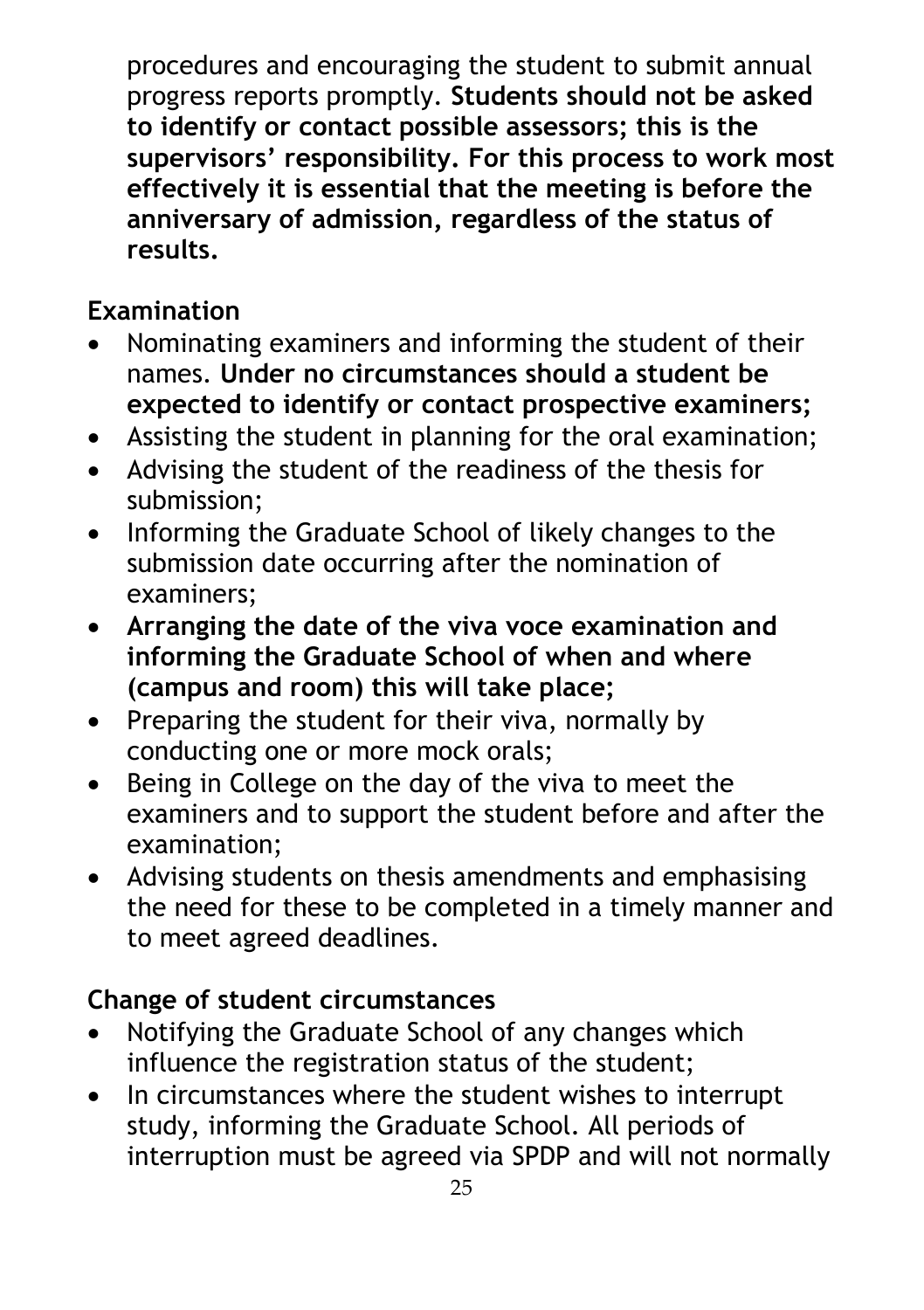procedures and encouraging the student to submit annual progress reports promptly. **Students should not be asked to identify or contact possible assessors; this is the supervisors' responsibility. For this process to work most effectively it is essential that the meeting is before the anniversary of admission, regardless of the status of results.**

### **Examination**

- Nominating examiners and informing the student of their names. **Under no circumstances should a student be expected to identify or contact prospective examiners;**
- Assisting the student in planning for the oral examination;
- Advising the student of the readiness of the thesis for submission;
- Informing the Graduate School of likely changes to the submission date occurring after the nomination of examiners;
- **Arranging the date of the viva voce examination and informing the Graduate School of when and where (campus and room) this will take place;**
- Preparing the student for their viva, normally by conducting one or more mock orals;
- Being in College on the day of the viva to meet the examiners and to support the student before and after the examination;
- Advising students on thesis amendments and emphasising the need for these to be completed in a timely manner and to meet agreed deadlines.

#### **Change of student circumstances**

- Notifying the Graduate School of any changes which influence the registration status of the student;
- In circumstances where the student wishes to interrupt study, informing the Graduate School. All periods of interruption must be agreed via SPDP and will not normally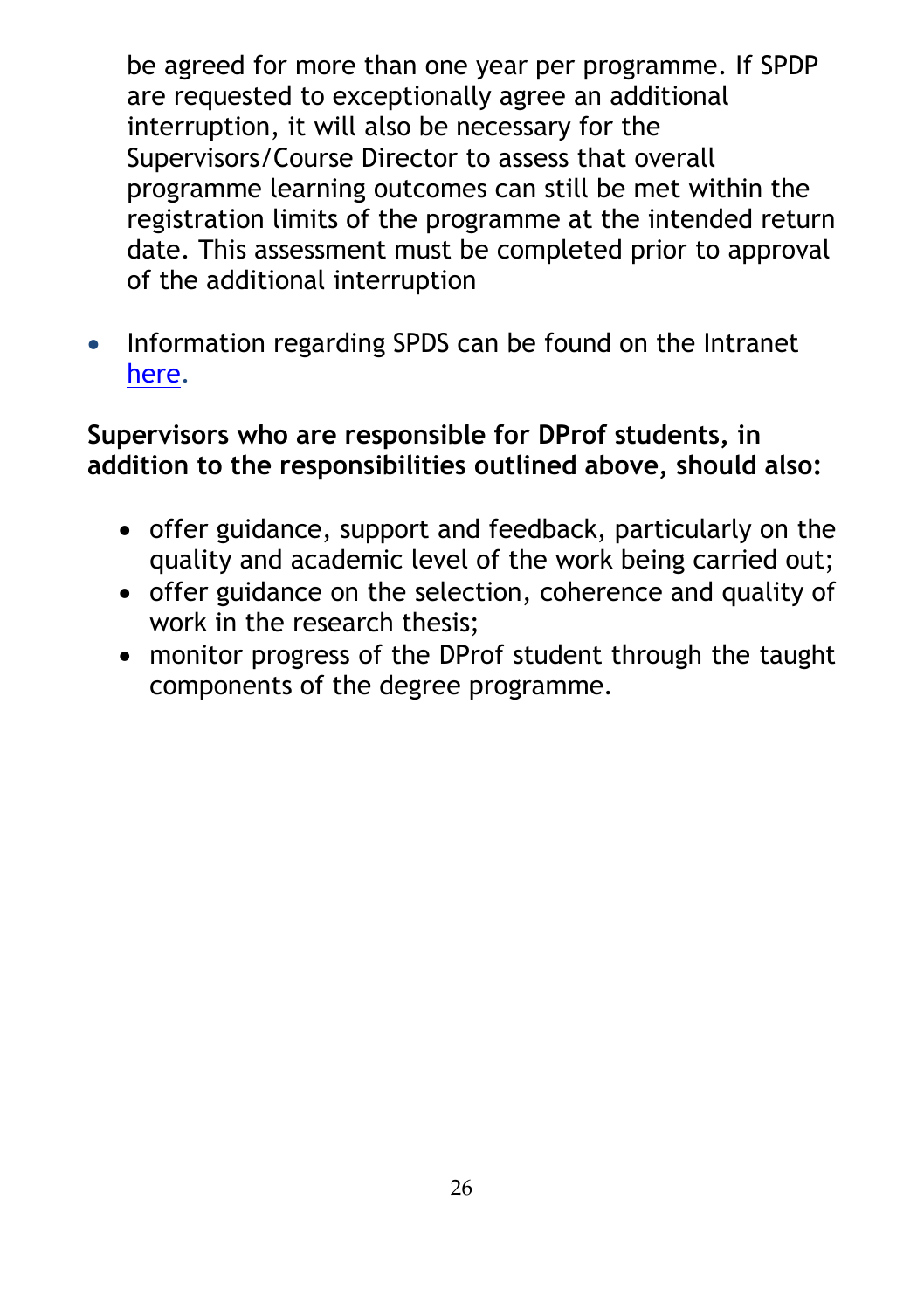be agreed for more than one year per programme. If SPDP are requested to exceptionally agree an additional interruption, it will also be necessary for the Supervisors/Course Director to assess that overall programme learning outcomes can still be met within the registration limits of the programme at the intended return date. This assessment must be completed prior to approval of the additional interruption

• Information regarding SPDS can be found on the Intranet [here.](https://intranet.rvc.ac.uk/professional-services/learning-and-wellbeing/student-performance/index.cfm)

#### **Supervisors who are responsible for DProf students, in addition to the responsibilities outlined above, should also:**

- offer guidance, support and feedback, particularly on the quality and academic level of the work being carried out;
- offer guidance on the selection, coherence and quality of work in the research thesis;
- monitor progress of the DProf student through the taught components of the degree programme.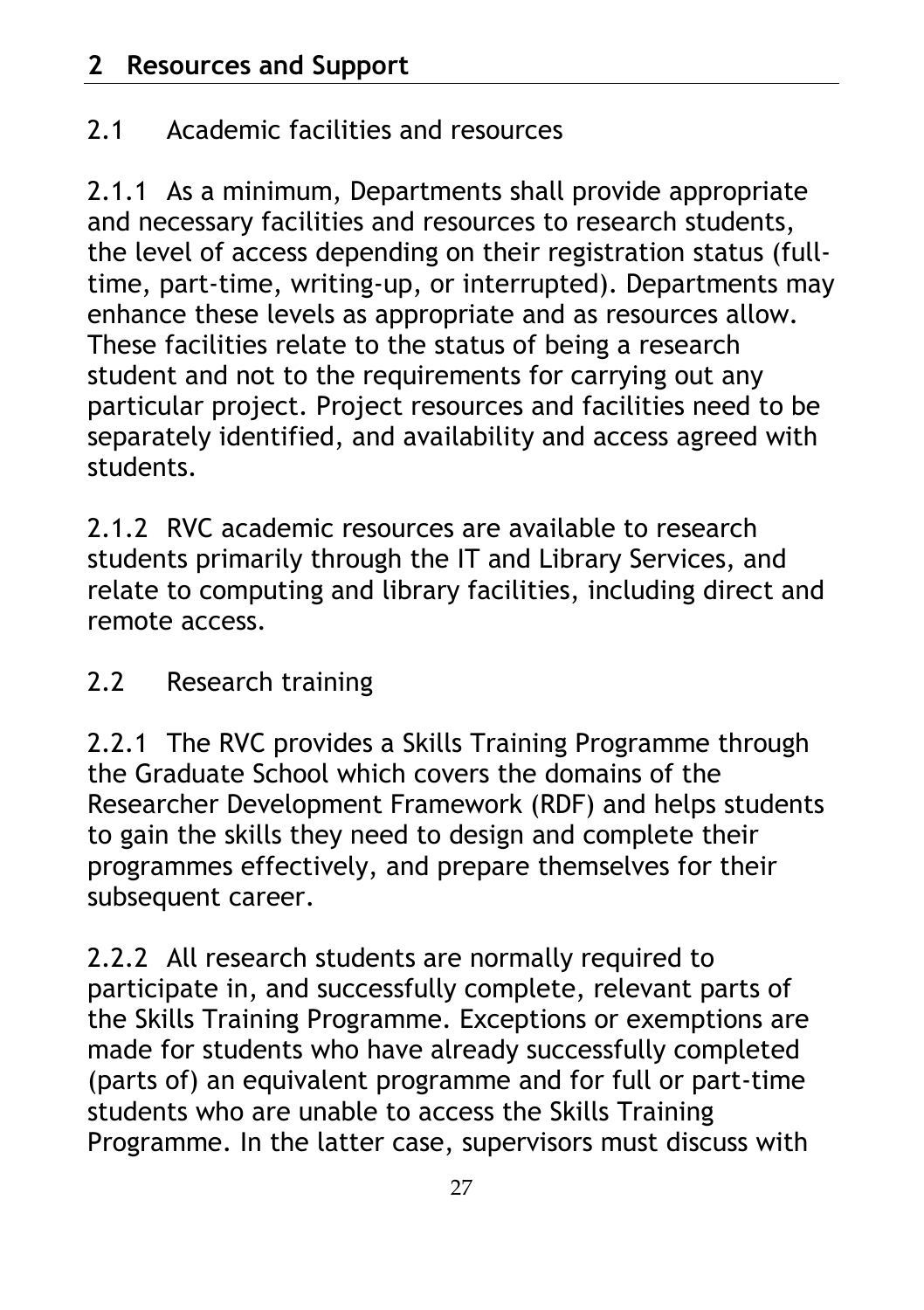# 2.1 Academic facilities and resources

2.1.1 As a minimum, Departments shall provide appropriate and necessary facilities and resources to research students, the level of access depending on their registration status (fulltime, part-time, writing-up, or interrupted). Departments may enhance these levels as appropriate and as resources allow. These facilities relate to the status of being a research student and not to the requirements for carrying out any particular project. Project resources and facilities need to be separately identified, and availability and access agreed with students.

2.1.2 RVC academic resources are available to research students primarily through the IT and Library Services, and relate to computing and library facilities, including direct and remote access.

# 2.2 Research training

2.2.1 The RVC provides a Skills Training Programme through the Graduate School which covers the domains of the Researcher Development Framework (RDF) and helps students to gain the skills they need to design and complete their programmes effectively, and prepare themselves for their subsequent career.

2.2.2 All research students are normally required to participate in, and successfully complete, relevant parts of the Skills Training Programme. Exceptions or exemptions are made for students who have already successfully completed (parts of) an equivalent programme and for full or part-time students who are unable to access the Skills Training Programme. In the latter case, supervisors must discuss with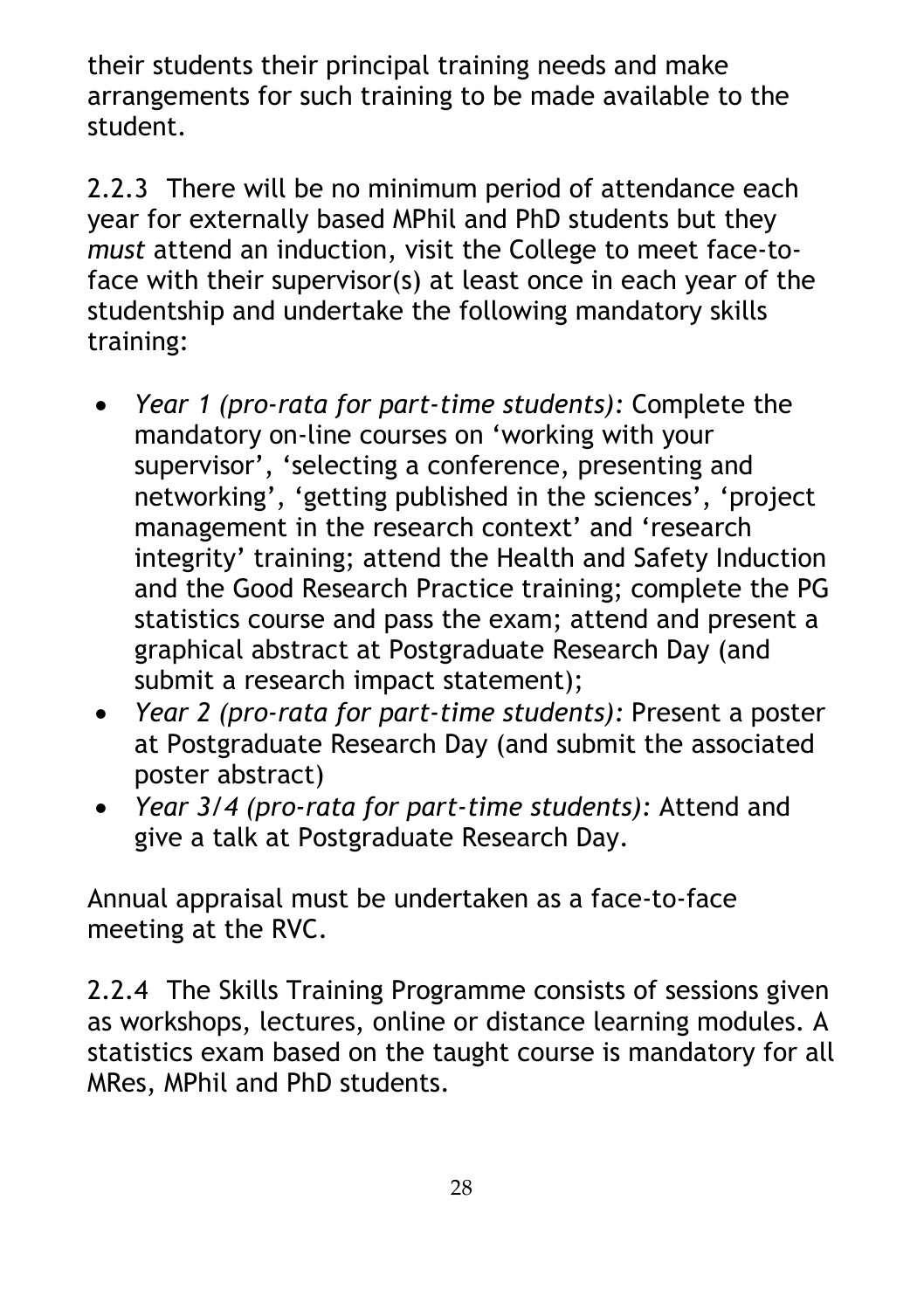their students their principal training needs and make arrangements for such training to be made available to the student.

2.2.3 There will be no minimum period of attendance each year for externally based MPhil and PhD students but they *must* attend an induction, visit the College to meet face-toface with their supervisor(s) at least once in each year of the studentship and undertake the following mandatory skills training:

- *Year 1 (pro-rata for part-time students):* Complete the mandatory on-line courses on 'working with your supervisor', 'selecting a conference, presenting and networking', 'getting published in the sciences', 'project management in the research context' and 'research integrity' training; attend the Health and Safety Induction and the Good Research Practice training; complete the PG statistics course and pass the exam; attend and present a graphical abstract at Postgraduate Research Day (and submit a research impact statement);
- *Year 2 (pro-rata for part-time students):* Present a poster at Postgraduate Research Day (and submit the associated poster abstract)
- *Year 3/4 (pro-rata for part-time students):* Attend and give a talk at Postgraduate Research Day.

Annual appraisal must be undertaken as a face-to-face meeting at the RVC.

2.2.4 The Skills Training Programme consists of sessions given as workshops, lectures, online or distance learning modules. A statistics exam based on the taught course is mandatory for all MRes, MPhil and PhD students.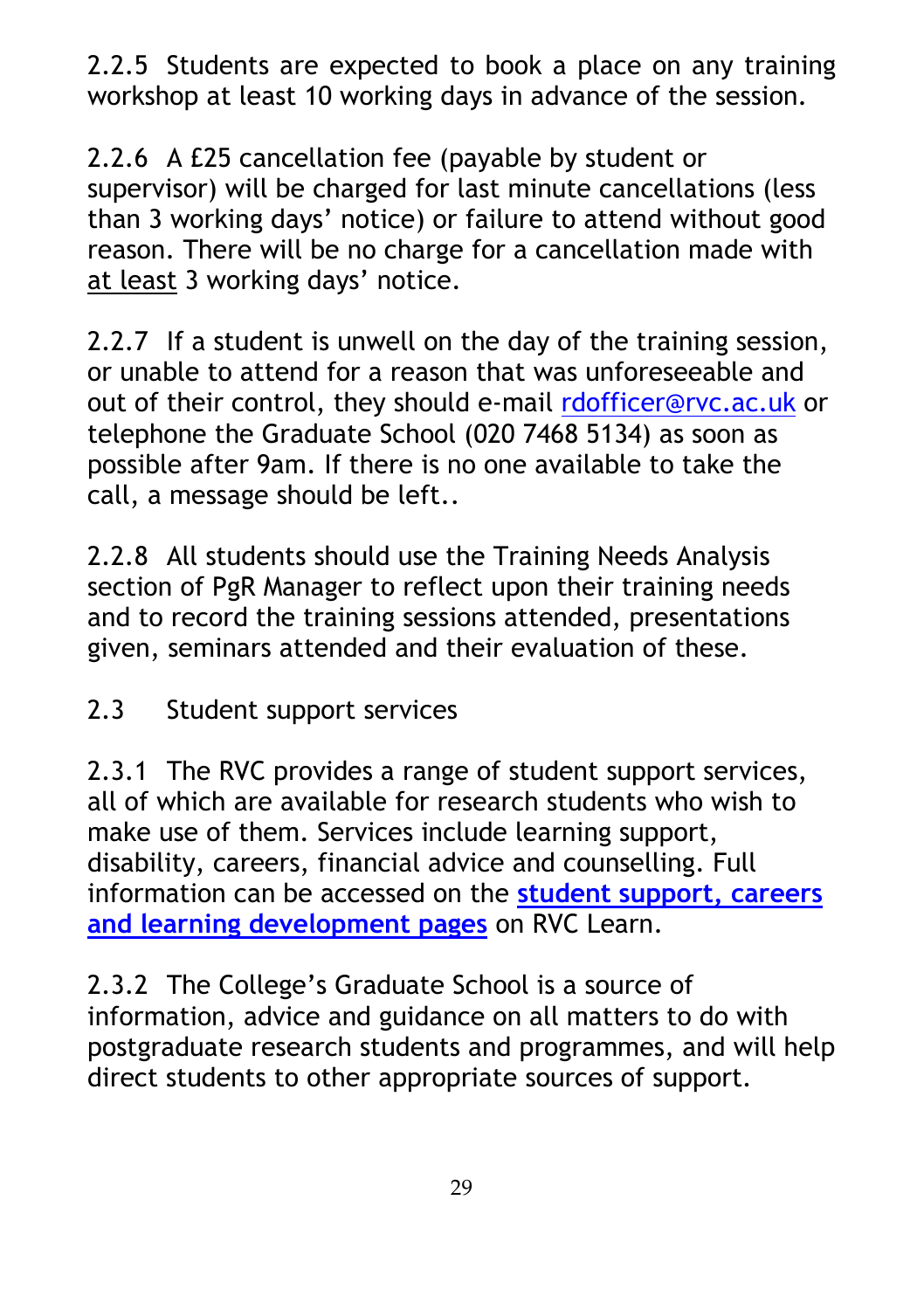2.2.5 Students are expected to book a place on any training workshop at least 10 working days in advance of the session.

2.2.6 A £25 cancellation fee (payable by student or supervisor) will be charged for last minute cancellations (less than 3 working days' notice) or failure to attend without good reason. There will be no charge for a cancellation made with at least 3 working days' notice.

2.2.7 If a student is unwell on the day of the training session, or unable to attend for a reason that was unforeseeable and out of their control, they should e-mail [rdofficer@rvc.ac.uk](mailto:rdofficer@rvc.ac.uk) or telephone the Graduate School (020 7468 5134) as soon as possible after 9am. If there is no one available to take the call, a message should be left..

2.2.8 All students should use the Training Needs Analysis section of PgR Manager to reflect upon their training needs and to record the training sessions attended, presentations given, seminars attended and their evaluation of these.

2.3 Student support services

2.3.1 The RVC provides a range of student support services, all of which are available for research students who wish to make use of them. Services include learning support, disability, careers, financial advice and counselling. Full information can be accessed on the **[student support, careers](https://learn.rvc.ac.uk/course/view.php?id=1639)  [and learning development pages](https://learn.rvc.ac.uk/course/view.php?id=1639)** on RVC Learn.

2.3.2 The College's Graduate School is a source of information, advice and guidance on all matters to do with postgraduate research students and programmes, and will help direct students to other appropriate sources of support.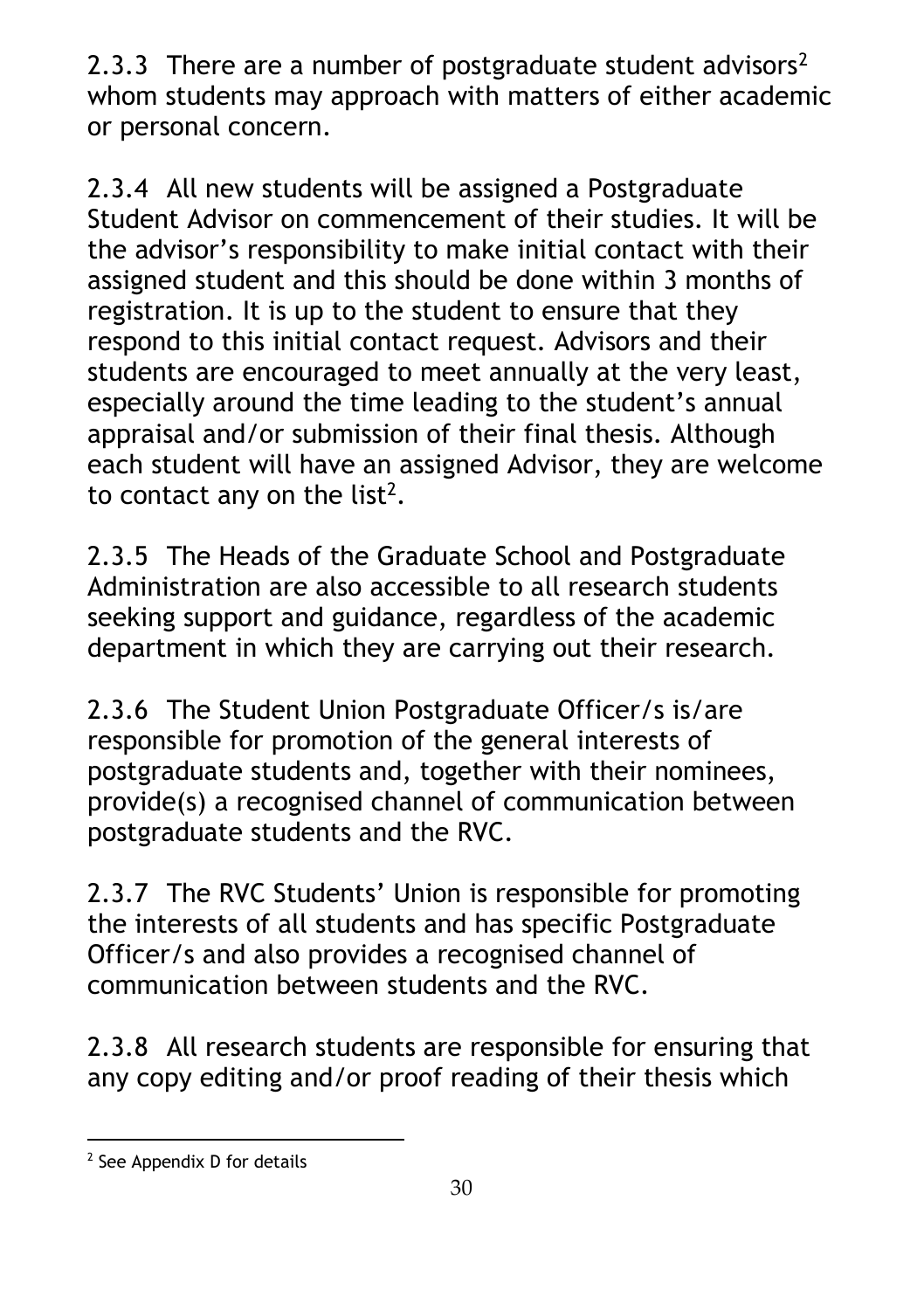[2](#page-29-0).3.3 There are a number of postgraduate student advisors<sup>2</sup> whom students may approach with matters of either academic or personal concern.

2.3.4 All new students will be assigned a Postgraduate Student Advisor on commencement of their studies. It will be the advisor's responsibility to make initial contact with their assigned student and this should be done within 3 months of registration. It is up to the student to ensure that they respond to this initial contact request. Advisors and their students are encouraged to meet annually at the very least, especially around the time leading to the student's annual appraisal and/or submission of their final thesis. Although each student will have an assigned Advisor, they are welcome to contact any on the list<sup>2</sup>.

2.3.5 The Heads of the Graduate School and Postgraduate Administration are also accessible to all research students seeking support and guidance, regardless of the academic department in which they are carrying out their research.

2.3.6 The Student Union Postgraduate Officer/s is/are responsible for promotion of the general interests of postgraduate students and, together with their nominees, provide(s) a recognised channel of communication between postgraduate students and the RVC.

2.3.7 The RVC Students' Union is responsible for promoting the interests of all students and has specific Postgraduate Officer/s and also provides a recognised channel of communication between students and the RVC.

2.3.8 All research students are responsible for ensuring that any copy editing and/or proof reading of their thesis which

<span id="page-29-0"></span> $\overline{a}$ <sup>2</sup> See Appendix D for details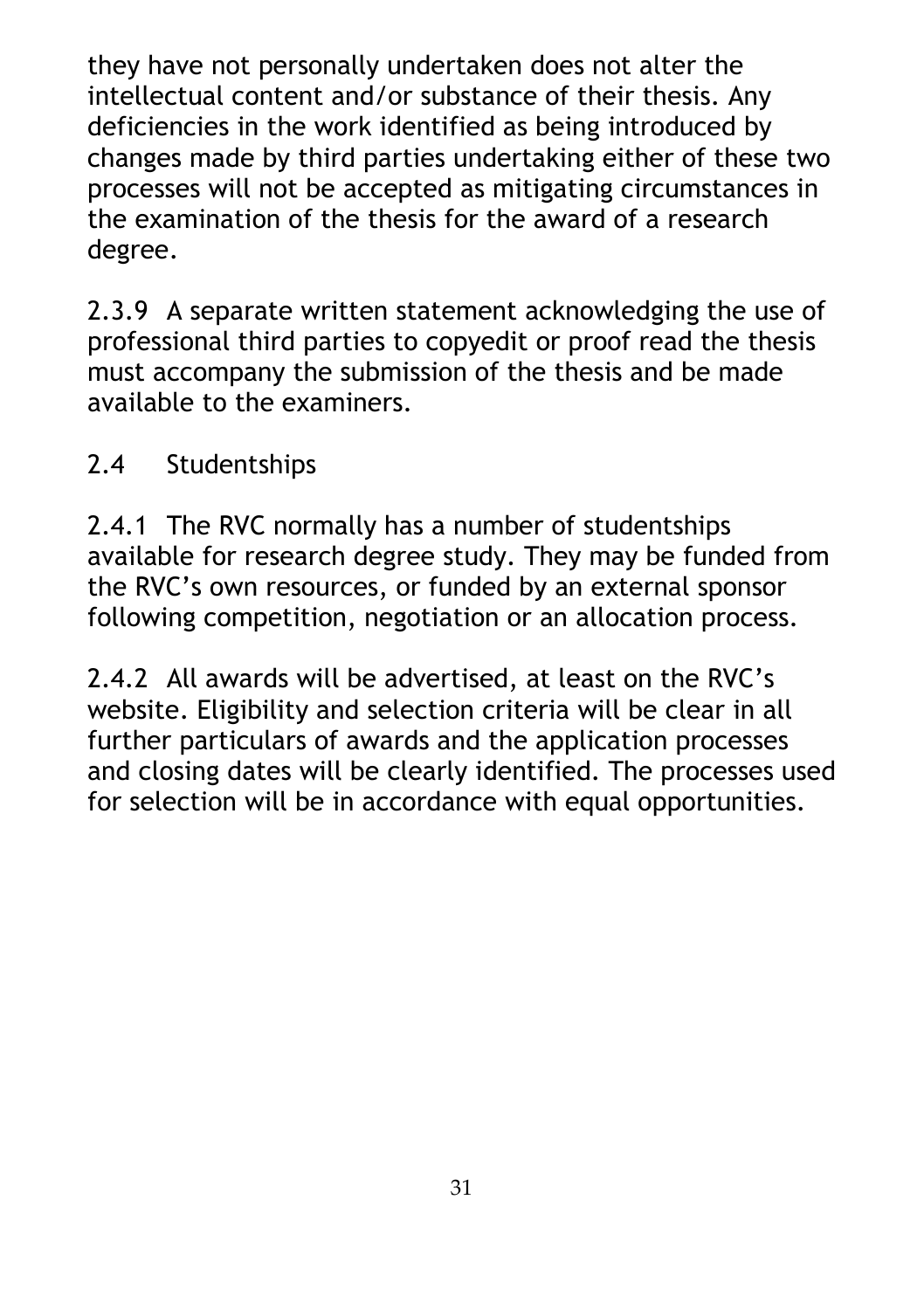they have not personally undertaken does not alter the intellectual content and/or substance of their thesis. Any deficiencies in the work identified as being introduced by changes made by third parties undertaking either of these two processes will not be accepted as mitigating circumstances in the examination of the thesis for the award of a research degree.

2.3.9 A separate written statement acknowledging the use of professional third parties to copyedit or proof read the thesis must accompany the submission of the thesis and be made available to the examiners.

## 2.4 Studentships

2.4.1 The RVC normally has a number of studentships available for research degree study. They may be funded from the RVC's own resources, or funded by an external sponsor following competition, negotiation or an allocation process.

2.4.2 All awards will be advertised, at least on the RVC's website. Eligibility and selection criteria will be clear in all further particulars of awards and the application processes and closing dates will be clearly identified. The processes used for selection will be in accordance with equal opportunities.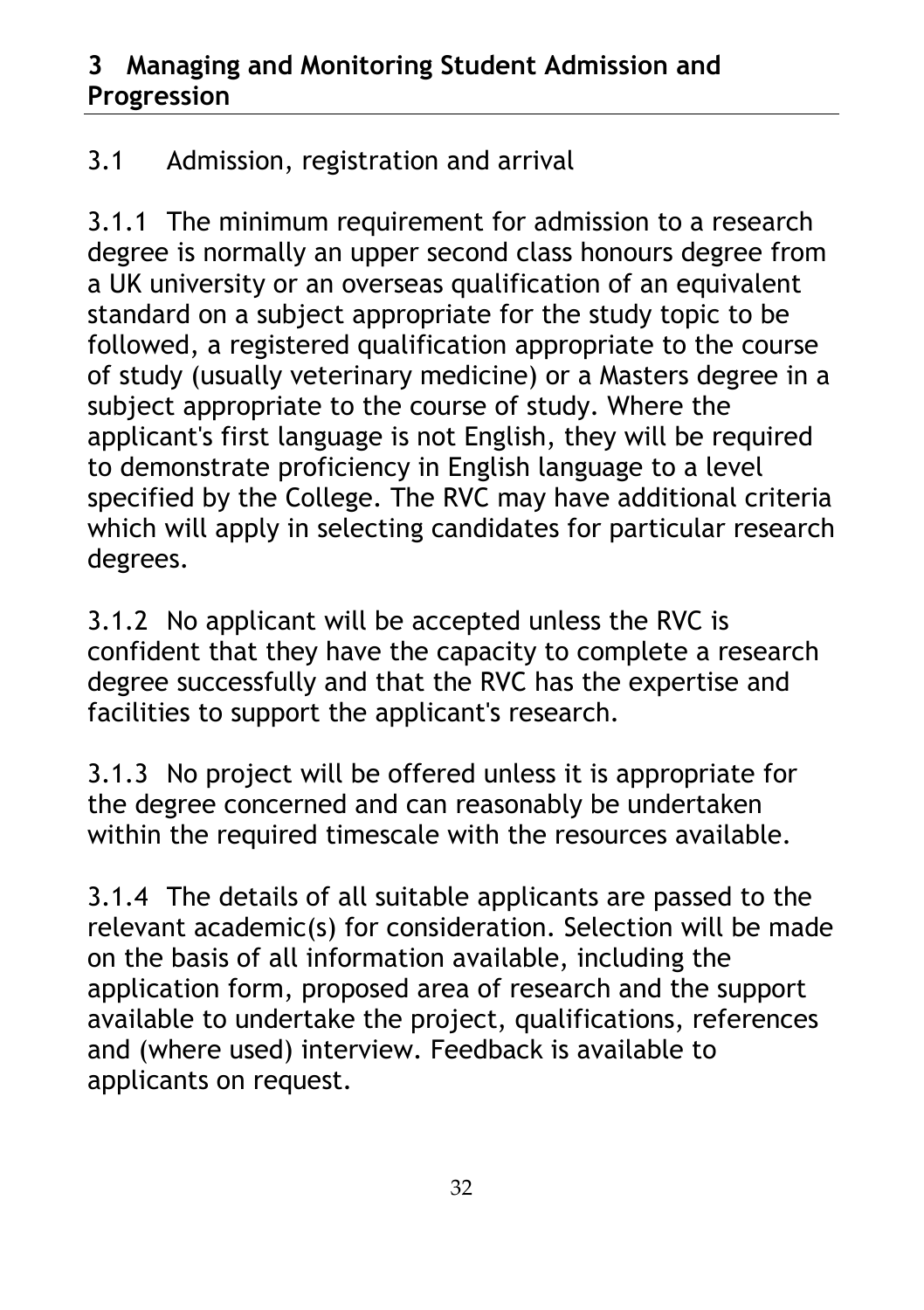#### **3 Managing and Monitoring Student Admission and Progression**

# 3.1 Admission, registration and arrival

3.1.1 The minimum requirement for admission to a research degree is normally an upper second class honours degree from a UK university or an overseas qualification of an equivalent standard on a subject appropriate for the study topic to be followed, a registered qualification appropriate to the course of study (usually veterinary medicine) or a Masters degree in a subject appropriate to the course of study. Where the applicant's first language is not English, they will be required to demonstrate proficiency in English language to a level specified by the College. The RVC may have additional criteria which will apply in selecting candidates for particular research degrees.

3.1.2 No applicant will be accepted unless the RVC is confident that they have the capacity to complete a research degree successfully and that the RVC has the expertise and facilities to support the applicant's research.

3.1.3 No project will be offered unless it is appropriate for the degree concerned and can reasonably be undertaken within the required timescale with the resources available.

3.1.4 The details of all suitable applicants are passed to the relevant academic(s) for consideration. Selection will be made on the basis of all information available, including the application form, proposed area of research and the support available to undertake the project, qualifications, references and (where used) interview. Feedback is available to applicants on request.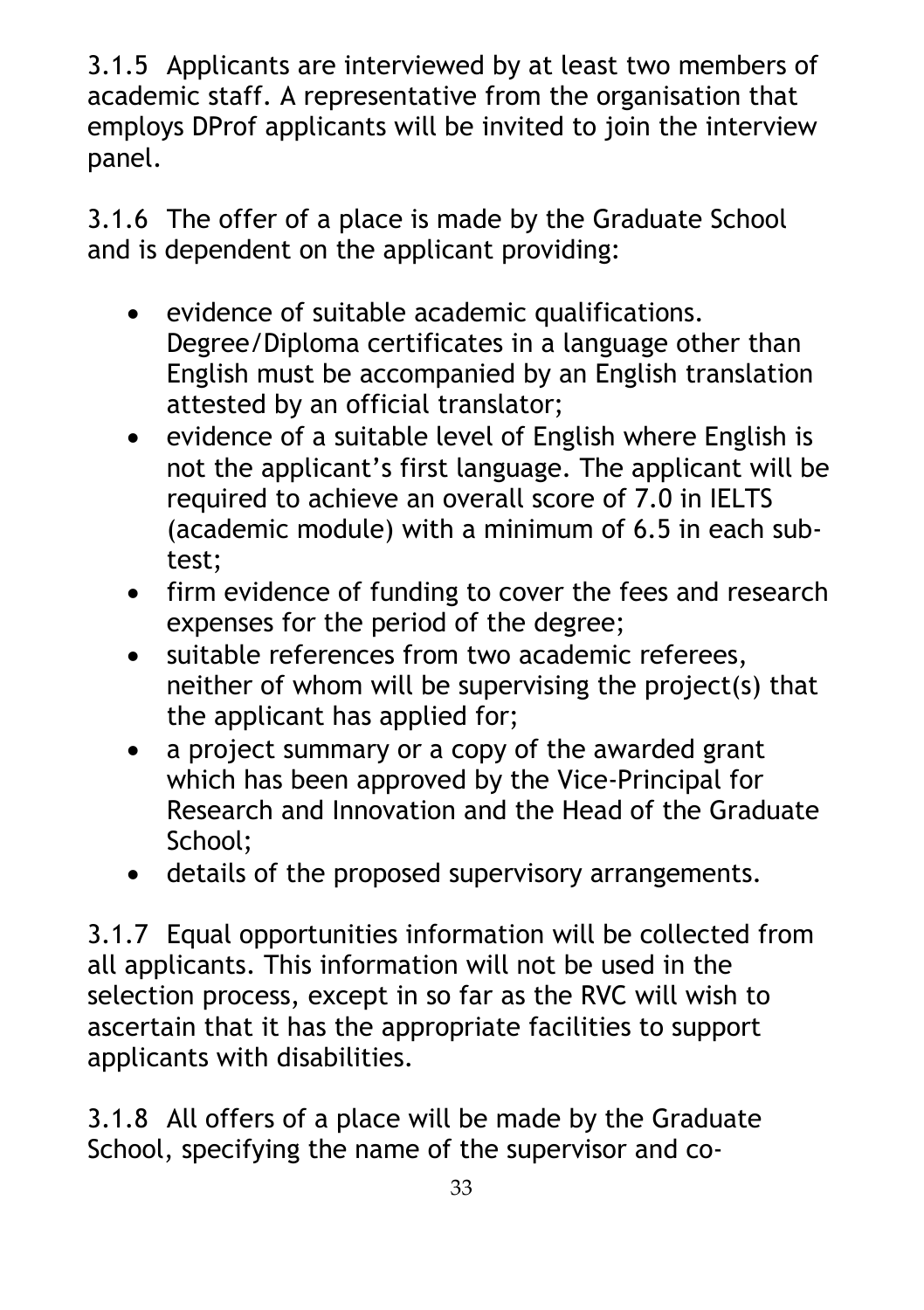3.1.5 Applicants are interviewed by at least two members of academic staff. A representative from the organisation that employs DProf applicants will be invited to join the interview panel.

3.1.6 The offer of a place is made by the Graduate School and is dependent on the applicant providing:

- evidence of suitable academic qualifications. Degree/Diploma certificates in a language other than English must be accompanied by an English translation attested by an official translator;
- evidence of a suitable level of English where English is not the applicant's first language. The applicant will be required to achieve an overall score of 7.0 in IELTS (academic module) with a minimum of 6.5 in each subtest;
- firm evidence of funding to cover the fees and research expenses for the period of the degree;
- suitable references from two academic referees, neither of whom will be supervising the project(s) that the applicant has applied for;
- a project summary or a copy of the awarded grant which has been approved by the Vice-Principal for Research and Innovation and the Head of the Graduate School;
- details of the proposed supervisory arrangements.

3.1.7 Equal opportunities information will be collected from all applicants. This information will not be used in the selection process, except in so far as the RVC will wish to ascertain that it has the appropriate facilities to support applicants with disabilities.

3.1.8 All offers of a place will be made by the Graduate School, specifying the name of the supervisor and co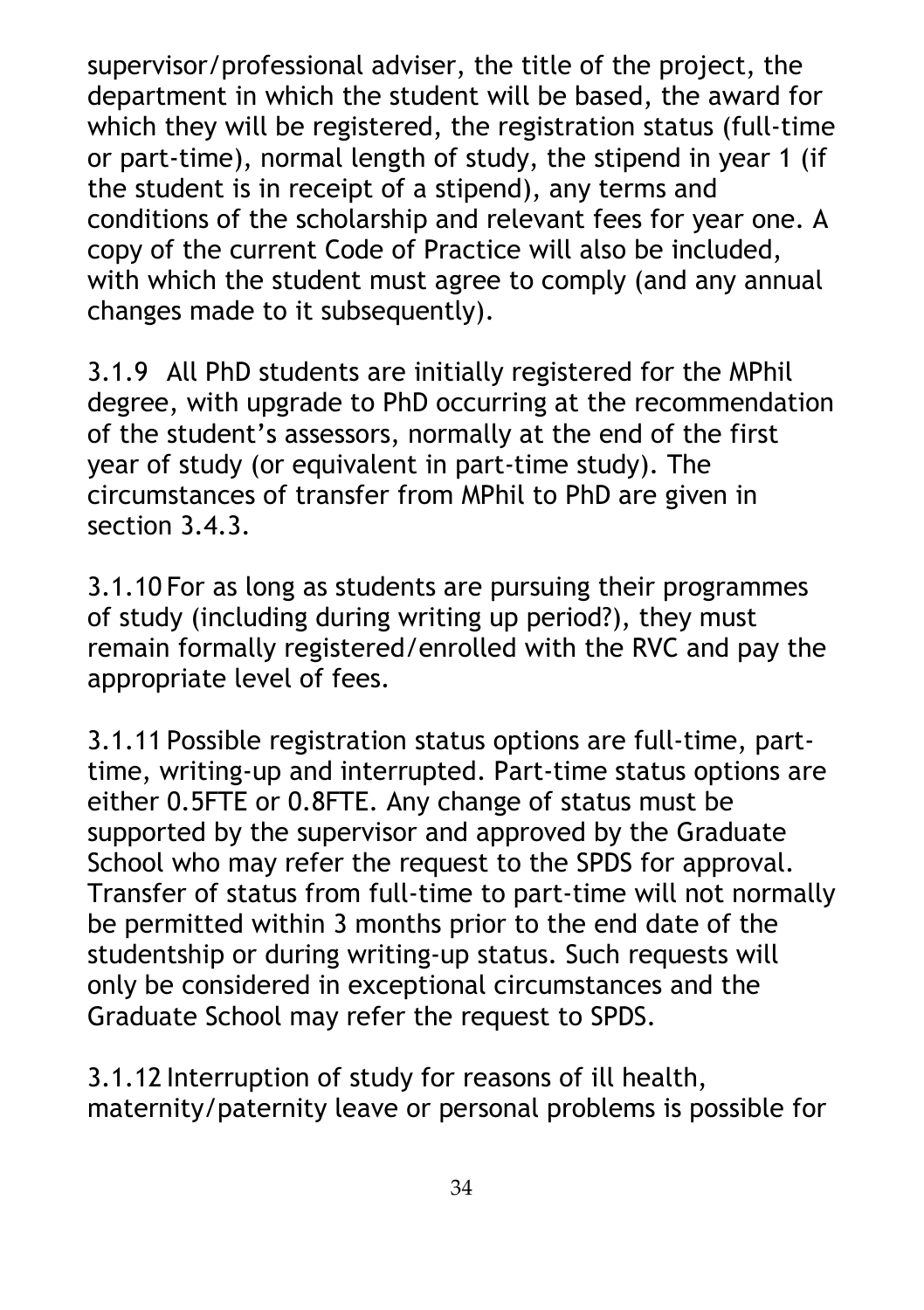supervisor/professional adviser, the title of the project, the department in which the student will be based, the award for which they will be registered, the registration status (full-time or part-time), normal length of study, the stipend in year 1 (if the student is in receipt of a stipend), any terms and conditions of the scholarship and relevant fees for year one. A copy of the current Code of Practice will also be included, with which the student must agree to comply (and any annual changes made to it subsequently).

3.1.9 All PhD students are initially registered for the MPhil degree, with upgrade to PhD occurring at the recommendation of the student's assessors, normally at the end of the first year of study (or equivalent in part-time study). The circumstances of transfer from MPhil to PhD are given in section 3.4.3.

3.1.10 For as long as students are pursuing their programmes of study (including during writing up period?), they must remain formally registered/enrolled with the RVC and pay the appropriate level of fees.

3.1.11 Possible registration status options are full-time, parttime, writing-up and interrupted. Part-time status options are either 0.5FTE or 0.8FTE. Any change of status must be supported by the supervisor and approved by the Graduate School who may refer the request to the SPDS for approval. Transfer of status from full-time to part-time will not normally be permitted within 3 months prior to the end date of the studentship or during writing-up status. Such requests will only be considered in exceptional circumstances and the Graduate School may refer the request to SPDS.

3.1.12 Interruption of study for reasons of ill health, maternity/paternity leave or personal problems is possible for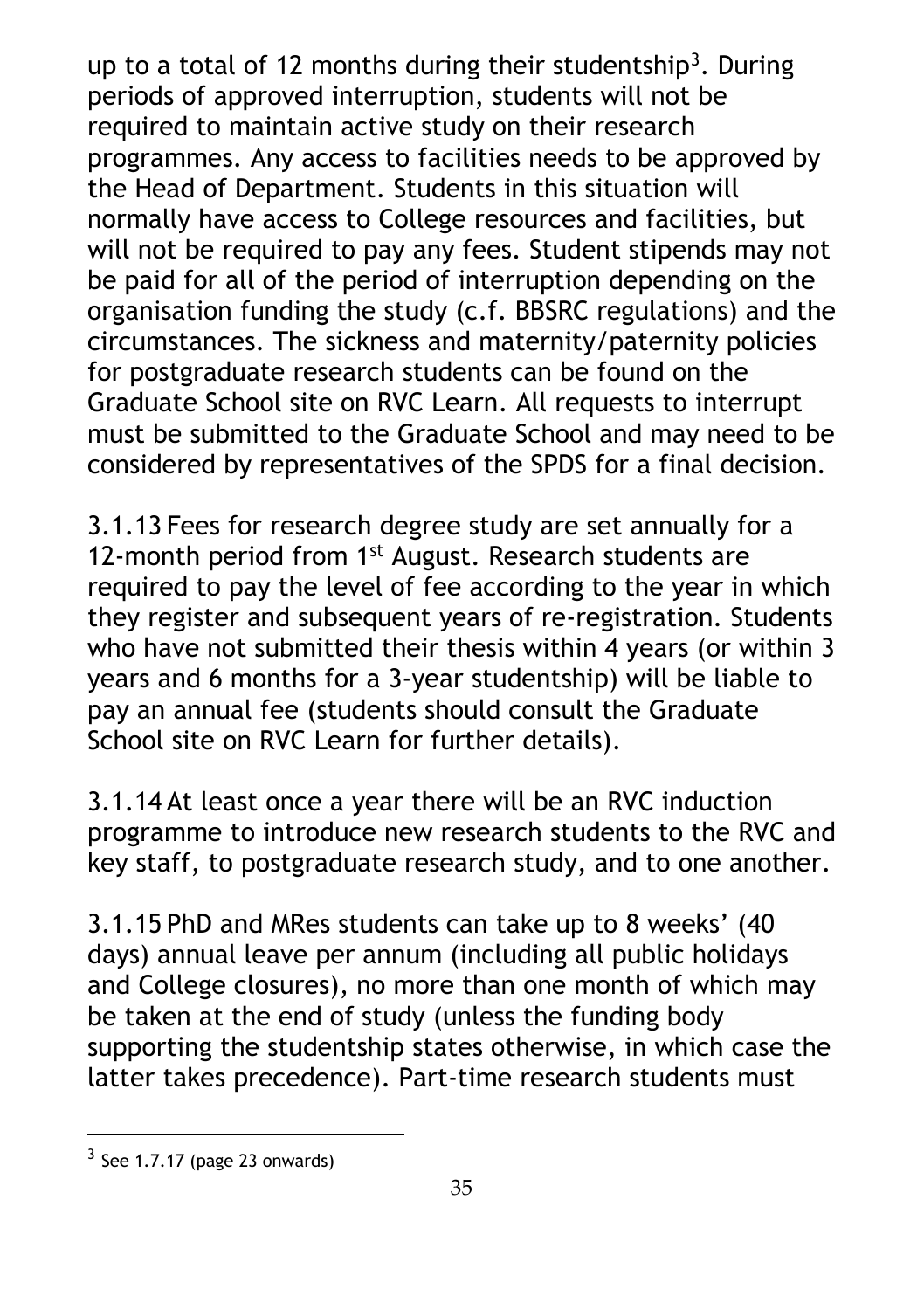up to a total of 12 months during their studentship<sup>[3](#page-34-0)</sup>. During periods of approved interruption, students will not be required to maintain active study on their research programmes. Any access to facilities needs to be approved by the Head of Department. Students in this situation will normally have access to College resources and facilities, but will not be required to pay any fees. Student stipends may not be paid for all of the period of interruption depending on the organisation funding the study (c.f. BBSRC regulations) and the circumstances. The sickness and maternity/paternity policies for postgraduate research students can be found on the Graduate School site on RVC Learn. All requests to interrupt must be submitted to the Graduate School and may need to be considered by representatives of the SPDS for a final decision.

3.1.13 Fees for research degree study are set annually for a 12-month period from 1<sup>st</sup> August. Research students are required to pay the level of fee according to the year in which they register and subsequent years of re-registration. Students who have not submitted their thesis within 4 years (or within 3 years and 6 months for a 3-year studentship) will be liable to pay an annual fee (students should consult the Graduate School site on RVC Learn for further details).

3.1.14 At least once a year there will be an RVC induction programme to introduce new research students to the RVC and key staff, to postgraduate research study, and to one another.

3.1.15 PhD and MRes students can take up to 8 weeks' (40 days) annual leave per annum (including all public holidays and College closures), no more than one month of which may be taken at the end of study (unless the funding body supporting the studentship states otherwise, in which case the latter takes precedence). Part-time research students must

 $\overline{a}$ 

<span id="page-34-0"></span> $3$  See 1.7.17 (page 23 onwards)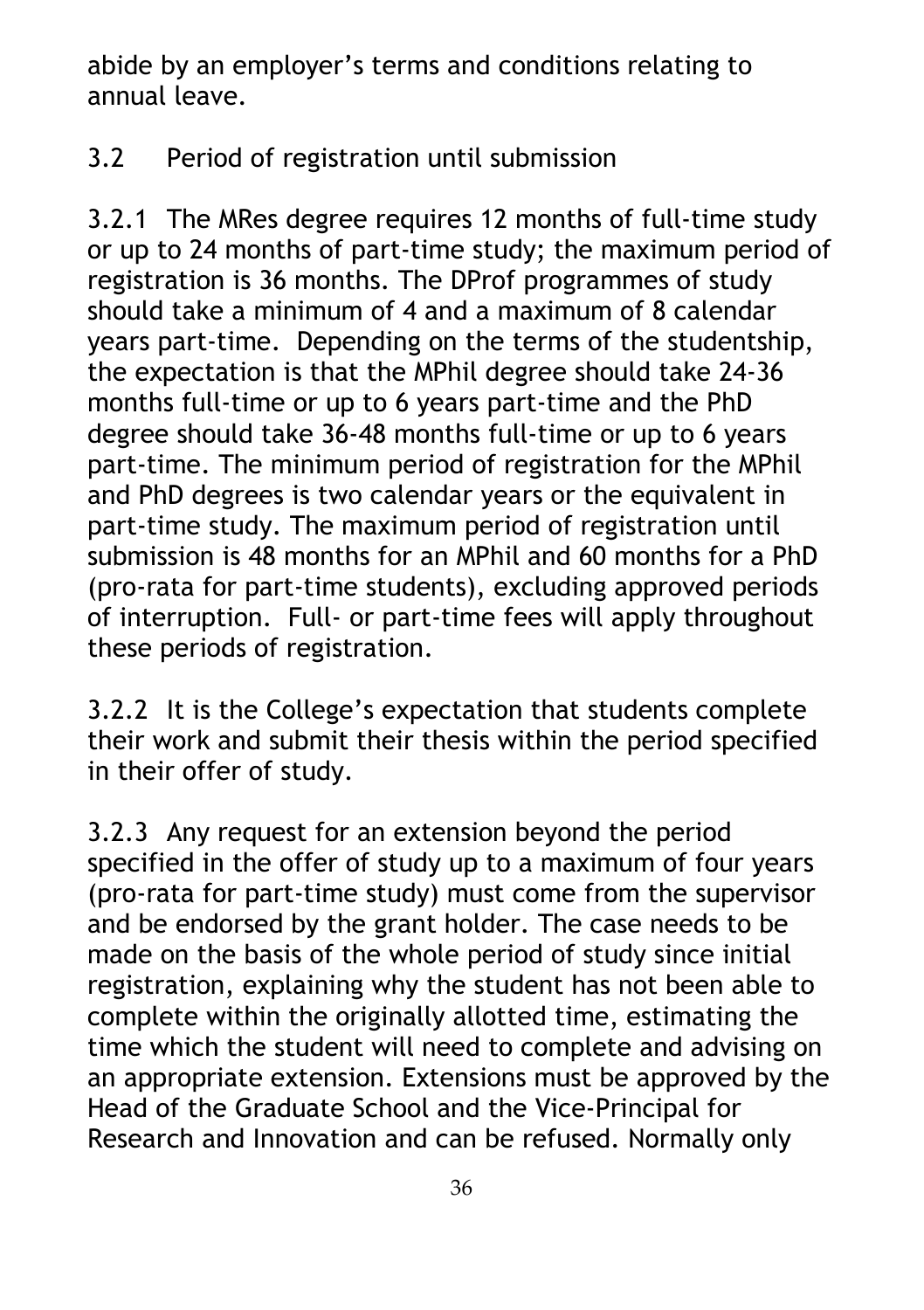abide by an employer's terms and conditions relating to annual leave.

### 3.2 Period of registration until submission

3.2.1 The MRes degree requires 12 months of full-time study or up to 24 months of part-time study; the maximum period of registration is 36 months. The DProf programmes of study should take a minimum of 4 and a maximum of 8 calendar years part-time. Depending on the terms of the studentship, the expectation is that the MPhil degree should take 24-36 months full-time or up to 6 years part-time and the PhD degree should take 36-48 months full-time or up to 6 years part-time. The minimum period of registration for the MPhil and PhD degrees is two calendar years or the equivalent in part-time study. The maximum period of registration until submission is 48 months for an MPhil and 60 months for a PhD (pro-rata for part-time students), excluding approved periods of interruption. Full- or part-time fees will apply throughout these periods of registration.

3.2.2 It is the College's expectation that students complete their work and submit their thesis within the period specified in their offer of study.

3.2.3 Any request for an extension beyond the period specified in the offer of study up to a maximum of four years (pro-rata for part-time study) must come from the supervisor and be endorsed by the grant holder. The case needs to be made on the basis of the whole period of study since initial registration, explaining why the student has not been able to complete within the originally allotted time, estimating the time which the student will need to complete and advising on an appropriate extension. Extensions must be approved by the Head of the Graduate School and the Vice-Principal for Research and Innovation and can be refused. Normally only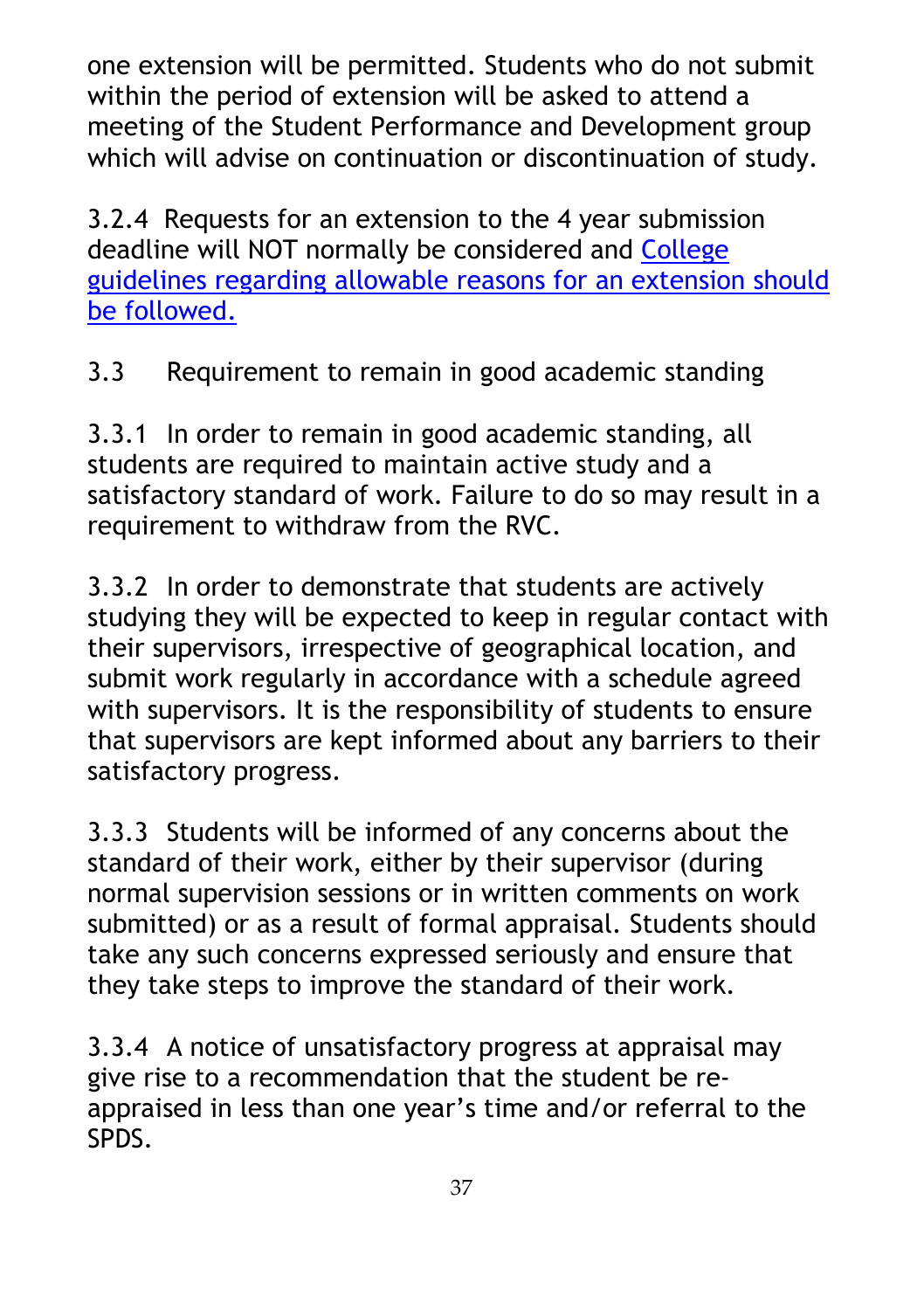one extension will be permitted. Students who do not submit within the period of extension will be asked to attend a meeting of the Student Performance and Development group which will advise on continuation or discontinuation of study.

3.2.4 Requests for an extension to the 4 year submission deadline will NOT normally be considered and [College](https://www.rvc.ac.uk/Media/Default/About/Academic%20Quality,%20Regulations%20and%20Procedures/General/General%20Regulations%20for%20Study%20and%20Award-1.pdf)  [guidelines regarding allowable reasons for an extension should](https://www.rvc.ac.uk/Media/Default/About/Academic%20Quality,%20Regulations%20and%20Procedures/General/General%20Regulations%20for%20Study%20and%20Award-1.pdf)  [be followed.](https://www.rvc.ac.uk/Media/Default/About/Academic%20Quality,%20Regulations%20and%20Procedures/General/General%20Regulations%20for%20Study%20and%20Award-1.pdf)

3.3 Requirement to remain in good academic standing

3.3.1 In order to remain in good academic standing, all students are required to maintain active study and a satisfactory standard of work. Failure to do so may result in a requirement to withdraw from the RVC.

3.3.2 In order to demonstrate that students are actively studying they will be expected to keep in regular contact with their supervisors, irrespective of geographical location, and submit work regularly in accordance with a schedule agreed with supervisors. It is the responsibility of students to ensure that supervisors are kept informed about any barriers to their satisfactory progress.

3.3.3 Students will be informed of any concerns about the standard of their work, either by their supervisor (during normal supervision sessions or in written comments on work submitted) or as a result of formal appraisal. Students should take any such concerns expressed seriously and ensure that they take steps to improve the standard of their work.

3.3.4 A notice of unsatisfactory progress at appraisal may give rise to a recommendation that the student be reappraised in less than one year's time and/or referral to the SPDS.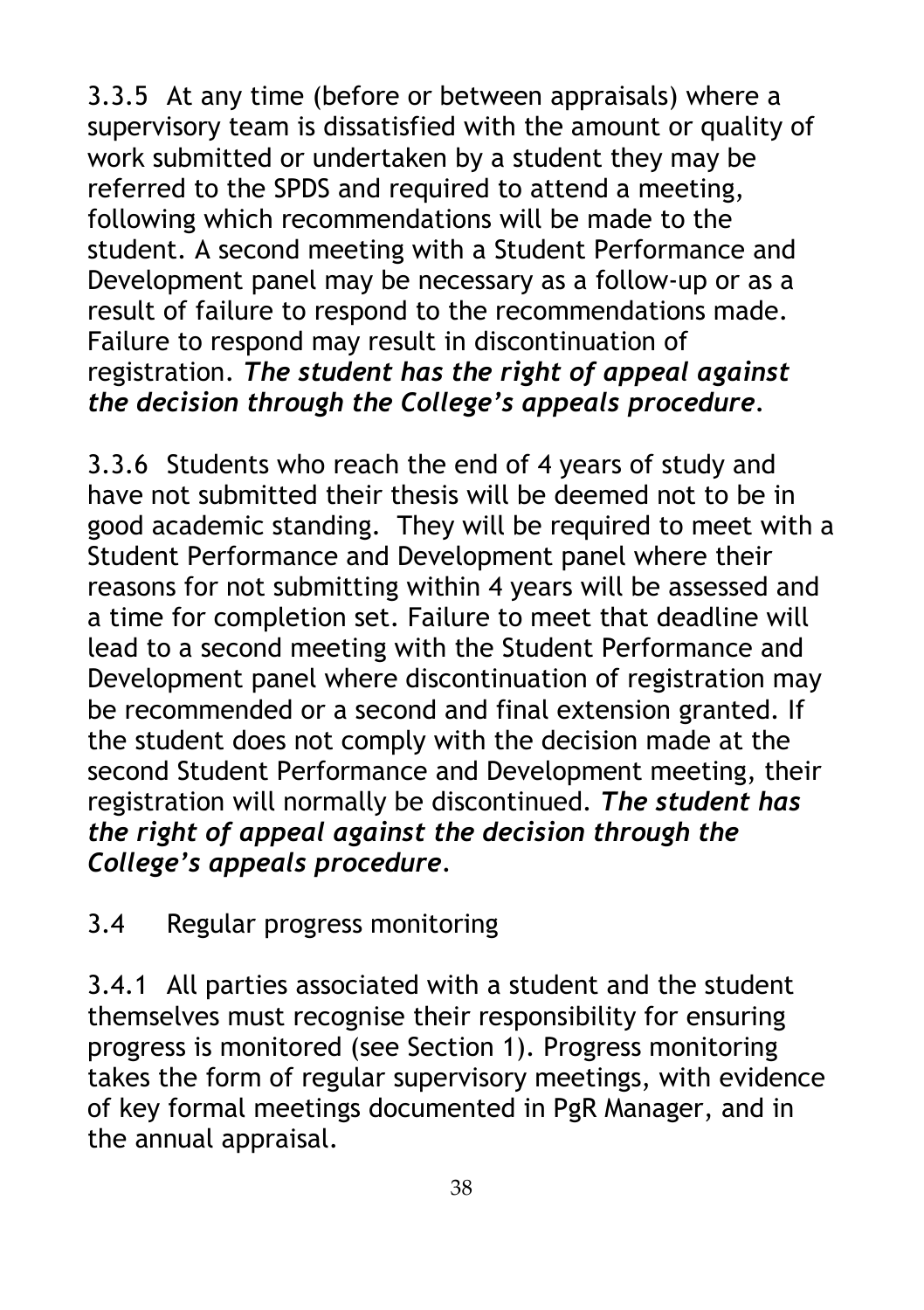3.3.5 At any time (before or between appraisals) where a supervisory team is dissatisfied with the amount or quality of work submitted or undertaken by a student they may be referred to the SPDS and required to attend a meeting, following which recommendations will be made to the student. A second meeting with a Student Performance and Development panel may be necessary as a follow-up or as a result of failure to respond to the recommendations made. Failure to respond may result in discontinuation of registration. *The student has the right of appeal against the decision through the College's appeals procedure.*

3.3.6 Students who reach the end of 4 years of study and have not submitted their thesis will be deemed not to be in good academic standing. They will be required to meet with a Student Performance and Development panel where their reasons for not submitting within 4 years will be assessed and a time for completion set. Failure to meet that deadline will lead to a second meeting with the Student Performance and Development panel where discontinuation of registration may be recommended or a second and final extension granted. If the student does not comply with the decision made at the second Student Performance and Development meeting, their registration will normally be discontinued. *The student has the right of appeal against the decision through the College's appeals procedure.*

## 3.4 Regular progress monitoring

3.4.1 All parties associated with a student and the student themselves must recognise their responsibility for ensuring progress is monitored (see Section 1). Progress monitoring takes the form of regular supervisory meetings, with evidence of key formal meetings documented in PgR Manager, and in the annual appraisal.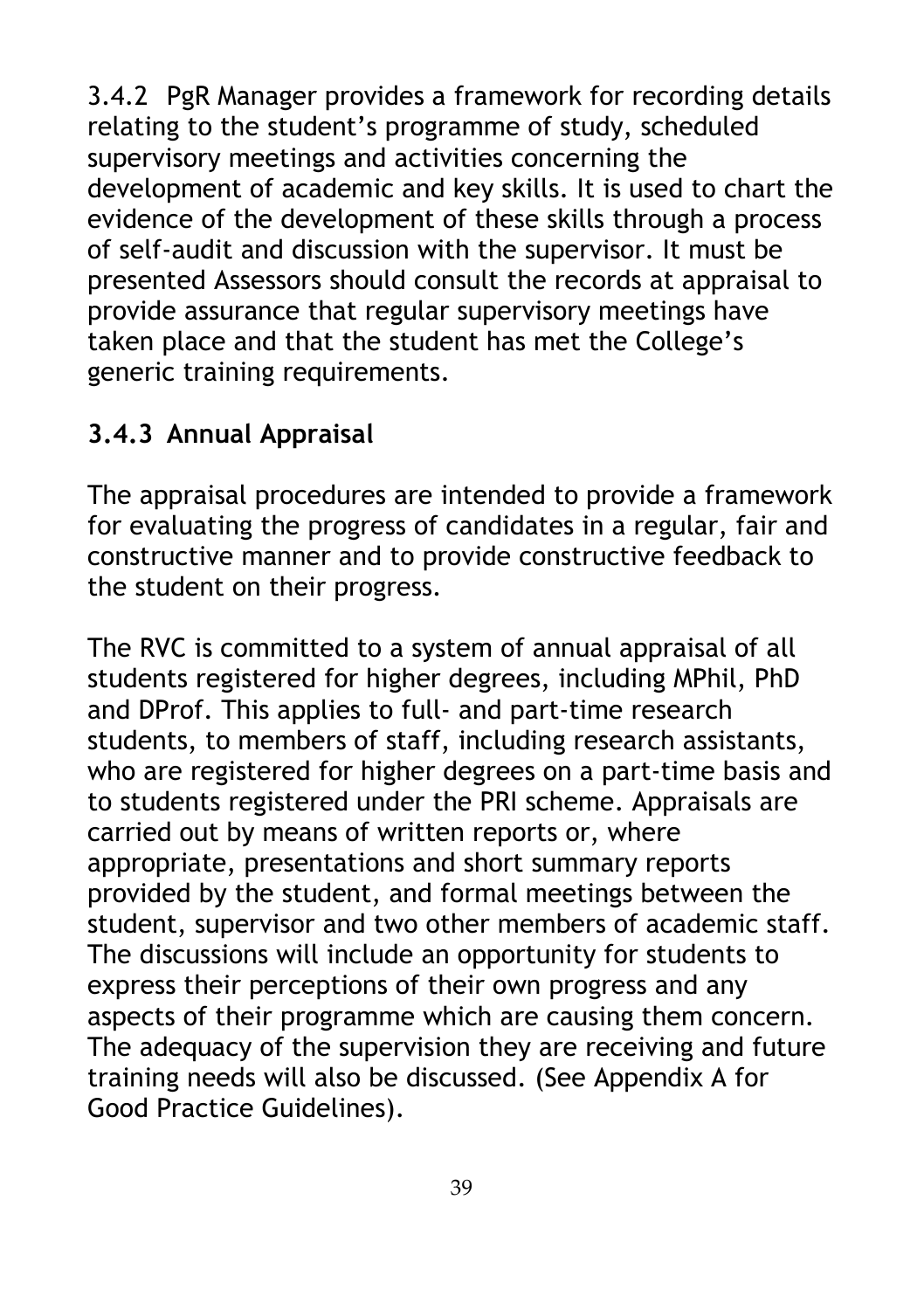3.4.2 PgR Manager provides a framework for recording details relating to the student's programme of study, scheduled supervisory meetings and activities concerning the development of academic and key skills. It is used to chart the evidence of the development of these skills through a process of self-audit and discussion with the supervisor. It must be presented Assessors should consult the records at appraisal to provide assurance that regular supervisory meetings have taken place and that the student has met the College's generic training requirements.

# **3.4.3 Annual Appraisal**

The appraisal procedures are intended to provide a framework for evaluating the progress of candidates in a regular, fair and constructive manner and to provide constructive feedback to the student on their progress.

The RVC is committed to a system of annual appraisal of all students registered for higher degrees, including MPhil, PhD and DProf. This applies to full- and part-time research students, to members of staff, including research assistants, who are registered for higher degrees on a part-time basis and to students registered under the PRI scheme. Appraisals are carried out by means of written reports or, where appropriate, presentations and short summary reports provided by the student, and formal meetings between the student, supervisor and two other members of academic staff. The discussions will include an opportunity for students to express their perceptions of their own progress and any aspects of their programme which are causing them concern. The adequacy of the supervision they are receiving and future training needs will also be discussed. (See Appendix A for Good Practice Guidelines).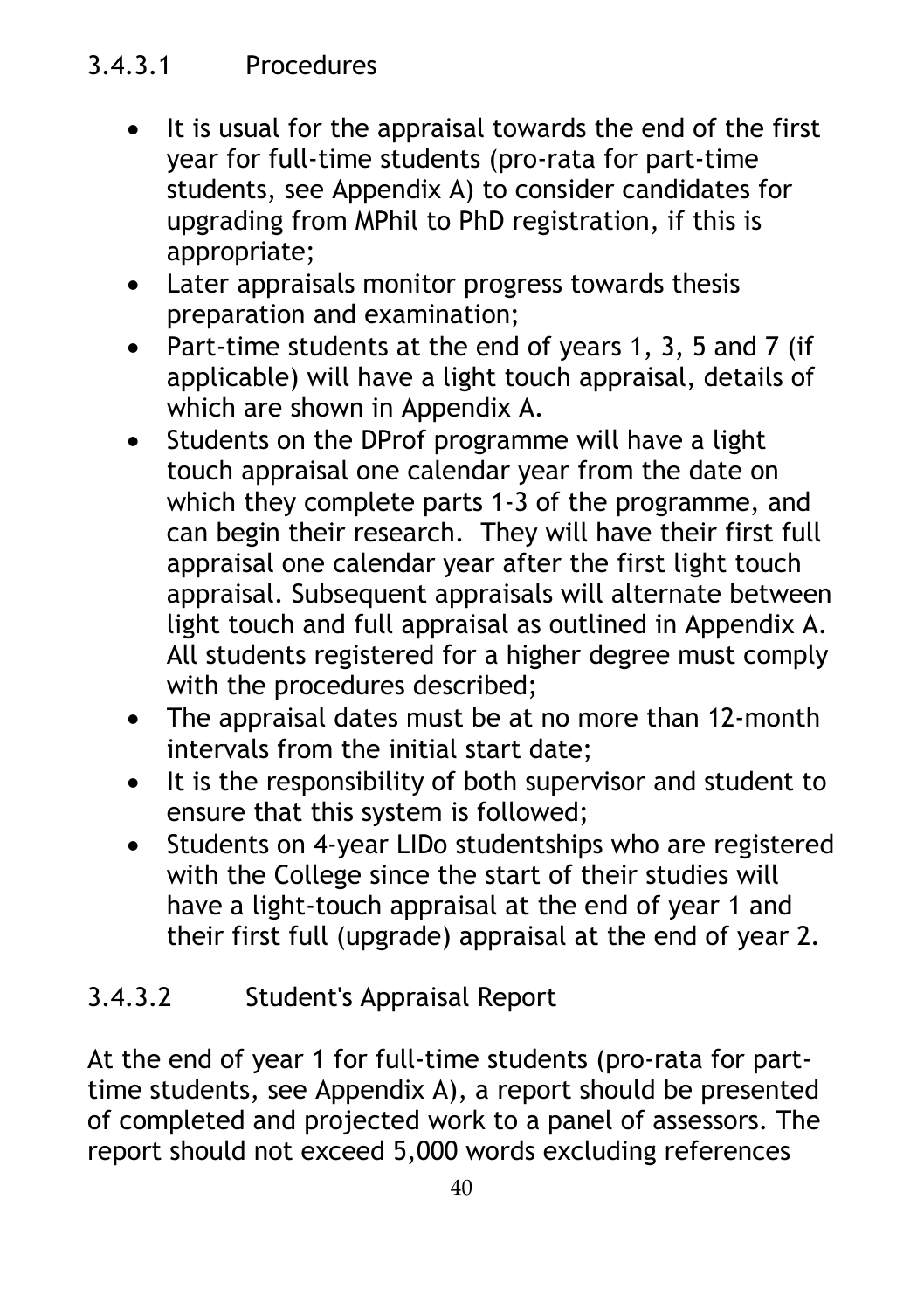# 3.4.3.1 Procedures

- It is usual for the appraisal towards the end of the first year for full-time students (pro-rata for part-time students, see Appendix A) to consider candidates for upgrading from MPhil to PhD registration, if this is appropriate;
- Later appraisals monitor progress towards thesis preparation and examination;
- Part-time students at the end of years 1, 3, 5 and 7 (if applicable) will have a light touch appraisal, details of which are shown in Appendix A.
- Students on the DProf programme will have a light touch appraisal one calendar year from the date on which they complete parts 1-3 of the programme, and can begin their research. They will have their first full appraisal one calendar year after the first light touch appraisal. Subsequent appraisals will alternate between light touch and full appraisal as outlined in Appendix A. All students registered for a higher degree must comply with the procedures described;
- The appraisal dates must be at no more than 12-month intervals from the initial start date;
- It is the responsibility of both supervisor and student to ensure that this system is followed;
- Students on 4-year LIDo studentships who are registered with the College since the start of their studies will have a light-touch appraisal at the end of year 1 and their first full (upgrade) appraisal at the end of year 2.

## 3.4.3.2 Student's Appraisal Report

At the end of year 1 for full-time students (pro-rata for parttime students, see Appendix A), a report should be presented of completed and projected work to a panel of assessors. The report should not exceed 5,000 words excluding references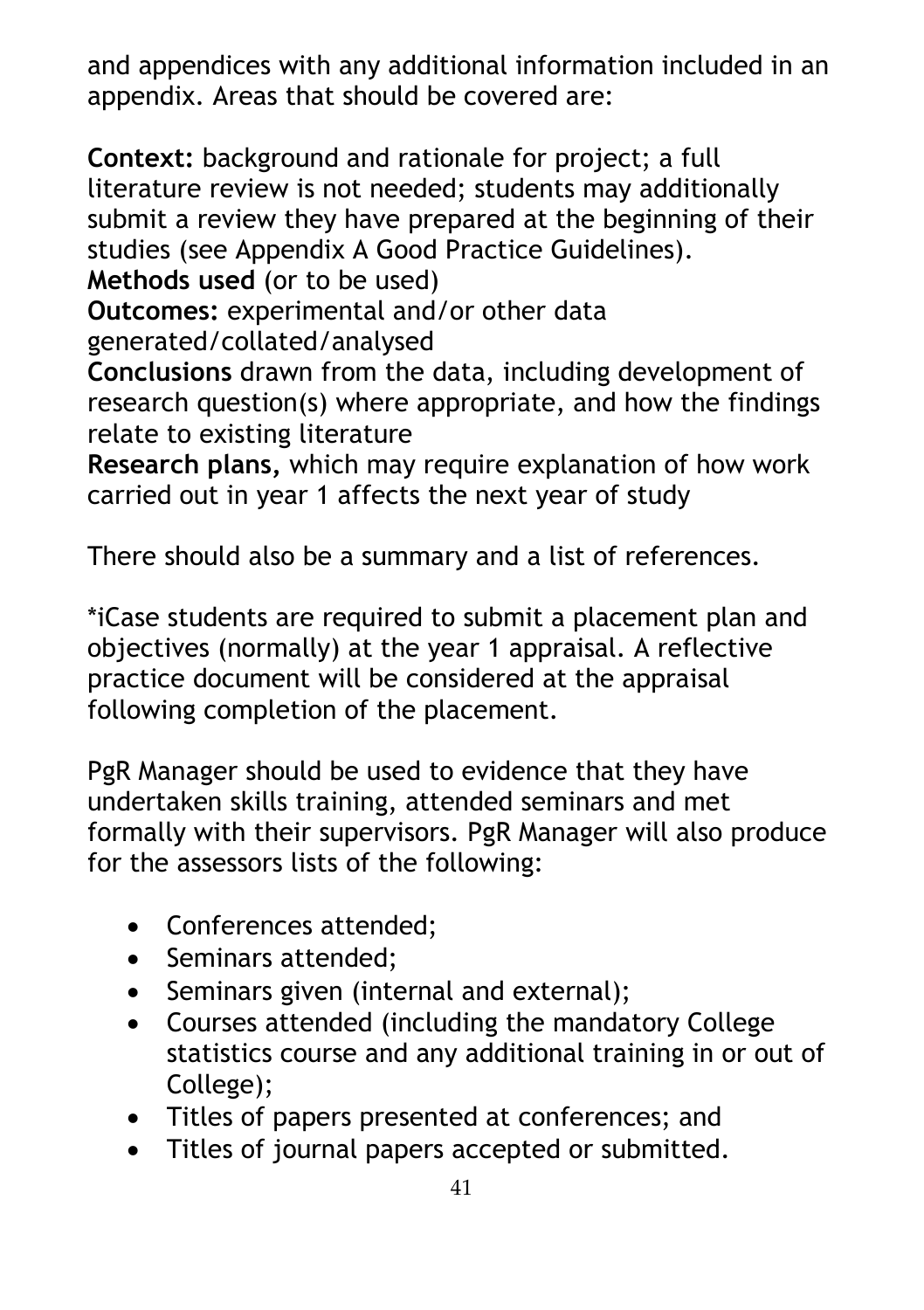and appendices with any additional information included in an appendix. Areas that should be covered are:

**Context:** background and rationale for project; a full literature review is not needed; students may additionally submit a review they have prepared at the beginning of their studies (see Appendix A Good Practice Guidelines).

**Methods used** (or to be used)

**Outcomes:** experimental and/or other data

generated/collated/analysed

**Conclusions** drawn from the data, including development of research question(s) where appropriate, and how the findings relate to existing literature

**Research plans,** which may require explanation of how work carried out in year 1 affects the next year of study

There should also be a summary and a list of references.

\*iCase students are required to submit a placement plan and objectives (normally) at the year 1 appraisal. A reflective practice document will be considered at the appraisal following completion of the placement.

PgR Manager should be used to evidence that they have undertaken skills training, attended seminars and met formally with their supervisors. PgR Manager will also produce for the assessors lists of the following:

- Conferences attended;
- Seminars attended;
- Seminars given (internal and external);
- Courses attended (including the mandatory College statistics course and any additional training in or out of College);
- Titles of papers presented at conferences; and
- Titles of journal papers accepted or submitted.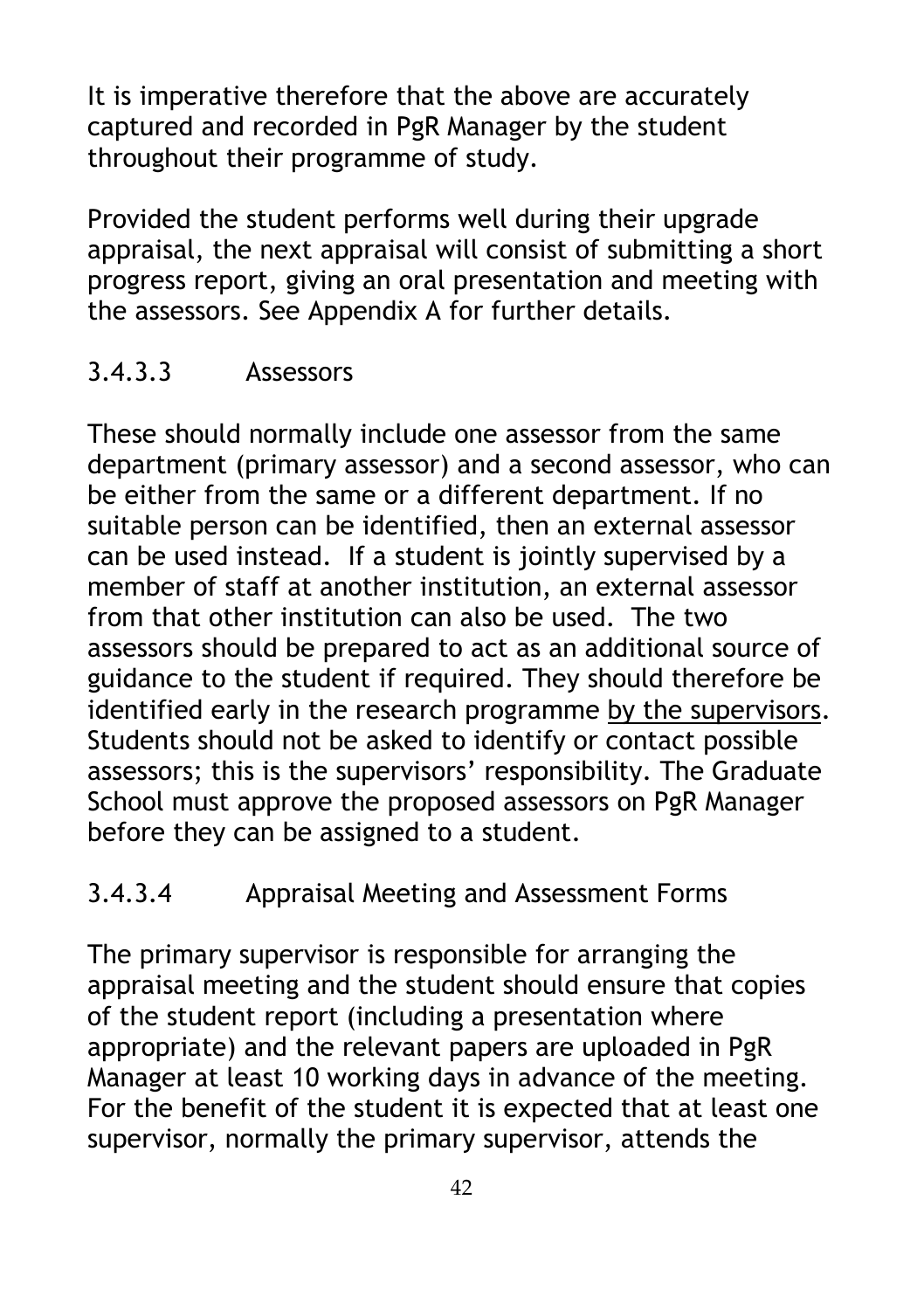It is imperative therefore that the above are accurately captured and recorded in PgR Manager by the student throughout their programme of study.

Provided the student performs well during their upgrade appraisal, the next appraisal will consist of submitting a short progress report, giving an oral presentation and meeting with the assessors. See Appendix A for further details.

## 3.4.3.3 Assessors

These should normally include one assessor from the same department (primary assessor) and a second assessor, who can be either from the same or a different department. If no suitable person can be identified, then an external assessor can be used instead. If a student is jointly supervised by a member of staff at another institution, an external assessor from that other institution can also be used. The two assessors should be prepared to act as an additional source of guidance to the student if required. They should therefore be identified early in the research programme by the supervisors. Students should not be asked to identify or contact possible assessors; this is the supervisors' responsibility. The Graduate School must approve the proposed assessors on PgR Manager before they can be assigned to a student.

# 3.4.3.4 Appraisal Meeting and Assessment Forms

The primary supervisor is responsible for arranging the appraisal meeting and the student should ensure that copies of the student report (including a presentation where appropriate) and the relevant papers are uploaded in PgR Manager at least 10 working days in advance of the meeting. For the benefit of the student it is expected that at least one supervisor, normally the primary supervisor, attends the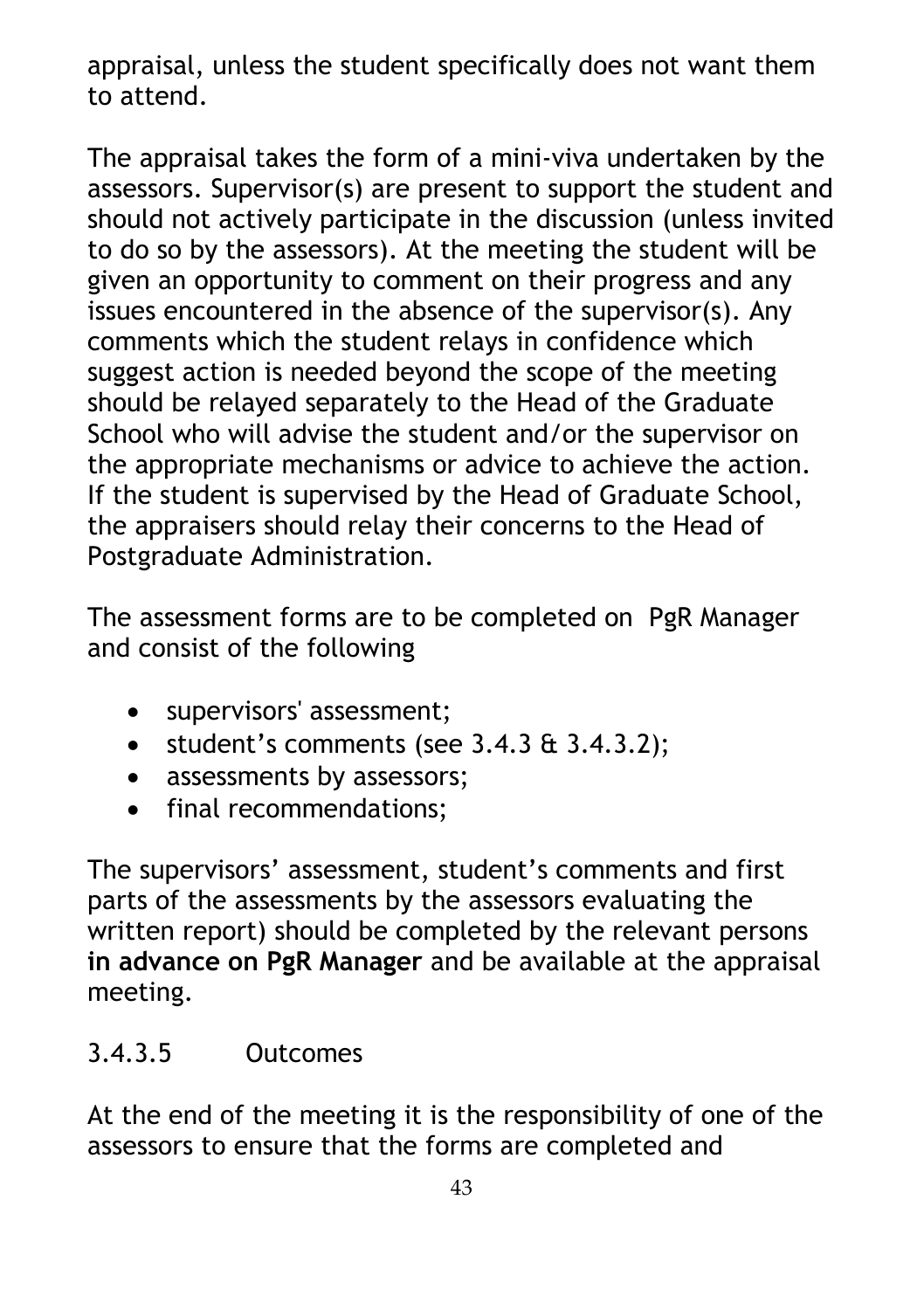appraisal, unless the student specifically does not want them to attend.

The appraisal takes the form of a mini-viva undertaken by the assessors. Supervisor(s) are present to support the student and should not actively participate in the discussion (unless invited to do so by the assessors). At the meeting the student will be given an opportunity to comment on their progress and any issues encountered in the absence of the supervisor(s). Any comments which the student relays in confidence which suggest action is needed beyond the scope of the meeting should be relayed separately to the Head of the Graduate School who will advise the student and/or the supervisor on the appropriate mechanisms or advice to achieve the action. If the student is supervised by the Head of Graduate School, the appraisers should relay their concerns to the Head of Postgraduate Administration.

The assessment forms are to be completed on PgR Manager and consist of the following

- supervisors' assessment;
- $\bullet$  student's comments (see 3.4.3  $\&$  3.4.3.2);
- assessments by assessors;
- final recommendations;

The supervisors' assessment, student's comments and first parts of the assessments by the assessors evaluating the written report) should be completed by the relevant persons **in advance on PgR Manager** and be available at the appraisal meeting.

### 3.4.3.5 Outcomes

At the end of the meeting it is the responsibility of one of the assessors to ensure that the forms are completed and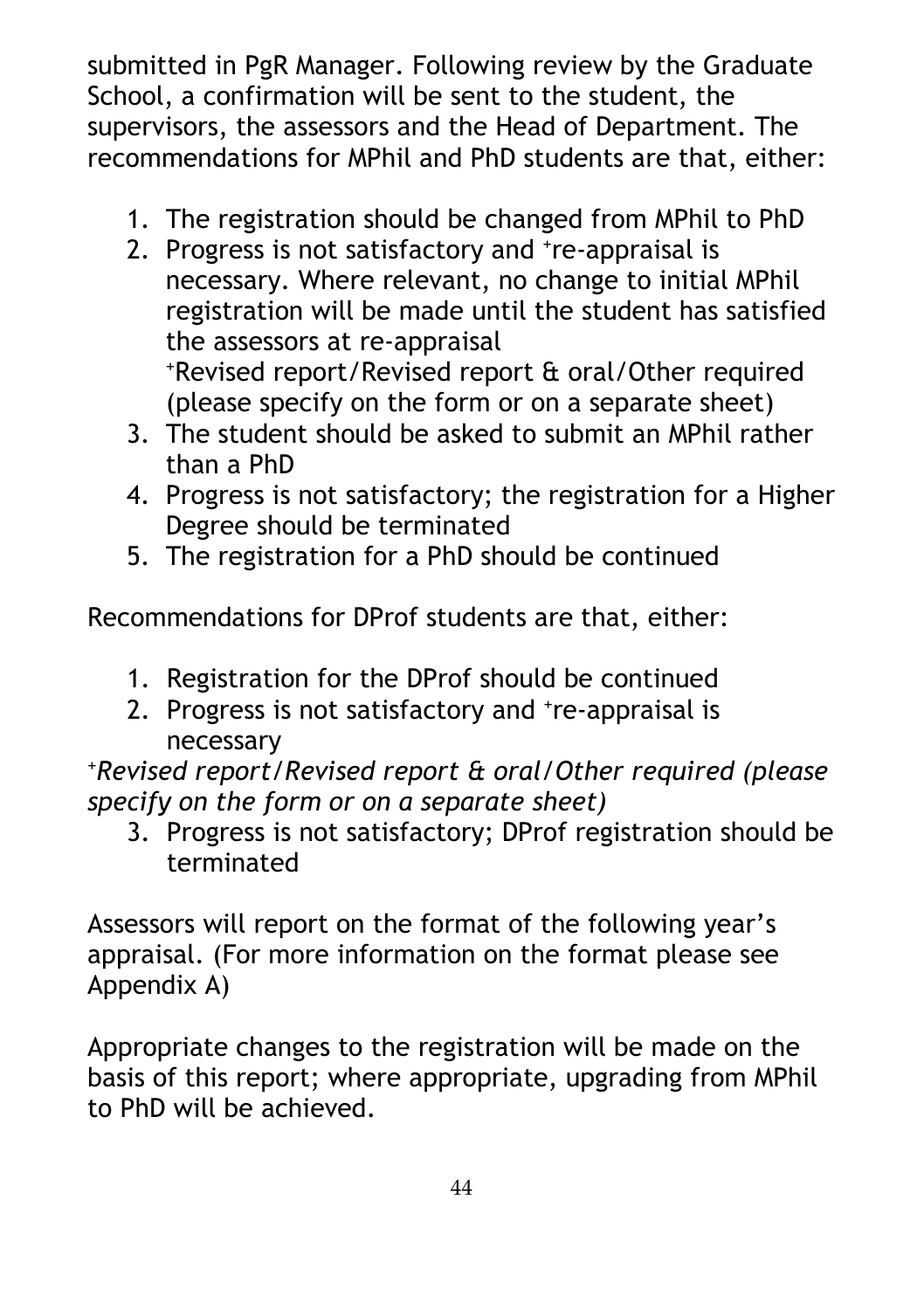submitted in PgR Manager. Following review by the Graduate School, a confirmation will be sent to the student, the supervisors, the assessors and the Head of Department. The recommendations for MPhil and PhD students are that, either:

- 1. The registration should be changed from MPhil to PhD
- 2. Progress is not satisfactory and <sup>+</sup>re-appraisal is necessary. Where relevant, no change to initial MPhil registration will be made until the student has satisfied the assessors at re-appraisal<br>
\*Revised report/Revised report & oral/Other required

(please specify on the form or on a separate sheet)

- 3. The student should be asked to submit an MPhil rather than a PhD
- 4. Progress is not satisfactory; the registration for a Higher Degree should be terminated
- 5. The registration for a PhD should be continued

Recommendations for DProf students are that, either:

- 1. Registration for the DProf should be continued
- 2. Progress is not satisfactory and <sup>+</sup>re-appraisal is necessary

*+Revised report/Revised report & oral/Other required (please specify on the form or on a separate sheet)*

3. Progress is not satisfactory; DProf registration should be terminated

Assessors will report on the format of the following year's appraisal. (For more information on the format please see Appendix A)

Appropriate changes to the registration will be made on the basis of this report; where appropriate, upgrading from MPhil to PhD will be achieved.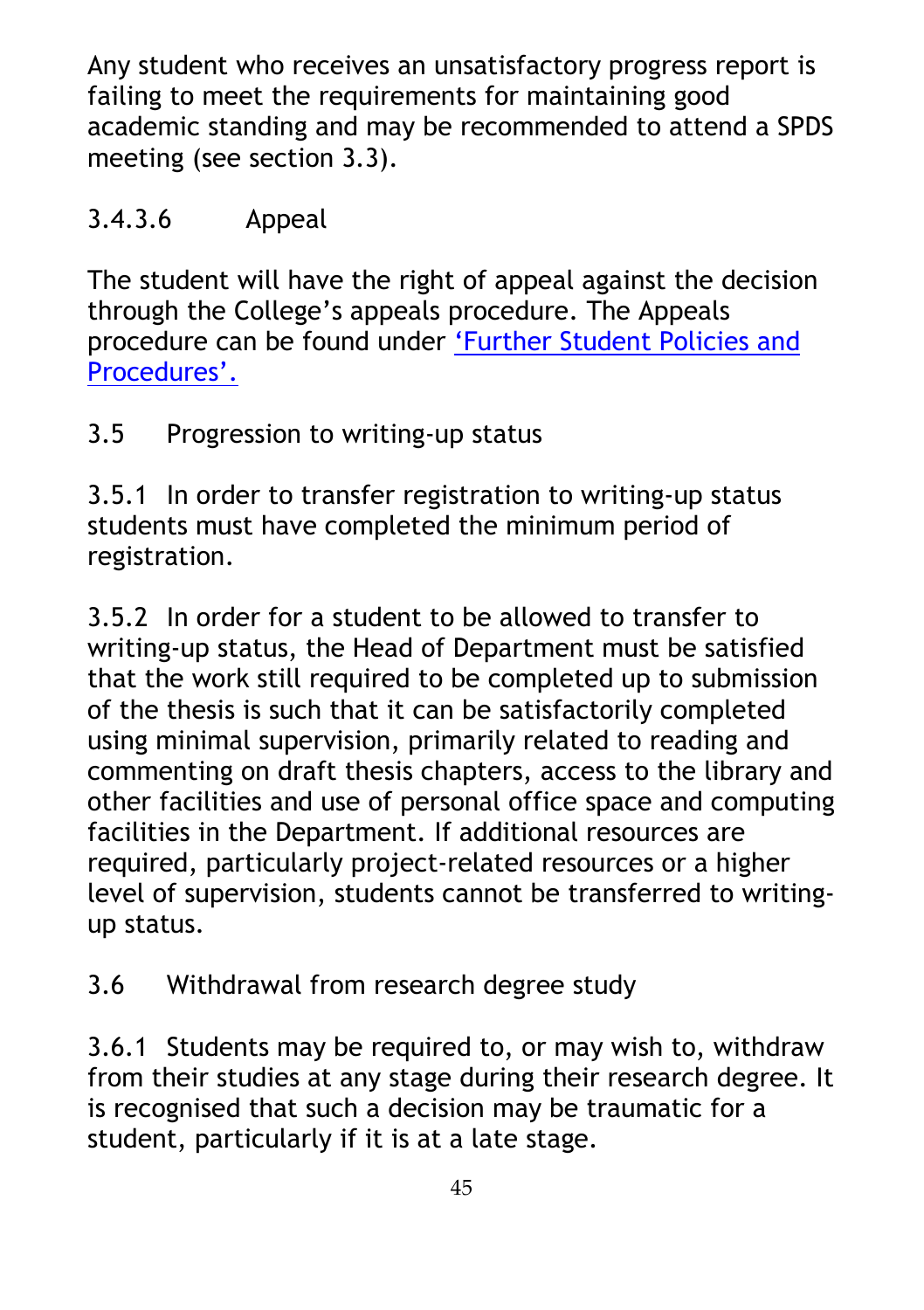Any student who receives an unsatisfactory progress report is failing to meet the requirements for maintaining good academic standing and may be recommended to attend a SPDS meeting (see section 3.3).

## 3.4.3.6 Appeal

The student will have the right of appeal against the decision through the College's appeals procedure. The Appeals procedure can be found under ['Further Student Policies and](https://www.rvc.ac.uk/about/the-rvc/academic-quality-regulations-procedures#panel-further-student-policies-and-procedures)  [Procedures'.](https://www.rvc.ac.uk/about/the-rvc/academic-quality-regulations-procedures#panel-further-student-policies-and-procedures)

3.5 Progression to writing-up status

3.5.1 In order to transfer registration to writing-up status students must have completed the minimum period of registration.

3.5.2 In order for a student to be allowed to transfer to writing-up status, the Head of Department must be satisfied that the work still required to be completed up to submission of the thesis is such that it can be satisfactorily completed using minimal supervision, primarily related to reading and commenting on draft thesis chapters, access to the library and other facilities and use of personal office space and computing facilities in the Department. If additional resources are required, particularly project-related resources or a higher level of supervision, students cannot be transferred to writingup status.

3.6 Withdrawal from research degree study

3.6.1 Students may be required to, or may wish to, withdraw from their studies at any stage during their research degree. It is recognised that such a decision may be traumatic for a student, particularly if it is at a late stage.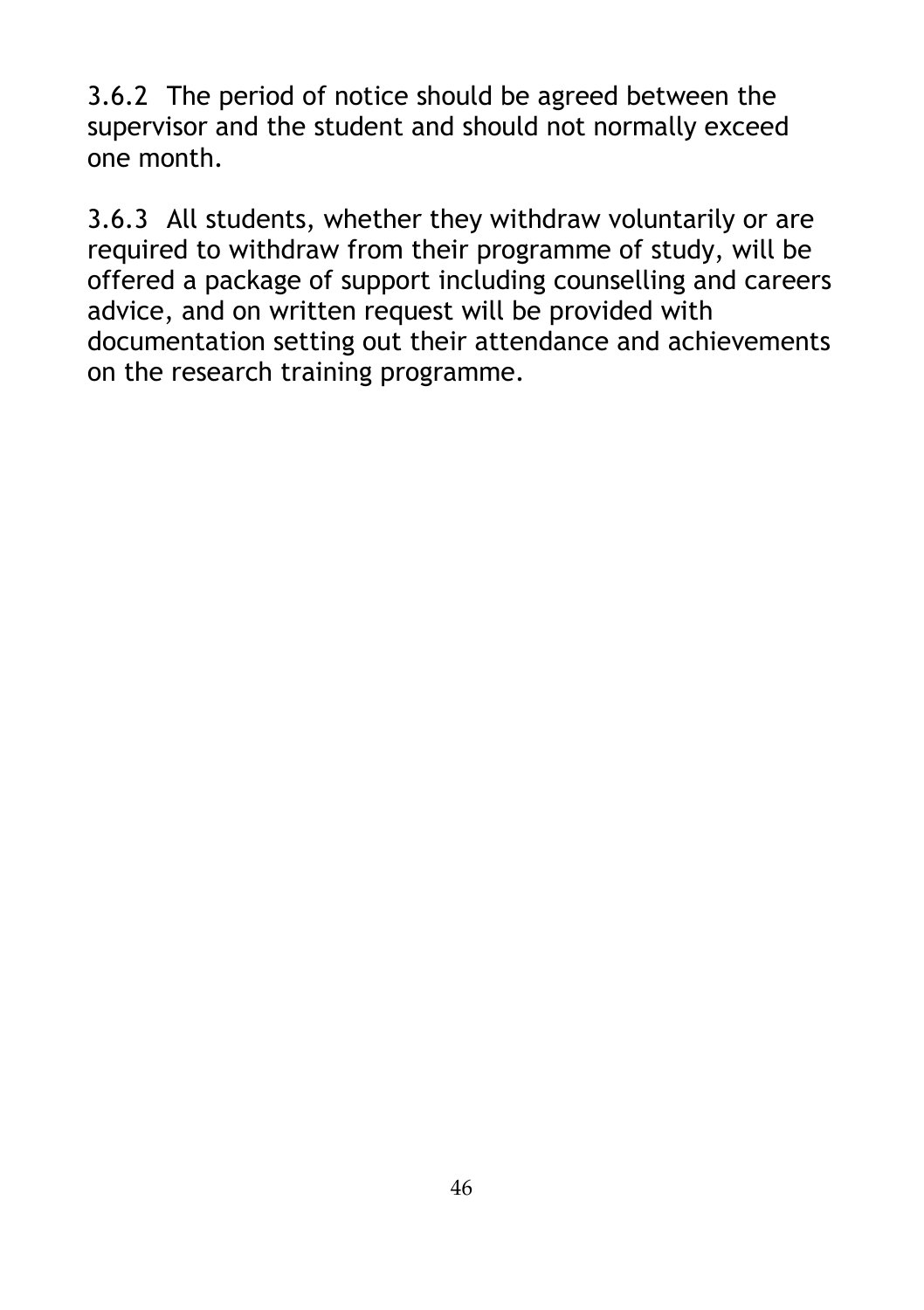3.6.2 The period of notice should be agreed between the supervisor and the student and should not normally exceed one month.

3.6.3 All students, whether they withdraw voluntarily or are required to withdraw from their programme of study, will be offered a package of support including counselling and careers advice, and on written request will be provided with documentation setting out their attendance and achievements on the research training programme.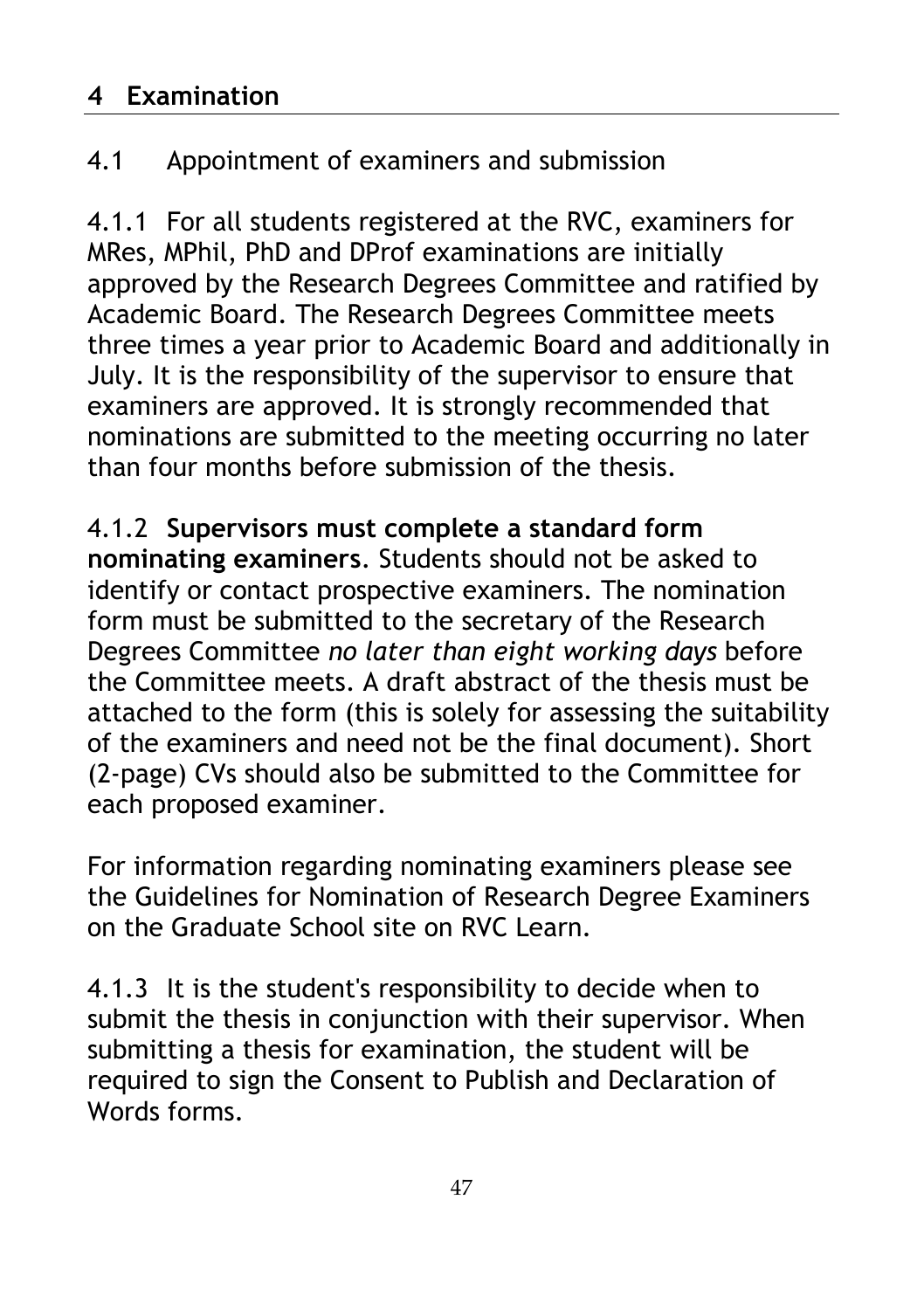## **4 Examination**

# 4.1 Appointment of examiners and submission

4.1.1 For all students registered at the RVC, examiners for MRes, MPhil, PhD and DProf examinations are initially approved by the Research Degrees Committee and ratified by Academic Board. The Research Degrees Committee meets three times a year prior to Academic Board and additionally in July. It is the responsibility of the supervisor to ensure that examiners are approved. It is strongly recommended that nominations are submitted to the meeting occurring no later than four months before submission of the thesis.

4.1.2 **Supervisors must complete a standard form nominating examiners**. Students should not be asked to identify or contact prospective examiners. The nomination form must be submitted to the secretary of the Research Degrees Committee *no later than eight working days* before the Committee meets. A draft abstract of the thesis must be attached to the form (this is solely for assessing the suitability of the examiners and need not be the final document). Short (2-page) CVs should also be submitted to the Committee for each proposed examiner.

For information regarding nominating examiners please see the Guidelines for Nomination of Research Degree Examiners on the Graduate School site on RVC Learn.

4.1.3 It is the student's responsibility to decide when to submit the thesis in conjunction with their supervisor. When submitting a thesis for examination, the student will be required to sign the Consent to Publish and Declaration of Words forms.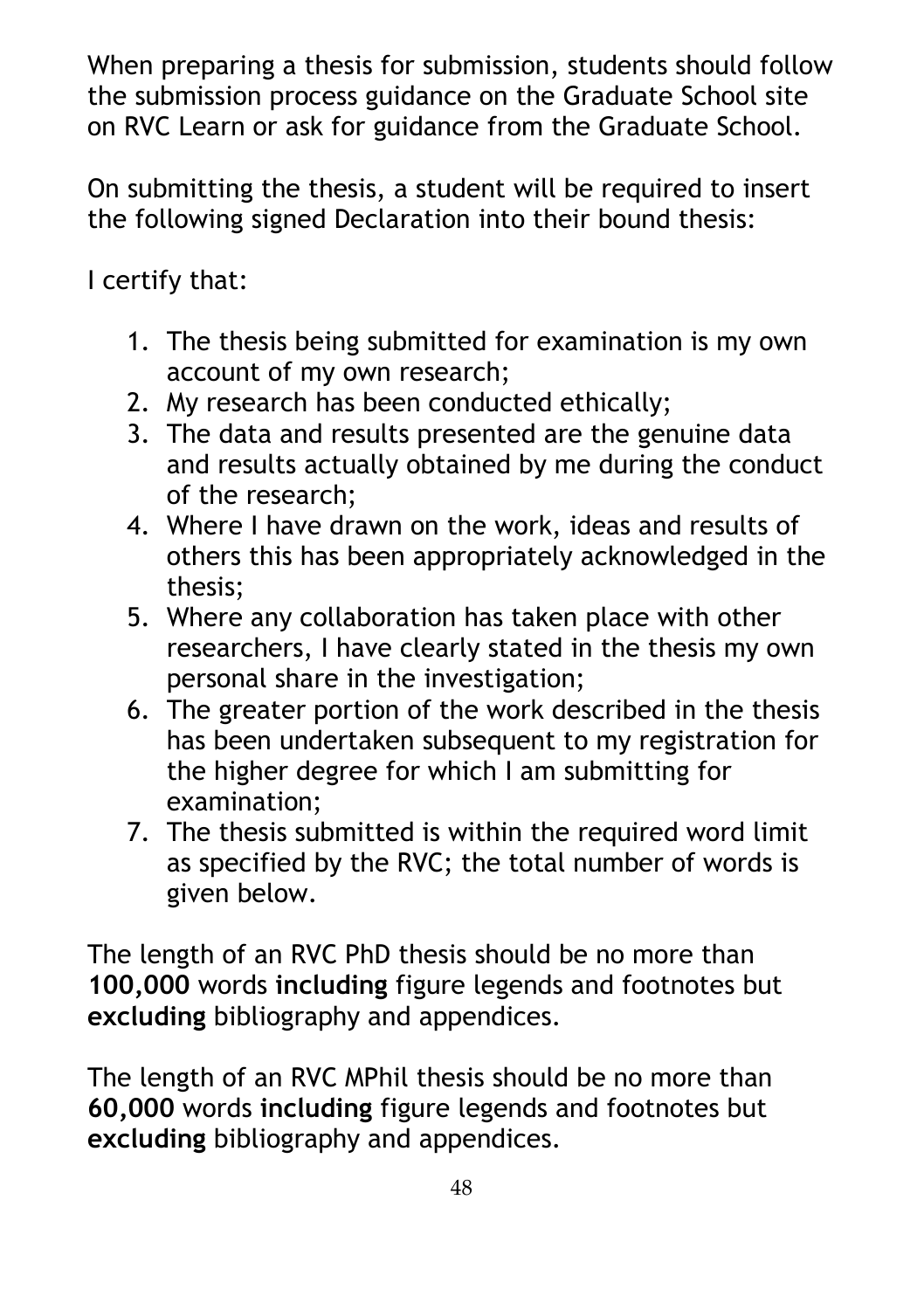When preparing a thesis for submission, students should follow the submission process guidance on the Graduate School site on RVC Learn or ask for guidance from the Graduate School.

On submitting the thesis, a student will be required to insert the following signed Declaration into their bound thesis:

I certify that:

- 1. The thesis being submitted for examination is my own account of my own research;
- 2. My research has been conducted ethically;
- 3. The data and results presented are the genuine data and results actually obtained by me during the conduct of the research;
- 4. Where I have drawn on the work, ideas and results of others this has been appropriately acknowledged in the thesis;
- 5. Where any collaboration has taken place with other researchers, I have clearly stated in the thesis my own personal share in the investigation;
- 6. The greater portion of the work described in the thesis has been undertaken subsequent to my registration for the higher degree for which I am submitting for examination;
- 7. The thesis submitted is within the required word limit as specified by the RVC; the total number of words is given below.

The length of an RVC PhD thesis should be no more than **100,000** words **including** figure legends and footnotes but **excluding** bibliography and appendices.

The length of an RVC MPhil thesis should be no more than **60,000** words **including** figure legends and footnotes but **excluding** bibliography and appendices.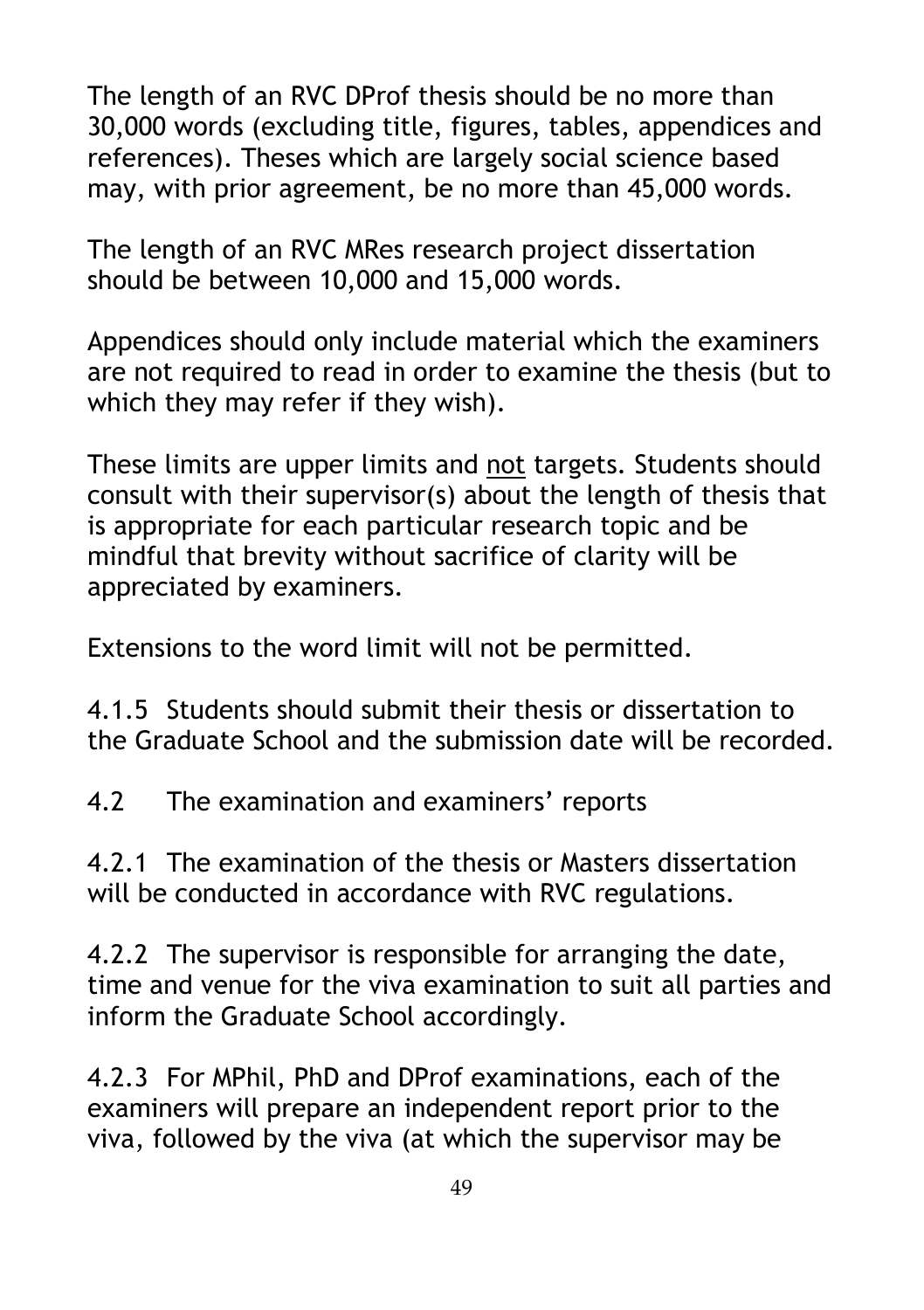The length of an RVC DProf thesis should be no more than 30,000 words (excluding title, figures, tables, appendices and references). Theses which are largely social science based may, with prior agreement, be no more than 45,000 words.

The length of an RVC MRes research project dissertation should be between 10,000 and 15,000 words.

Appendices should only include material which the examiners are not required to read in order to examine the thesis (but to which they may refer if they wish).

These limits are upper limits and not targets. Students should consult with their supervisor(s) about the length of thesis that is appropriate for each particular research topic and be mindful that brevity without sacrifice of clarity will be appreciated by examiners.

Extensions to the word limit will not be permitted.

4.1.5 Students should submit their thesis or dissertation to the Graduate School and the submission date will be recorded.

4.2 The examination and examiners' reports

4.2.1 The examination of the thesis or Masters dissertation will be conducted in accordance with RVC regulations.

4.2.2 The supervisor is responsible for arranging the date, time and venue for the viva examination to suit all parties and inform the Graduate School accordingly.

4.2.3 For MPhil, PhD and DProf examinations, each of the examiners will prepare an independent report prior to the viva, followed by the viva (at which the supervisor may be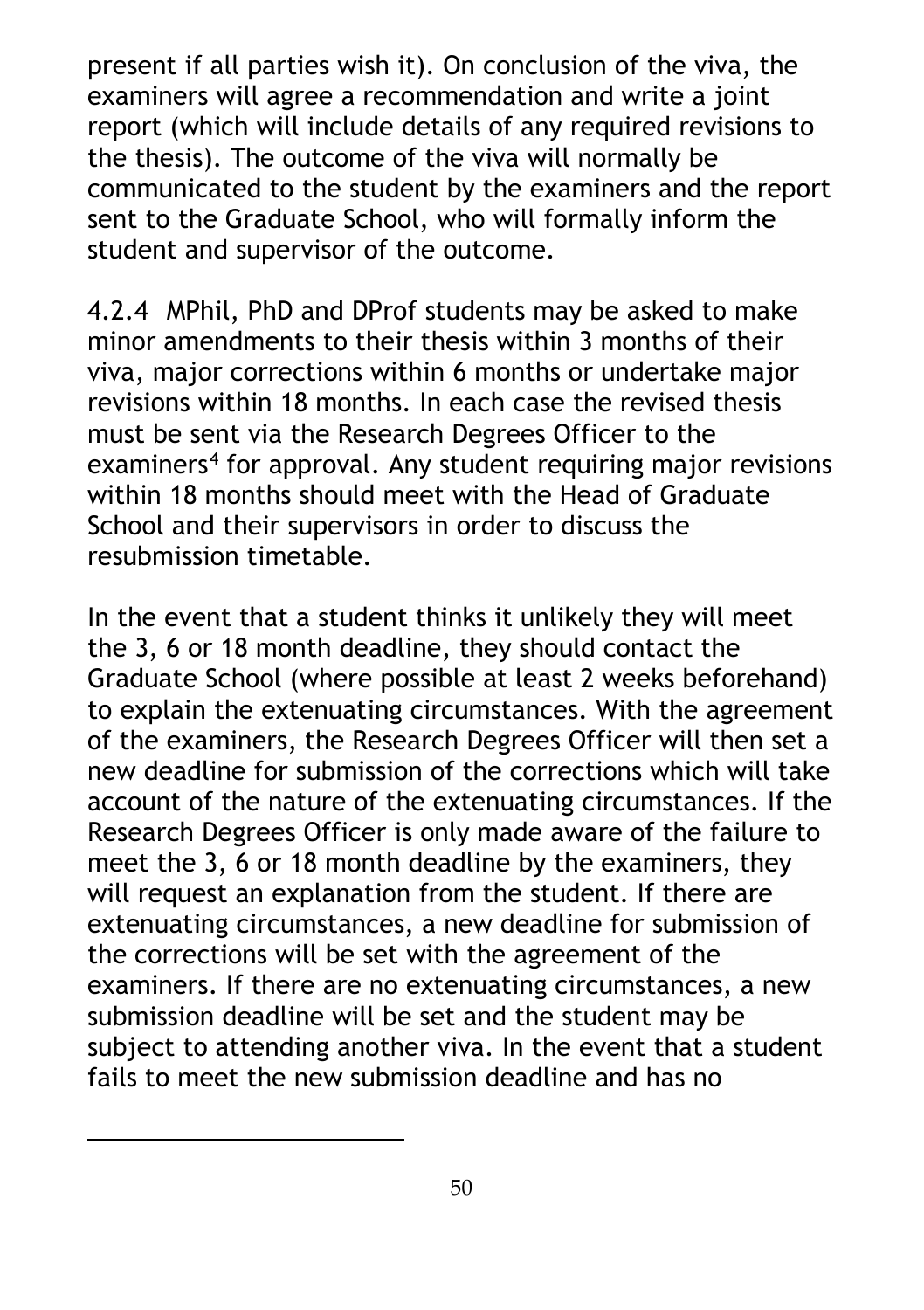present if all parties wish it). On conclusion of the viva, the examiners will agree a recommendation and write a joint report (which will include details of any required revisions to the thesis). The outcome of the viva will normally be communicated to the student by the examiners and the report sent to the Graduate School, who will formally inform the student and supervisor of the outcome.

4.2.4 MPhil, PhD and DProf students may be asked to make minor amendments to their thesis within 3 months of their viva, major corrections within 6 months or undertake major revisions within 18 months. In each case the revised thesis must be sent via the Research Degrees Officer to the examiners<sup>[4](#page-49-0)</sup> for approval. Any student requiring major revisions within 18 months should meet with the Head of Graduate School and their supervisors in order to discuss the resubmission timetable.

In the event that a student thinks it unlikely they will meet the 3, 6 or 18 month deadline, they should contact the Graduate School (where possible at least 2 weeks beforehand) to explain the extenuating circumstances. With the agreement of the examiners, the Research Degrees Officer will then set a new deadline for submission of the corrections which will take account of the nature of the extenuating circumstances. If the Research Degrees Officer is only made aware of the failure to meet the 3, 6 or 18 month deadline by the examiners, they will request an explanation from the student. If there are extenuating circumstances, a new deadline for submission of the corrections will be set with the agreement of the examiners. If there are no extenuating circumstances, a new submission deadline will be set and the student may be subject to attending another viva. In the event that a student fails to meet the new submission deadline and has no

<span id="page-49-0"></span> $\overline{a}$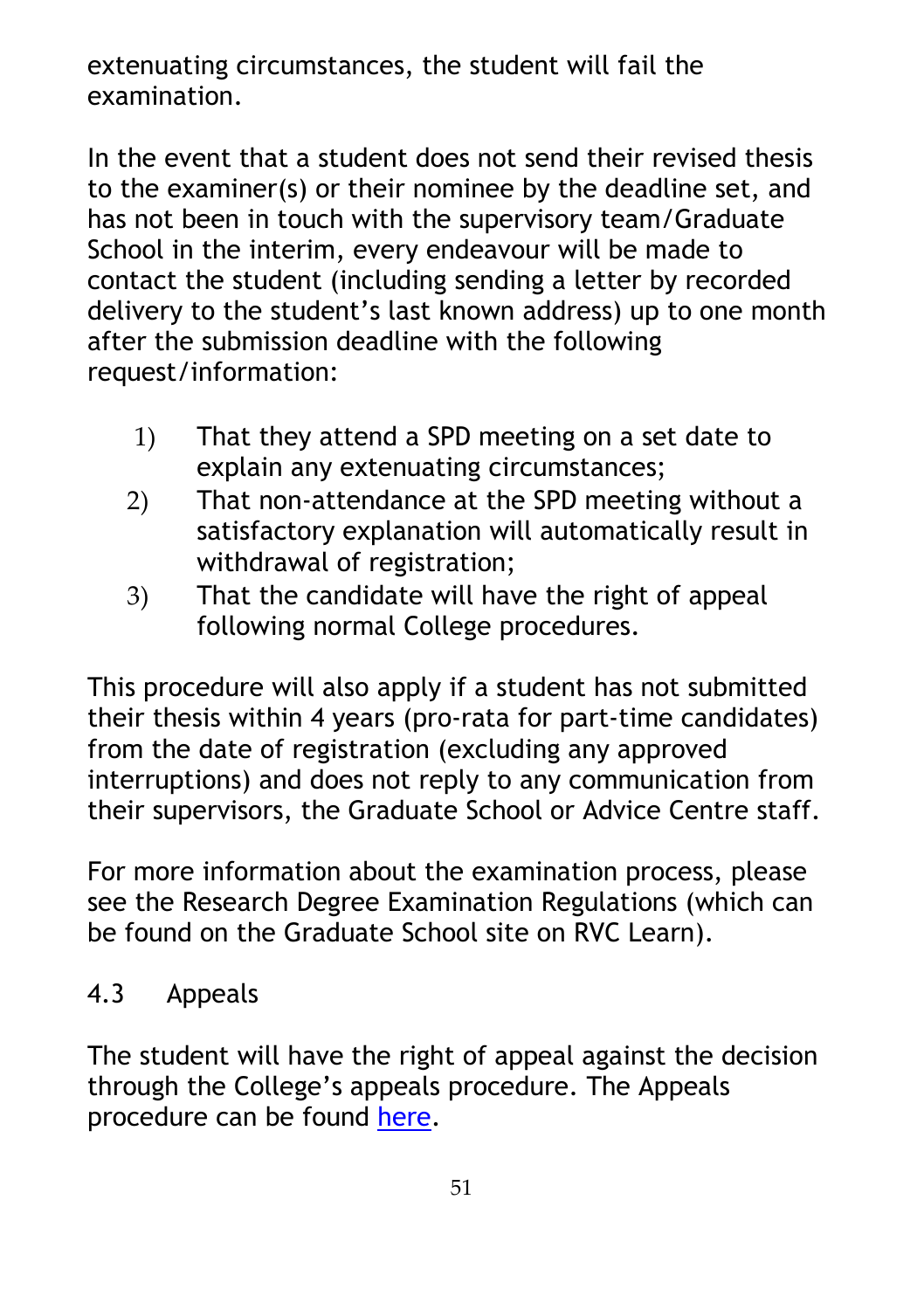extenuating circumstances, the student will fail the examination.

In the event that a student does not send their revised thesis to the examiner(s) or their nominee by the deadline set, and has not been in touch with the supervisory team/Graduate School in the interim, every endeavour will be made to contact the student (including sending a letter by recorded delivery to the student's last known address) up to one month after the submission deadline with the following request/information:

- 1) That they attend a SPD meeting on a set date to explain any extenuating circumstances;
- 2) That non-attendance at the SPD meeting without a satisfactory explanation will automatically result in withdrawal of registration;
- 3) That the candidate will have the right of appeal following normal College procedures.

This procedure will also apply if a student has not submitted their thesis within 4 years (pro-rata for part-time candidates) from the date of registration (excluding any approved interruptions) and does not reply to any communication from their supervisors, the Graduate School or Advice Centre staff.

For more information about the examination process, please see the Research Degree Examination Regulations (which can be found on the Graduate School site on RVC Learn).

## 4.3 Appeals

The student will have the right of appeal against the decision through the College's appeals procedure. The Appeals procedure can be found [here.](https://www.rvc.ac.uk/Media/Default/About/Academic%20Quality,%20Regulations%20and%20Procedures/General/Basics%20of%20the%20Appeal%20Procedure.pdf)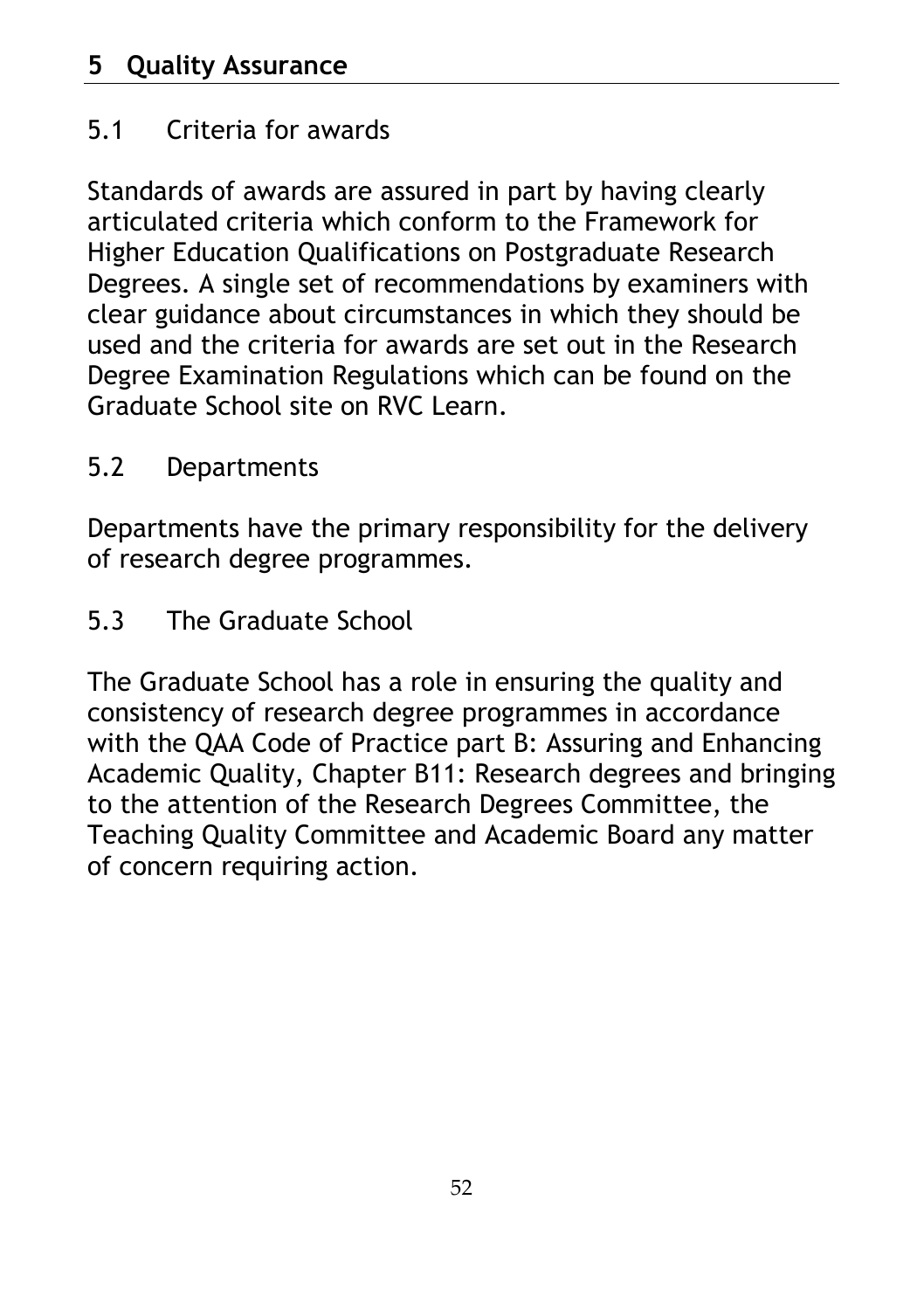# 5.1 Criteria for awards

Standards of awards are assured in part by having clearly articulated criteria which conform to the Framework for Higher Education Qualifications on Postgraduate Research Degrees. A single set of recommendations by examiners with clear guidance about circumstances in which they should be used and the criteria for awards are set out in the Research Degree Examination Regulations which can be found on the Graduate School site on RVC Learn.

## 5.2 Departments

Departments have the primary responsibility for the delivery of research degree programmes.

5.3 The Graduate School

The Graduate School has a role in ensuring the quality and consistency of research degree programmes in accordance with the QAA Code of Practice part B: Assuring and Enhancing Academic Quality, Chapter B11: Research degrees and bringing to the attention of the Research Degrees Committee, the Teaching Quality Committee and Academic Board any matter of concern requiring action.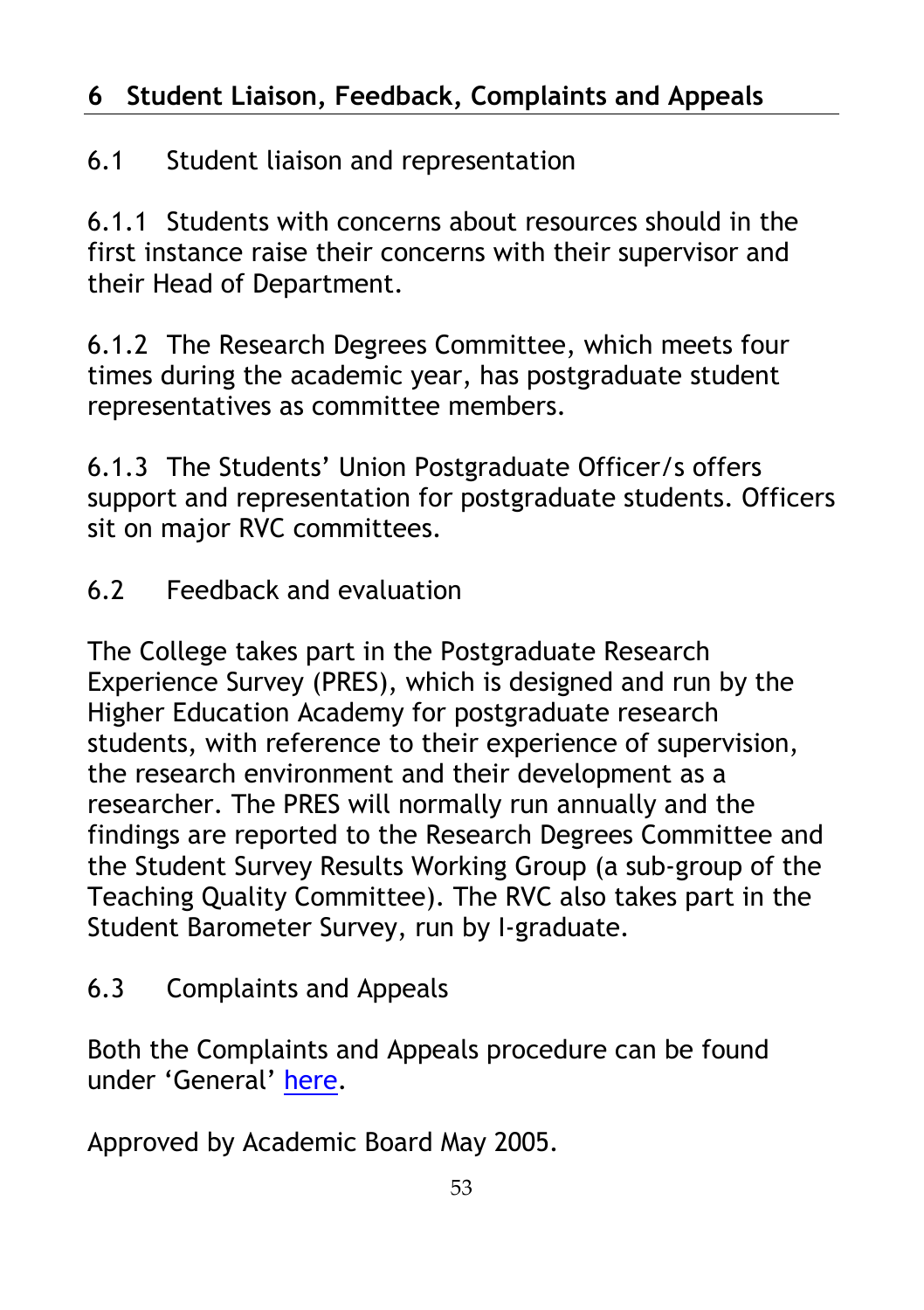# **6 Student Liaison, Feedback, Complaints and Appeals**

# 6.1 Student liaison and representation

6.1.1 Students with concerns about resources should in the first instance raise their concerns with their supervisor and their Head of Department.

6.1.2 The Research Degrees Committee, which meets four times during the academic year, has postgraduate student representatives as committee members.

6.1.3 The Students' Union Postgraduate Officer/s offers support and representation for postgraduate students. Officers sit on major RVC committees.

6.2 Feedback and evaluation

The College takes part in the Postgraduate Research Experience Survey (PRES), which is designed and run by the Higher Education Academy for postgraduate research students, with reference to their experience of supervision, the research environment and their development as a researcher. The PRES will normally run annually and the findings are reported to the Research Degrees Committee and the Student Survey Results Working Group (a sub-group of the Teaching Quality Committee). The RVC also takes part in the Student Barometer Survey, run by I-graduate.

6.3 Complaints and Appeals

Both the Complaints and Appeals procedure can be found under 'General' [here.](https://www.rvc.ac.uk/about/the-rvc/academic-quality-regulations-procedures#panel-further-student-policies-and-procedures)

Approved by Academic Board May 2005.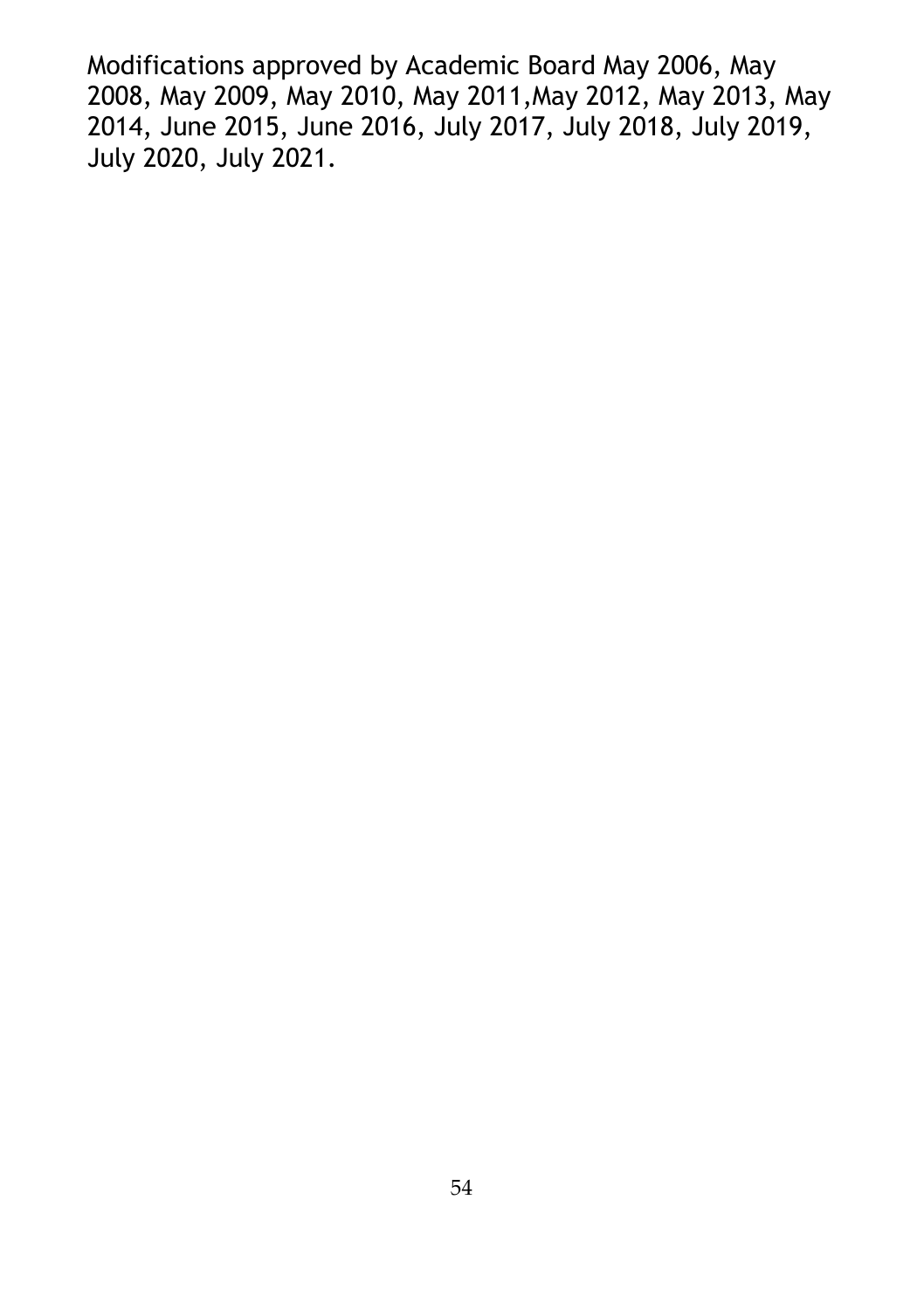Modifications approved by Academic Board May 2006, May 2008, May 2009, May 2010, May 2011,May 2012, May 2013, May 2014, June 2015, June 2016, July 2017, July 2018, July 2019, July 2020, July 2021.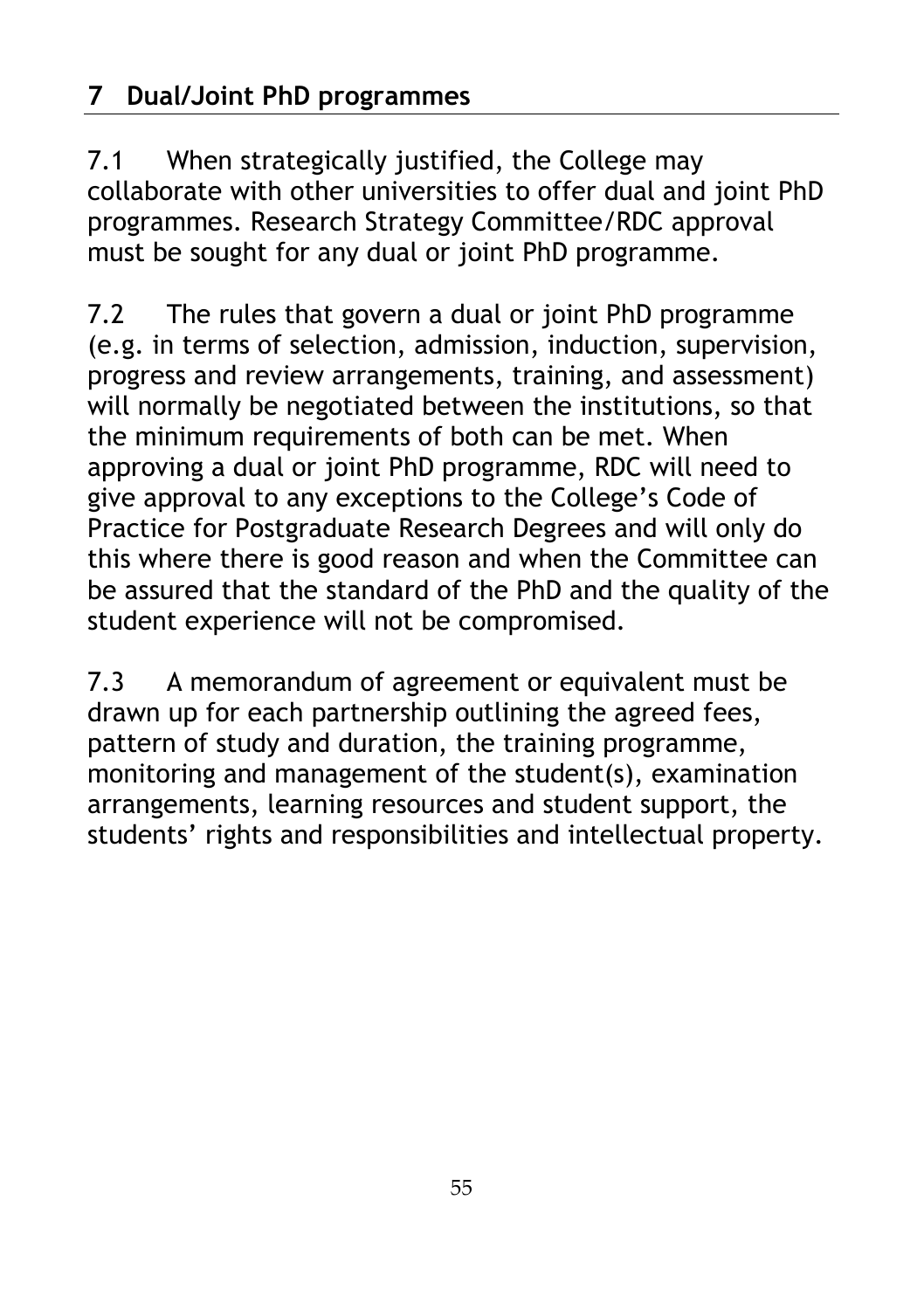7.1 When strategically justified, the College may collaborate with other universities to offer dual and joint PhD programmes. Research Strategy Committee/RDC approval must be sought for any dual or joint PhD programme.

7.2 The rules that govern a dual or joint PhD programme (e.g. in terms of selection, admission, induction, supervision, progress and review arrangements, training, and assessment) will normally be negotiated between the institutions, so that the minimum requirements of both can be met. When approving a dual or joint PhD programme, RDC will need to give approval to any exceptions to the College's Code of Practice for Postgraduate Research Degrees and will only do this where there is good reason and when the Committee can be assured that the standard of the PhD and the quality of the student experience will not be compromised.

7.3 A memorandum of agreement or equivalent must be drawn up for each partnership outlining the agreed fees, pattern of study and duration, the training programme, monitoring and management of the student(s), examination arrangements, learning resources and student support, the students' rights and responsibilities and intellectual property.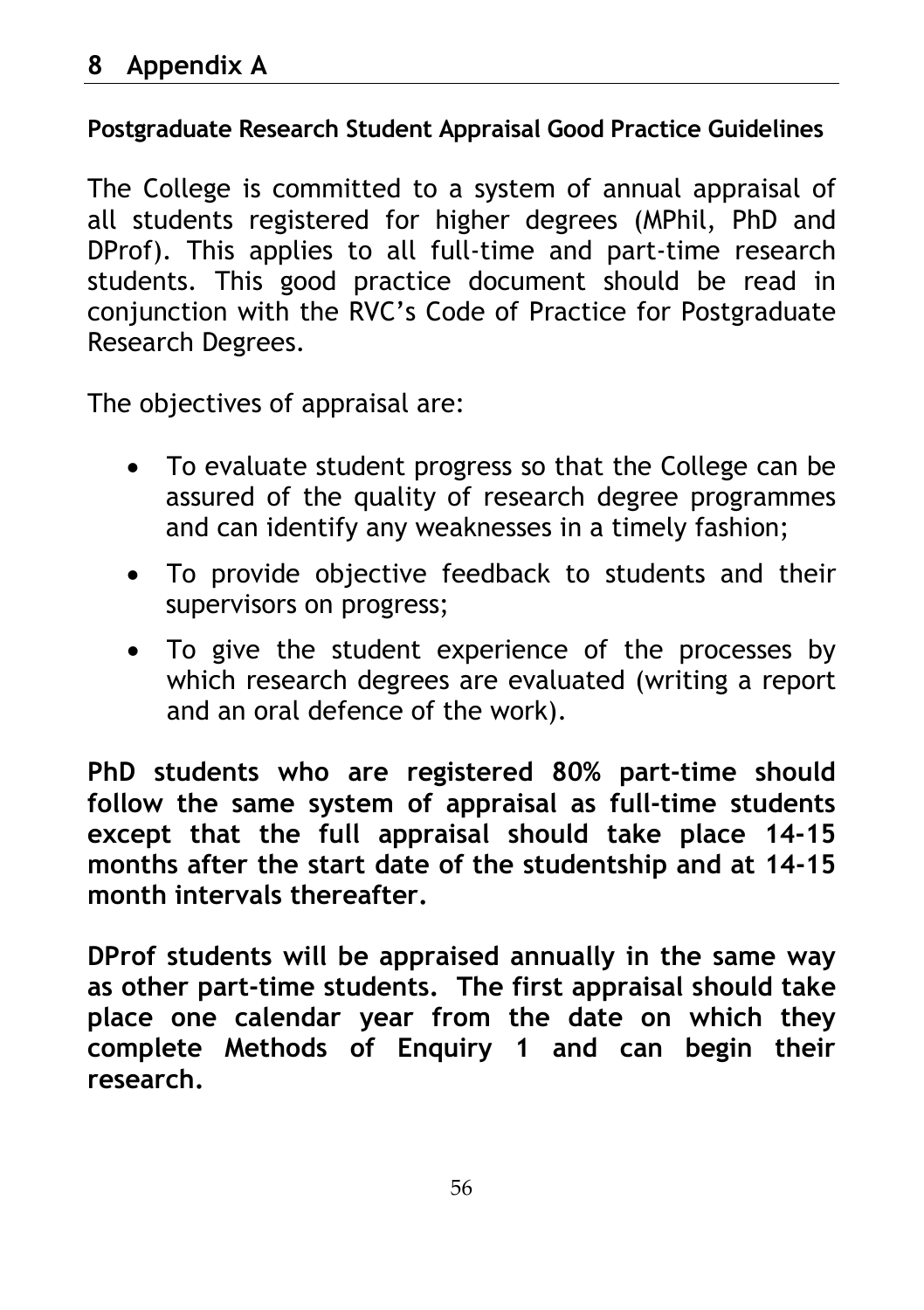#### **Postgraduate Research Student Appraisal Good Practice Guidelines**

The College is committed to a system of annual appraisal of all students registered for higher degrees (MPhil, PhD and DProf). This applies to all full-time and part-time research students. This good practice document should be read in conjunction with the RVC's Code of Practice for Postgraduate Research Degrees.

The objectives of appraisal are:

- To evaluate student progress so that the College can be assured of the quality of research degree programmes and can identify any weaknesses in a timely fashion;
- To provide objective feedback to students and their supervisors on progress;
- To give the student experience of the processes by which research degrees are evaluated (writing a report and an oral defence of the work).

**PhD students who are registered 80% part-time should follow the same system of appraisal as full-time students except that the full appraisal should take place 14-15 months after the start date of the studentship and at 14-15 month intervals thereafter.**

**DProf students will be appraised annually in the same way as other part-time students. The first appraisal should take place one calendar year from the date on which they complete Methods of Enquiry 1 and can begin their research.**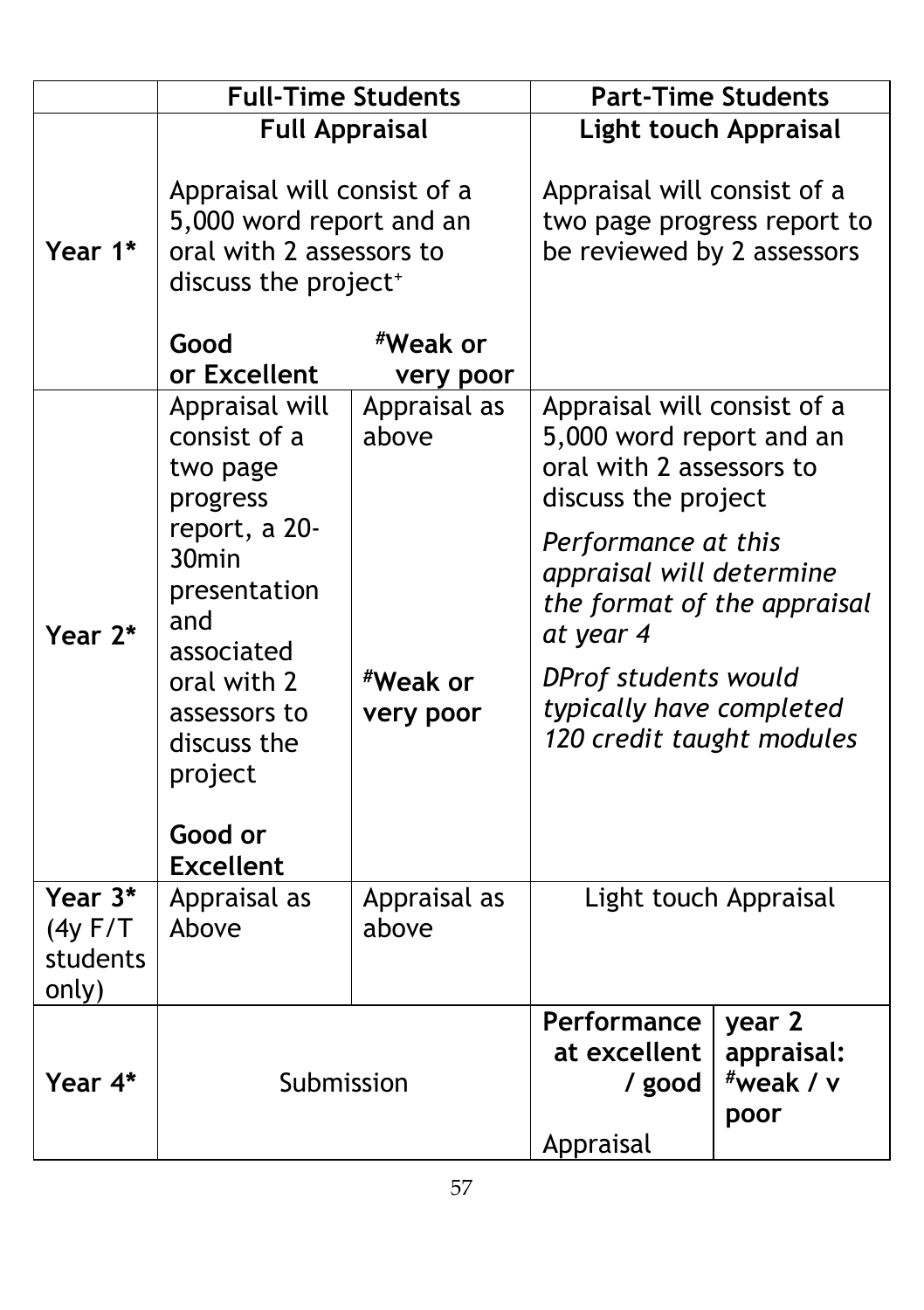|                                          | <b>Full-Time Students</b>                                                                                                                                                                                                 |                                                | <b>Part-Time Students</b>                                                                                                                                                                                                                                                                  |                                           |
|------------------------------------------|---------------------------------------------------------------------------------------------------------------------------------------------------------------------------------------------------------------------------|------------------------------------------------|--------------------------------------------------------------------------------------------------------------------------------------------------------------------------------------------------------------------------------------------------------------------------------------------|-------------------------------------------|
| Year 1*                                  | <b>Full Appraisal</b><br>Appraisal will consist of a<br>5,000 word report and an<br>oral with 2 assessors to<br>discuss the project <sup>+</sup>                                                                          |                                                | <b>Light touch Appraisal</b><br>Appraisal will consist of a<br>two page progress report to<br>be reviewed by 2 assessors                                                                                                                                                                   |                                           |
|                                          | Good<br>or Excellent                                                                                                                                                                                                      | #Weak or<br>very poor                          |                                                                                                                                                                                                                                                                                            |                                           |
| Year 2*                                  | Appraisal will<br>consist of a<br>two page<br>progress<br>report, a 20-<br>30 <sub>min</sub><br>presentation<br>and<br>associated<br>oral with 2<br>assessors to<br>discuss the<br>project<br>Good or<br><b>Excellent</b> | Appraisal as<br>above<br>#Weak or<br>very poor | Appraisal will consist of a<br>5,000 word report and an<br>oral with 2 assessors to<br>discuss the project<br>Performance at this<br>appraisal will determine<br>the format of the appraisal<br>at year 4<br>DProf students would<br>typically have completed<br>120 credit taught modules |                                           |
| Year 3*<br>(4y F/T)<br>students<br>only) | Appraisal as<br>Above                                                                                                                                                                                                     | Appraisal as<br>above                          | Light touch Appraisal                                                                                                                                                                                                                                                                      |                                           |
| Year 4*                                  | Submission                                                                                                                                                                                                                |                                                | Performance<br>at excellent<br>/ good<br>Appraisal                                                                                                                                                                                                                                         | year 2<br>appraisal:<br>"weak / v<br>poor |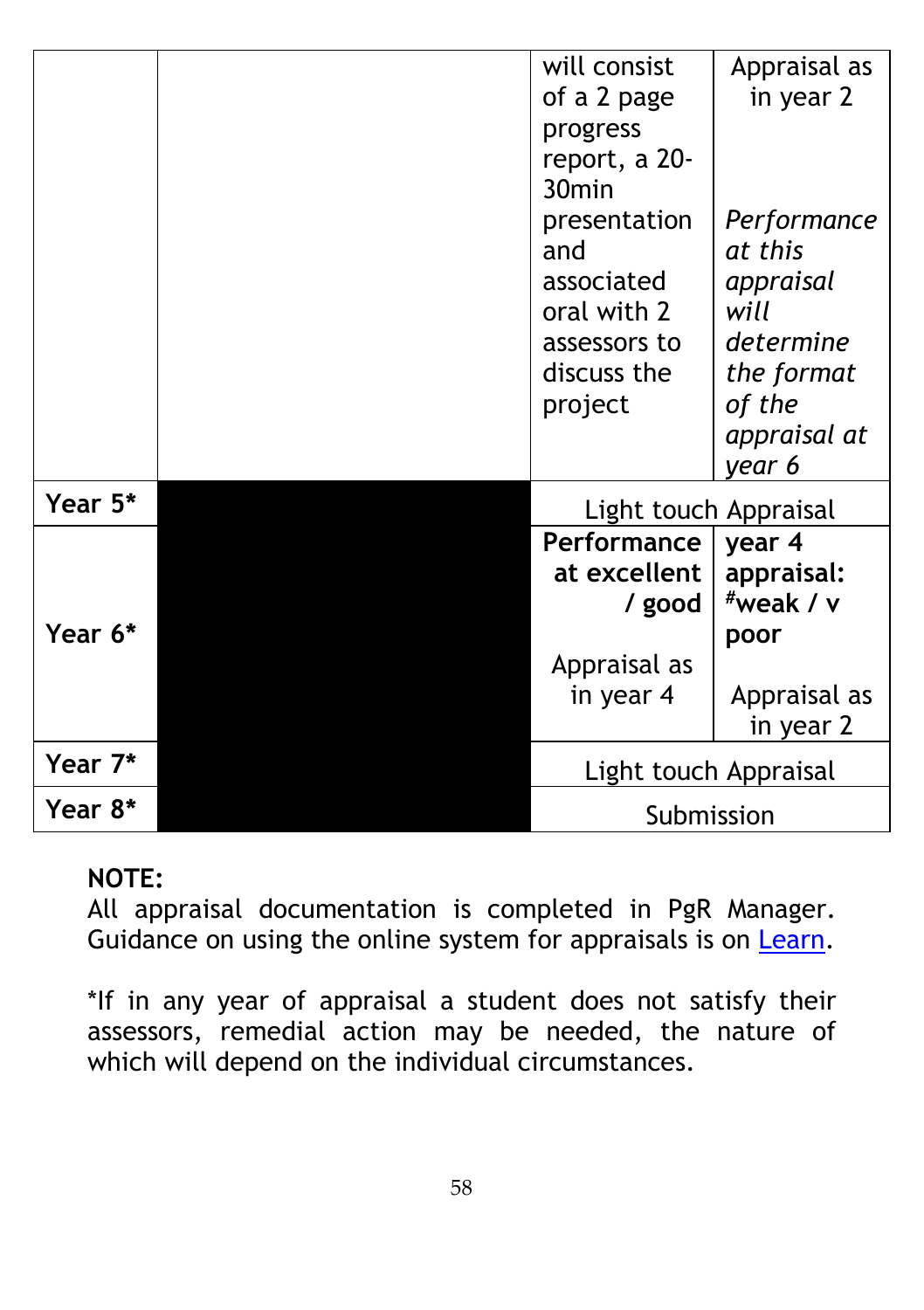|         | will consist                | Appraisal as               |
|---------|-----------------------------|----------------------------|
|         | of a 2 page                 | in year 2                  |
|         | progress                    |                            |
|         | report, a 20-               |                            |
|         | 30 <sub>min</sub>           |                            |
|         | presentation                | Performance                |
|         | and                         | at this                    |
|         | associated                  | appraisal                  |
|         | oral with 2                 | will<br>determine          |
|         | assessors to<br>discuss the |                            |
|         |                             | the format<br>of the       |
|         | project                     | appraisal at               |
|         |                             | year 6                     |
| Year 5* |                             |                            |
|         | Light touch Appraisal       |                            |
|         | Performance                 | year 4                     |
|         | at excellent                | appraisal:<br>$*$ weak / v |
| Year 6* | / good                      |                            |
|         |                             | poor                       |
|         | Appraisal as<br>in year 4   | Appraisal as               |
|         |                             | in year 2                  |
| Year 7* | Light touch Appraisal       |                            |
| Year 8* | Submission                  |                            |

### **NOTE:**

All appraisal documentation is completed in PgR Manager. Guidance on using the online system for appraisals is on [Learn.](https://learn.rvc.ac.uk/mod/folder/view.php?id=5134)

\*If in any year of appraisal a student does not satisfy their assessors, remedial action may be needed, the nature of which will depend on the individual circumstances.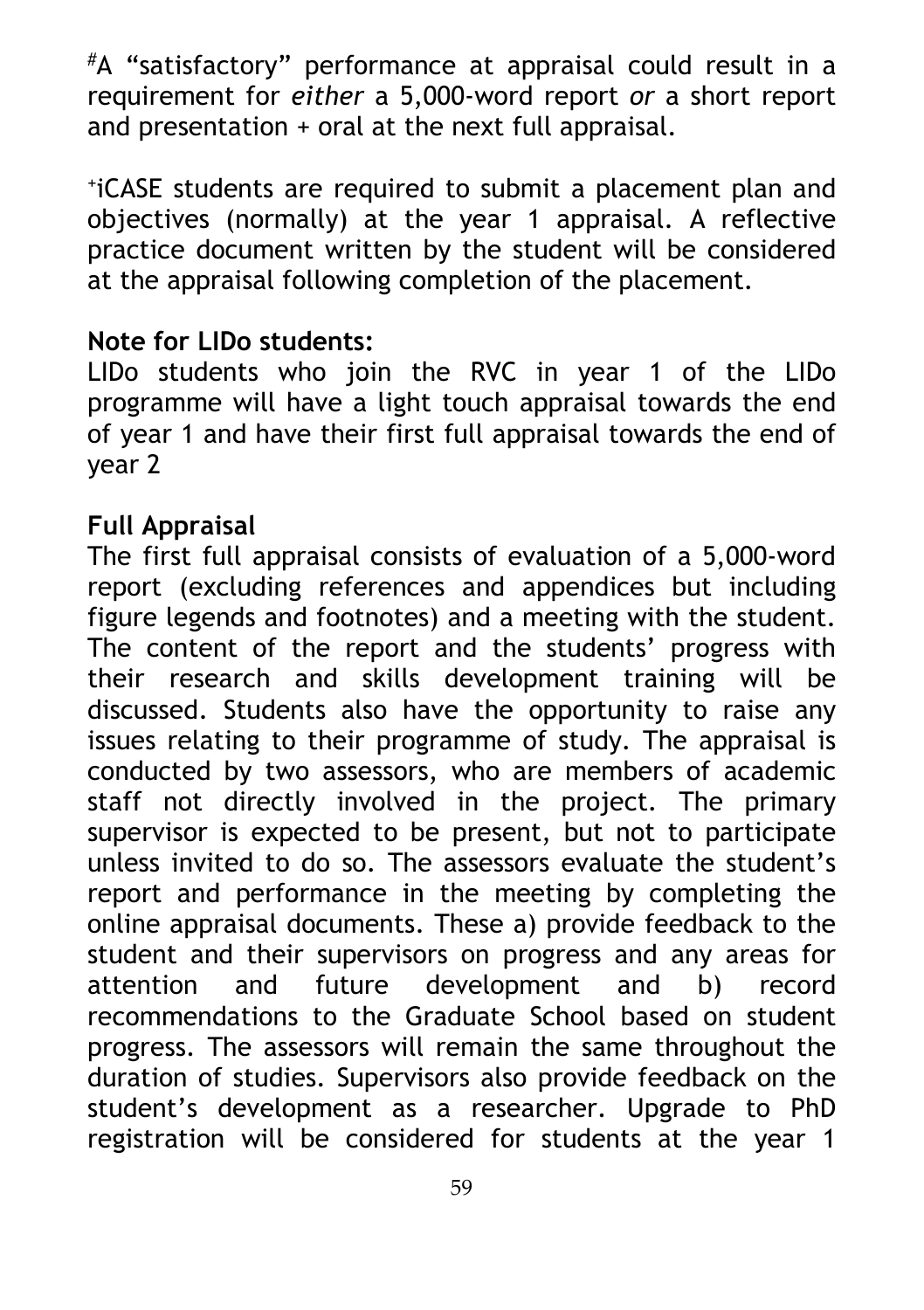#A "satisfactory" performance at appraisal could result in a requirement for *either* a 5,000-word report *or* a short report and presentation + oral at the next full appraisal.

+iCASE students are required to submit a placement plan and objectives (normally) at the year 1 appraisal. A reflective practice document written by the student will be considered at the appraisal following completion of the placement.

#### **Note for LIDo students:**

LIDo students who join the RVC in year 1 of the LIDo programme will have a light touch appraisal towards the end of year 1 and have their first full appraisal towards the end of year 2

### **Full Appraisal**

The first full appraisal consists of evaluation of a 5,000-word report (excluding references and appendices but including figure legends and footnotes) and a meeting with the student. The content of the report and the students' progress with their research and skills development training will be discussed. Students also have the opportunity to raise any issues relating to their programme of study. The appraisal is conducted by two assessors, who are members of academic staff not directly involved in the project. The primary supervisor is expected to be present, but not to participate unless invited to do so. The assessors evaluate the student's report and performance in the meeting by completing the online appraisal documents. These a) provide feedback to the student and their supervisors on progress and any areas for attention and future development and b) record recommendations to the Graduate School based on student progress. The assessors will remain the same throughout the duration of studies. Supervisors also provide feedback on the student's development as a researcher. Upgrade to PhD registration will be considered for students at the year 1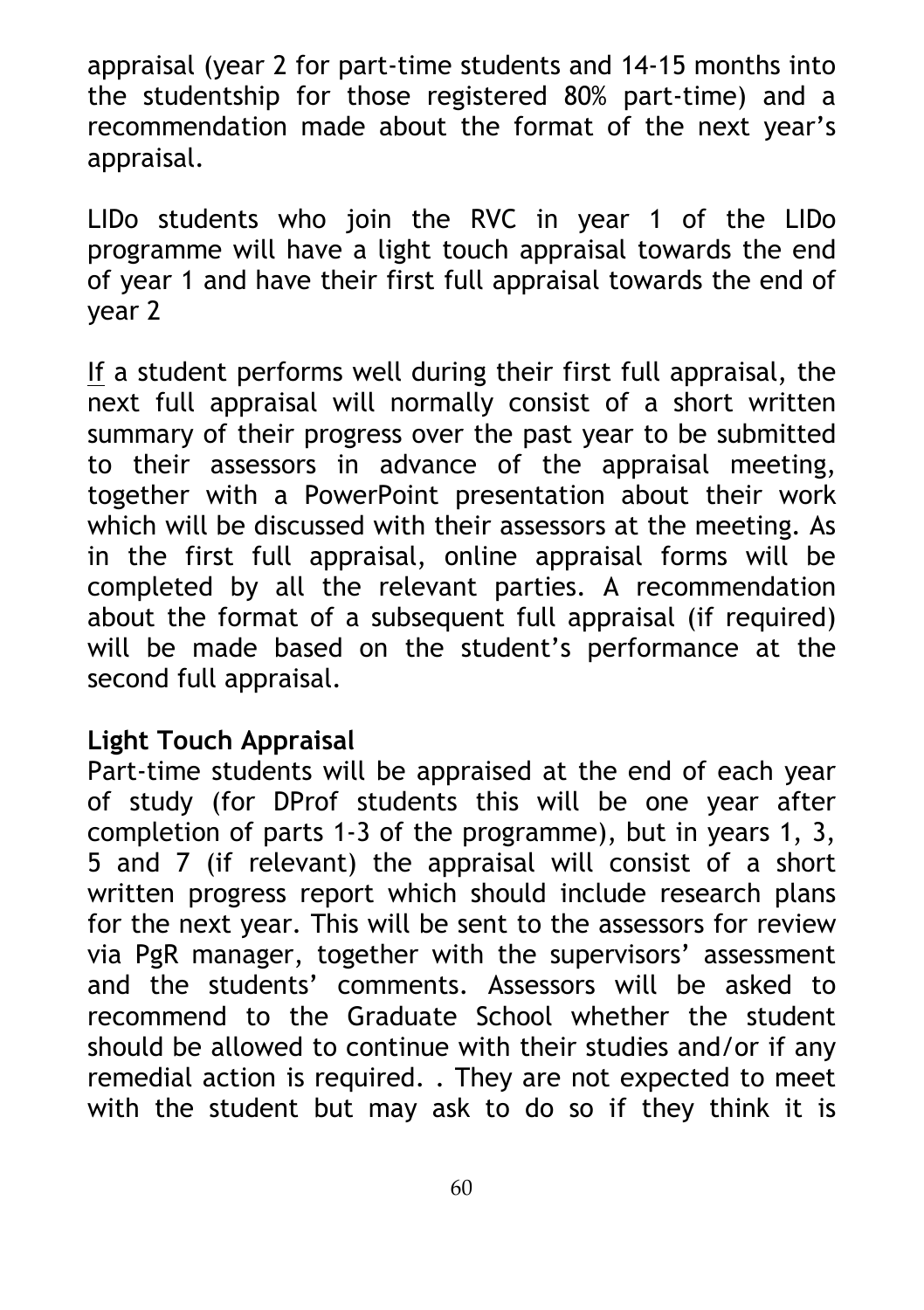appraisal (year 2 for part-time students and 14-15 months into the studentship for those registered 80% part-time) and a recommendation made about the format of the next year's appraisal.

LIDo students who join the RVC in year 1 of the LIDo programme will have a light touch appraisal towards the end of year 1 and have their first full appraisal towards the end of year 2

If a student performs well during their first full appraisal, the next full appraisal will normally consist of a short written summary of their progress over the past year to be submitted to their assessors in advance of the appraisal meeting, together with a PowerPoint presentation about their work which will be discussed with their assessors at the meeting. As in the first full appraisal, online appraisal forms will be completed by all the relevant parties. A recommendation about the format of a subsequent full appraisal (if required) will be made based on the student's performance at the second full appraisal.

#### **Light Touch Appraisal**

Part-time students will be appraised at the end of each year of study (for DProf students this will be one year after completion of parts 1-3 of the programme), but in years 1, 3, 5 and 7 (if relevant) the appraisal will consist of a short written progress report which should include research plans for the next year. This will be sent to the assessors for review via PgR manager, together with the supervisors' assessment and the students' comments. Assessors will be asked to recommend to the Graduate School whether the student should be allowed to continue with their studies and/or if any remedial action is required. . They are not expected to meet with the student but may ask to do so if they think it is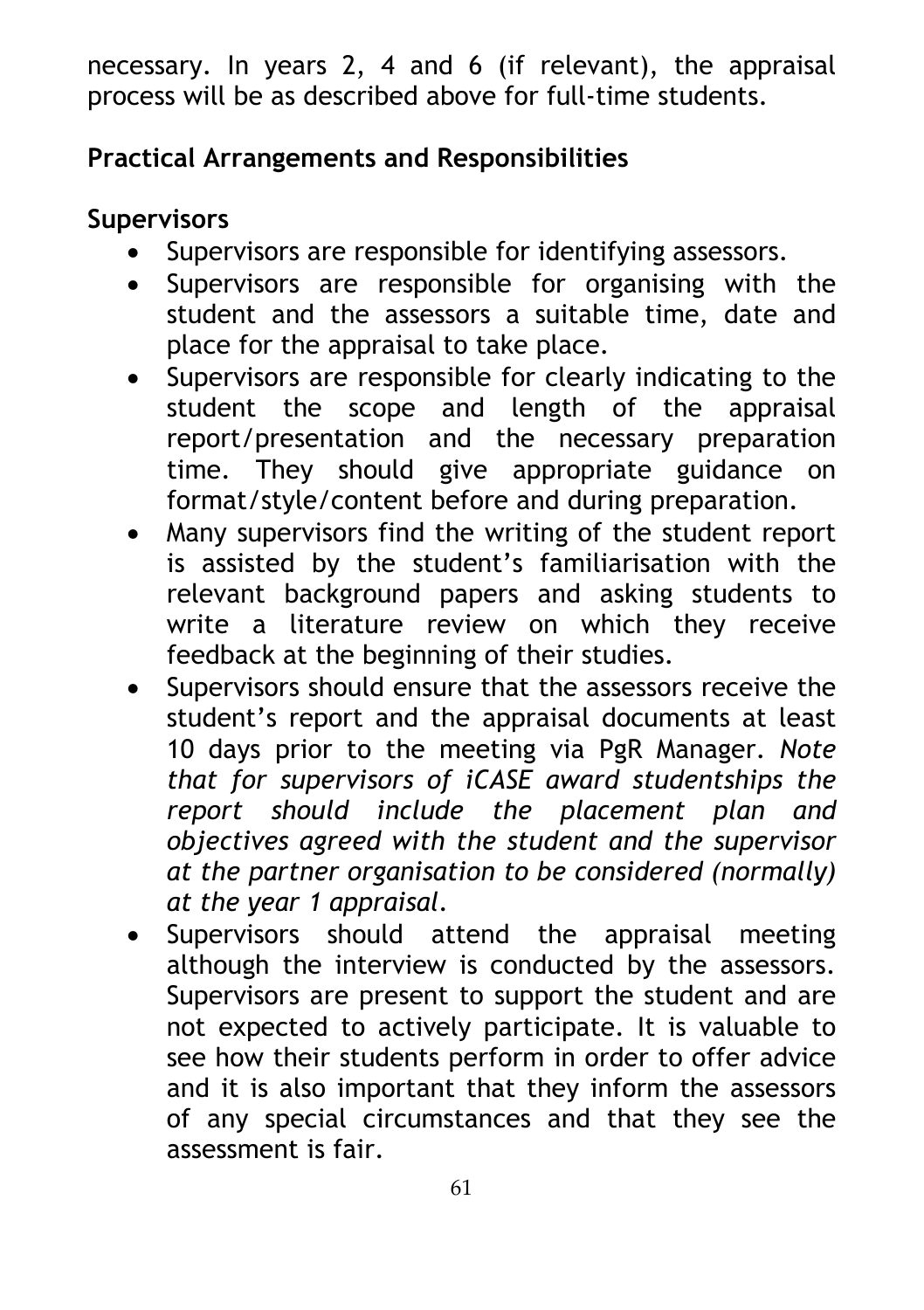necessary. In years 2, 4 and 6 (if relevant), the appraisal process will be as described above for full-time students.

## **Practical Arrangements and Responsibilities**

### **Supervisors**

- Supervisors are responsible for identifying assessors.
- Supervisors are responsible for organising with the student and the assessors a suitable time, date and place for the appraisal to take place.
- Supervisors are responsible for clearly indicating to the student the scope and length of the appraisal report/presentation and the necessary preparation time. They should give appropriate guidance on format/style/content before and during preparation.
- Many supervisors find the writing of the student report is assisted by the student's familiarisation with the relevant background papers and asking students to write a literature review on which they receive feedback at the beginning of their studies.
- Supervisors should ensure that the assessors receive the student's report and the appraisal documents at least 10 days prior to the meeting via PgR Manager. *Note that for supervisors of iCASE award studentships the report should include the placement plan and objectives agreed with the student and the supervisor at the partner organisation to be considered (normally) at the year 1 appraisal*.
- Supervisors should attend the appraisal meeting although the interview is conducted by the assessors. Supervisors are present to support the student and are not expected to actively participate. It is valuable to see how their students perform in order to offer advice and it is also important that they inform the assessors of any special circumstances and that they see the assessment is fair.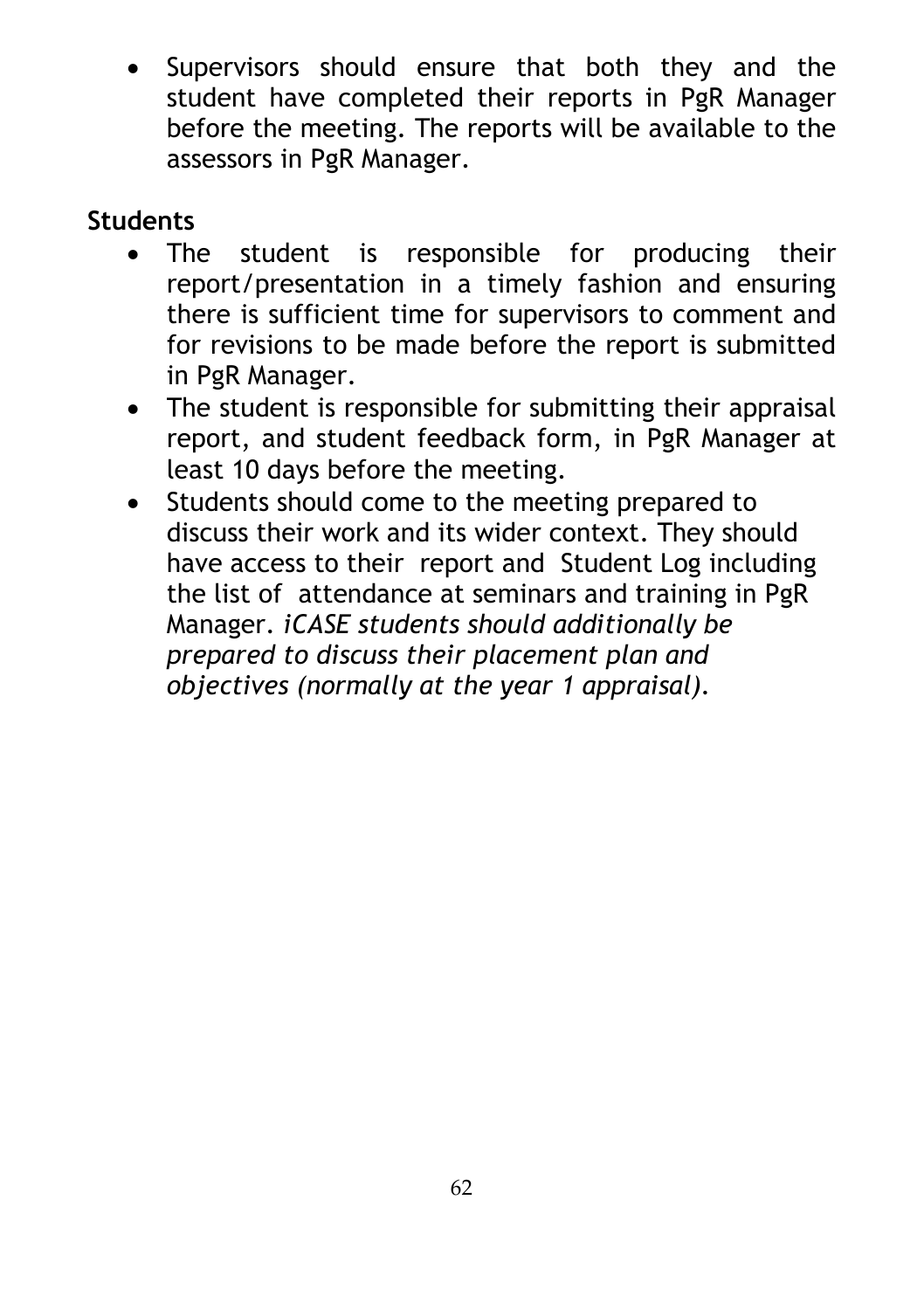• Supervisors should ensure that both they and the student have completed their reports in PgR Manager before the meeting. The reports will be available to the assessors in PgR Manager.

## **Students**

- The student is responsible for producing their report/presentation in a timely fashion and ensuring there is sufficient time for supervisors to comment and for revisions to be made before the report is submitted in PgR Manager.
- The student is responsible for submitting their appraisal report, and student feedback form, in PgR Manager at least 10 days before the meeting.
- Students should come to the meeting prepared to discuss their work and its wider context. They should have access to their report and Student Log including the list of attendance at seminars and training in PgR Manager. *iCASE students should additionally be prepared to discuss their placement plan and objectives (normally at the year 1 appraisal).*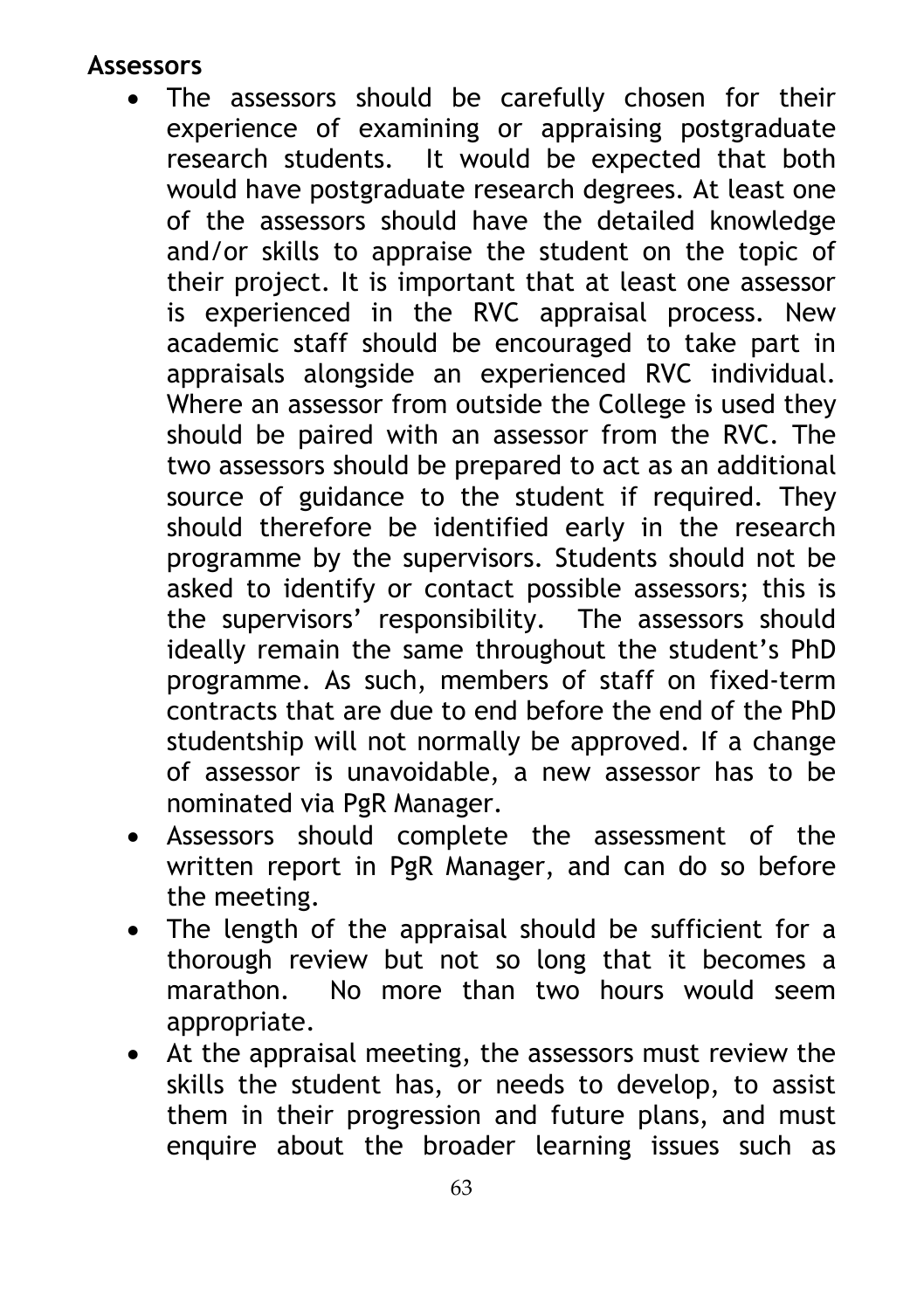#### **Assessors**

- The assessors should be carefully chosen for their experience of examining or appraising postgraduate research students. It would be expected that both would have postgraduate research degrees. At least one of the assessors should have the detailed knowledge and/or skills to appraise the student on the topic of their project. It is important that at least one assessor is experienced in the RVC appraisal process. New academic staff should be encouraged to take part in appraisals alongside an experienced RVC individual. Where an assessor from outside the College is used they should be paired with an assessor from the RVC. The two assessors should be prepared to act as an additional source of guidance to the student if required. They should therefore be identified early in the research programme by the supervisors. Students should not be asked to identify or contact possible assessors; this is the supervisors' responsibility. The assessors should ideally remain the same throughout the student's PhD programme. As such, members of staff on fixed-term contracts that are due to end before the end of the PhD studentship will not normally be approved. If a change of assessor is unavoidable, a new assessor has to be nominated via PgR Manager.
- Assessors should complete the assessment of the written report in PgR Manager, and can do so before the meeting.
- The length of the appraisal should be sufficient for a thorough review but not so long that it becomes a marathon. No more than two hours would seem appropriate.
- At the appraisal meeting, the assessors must review the skills the student has, or needs to develop, to assist them in their progression and future plans, and must enquire about the broader learning issues such as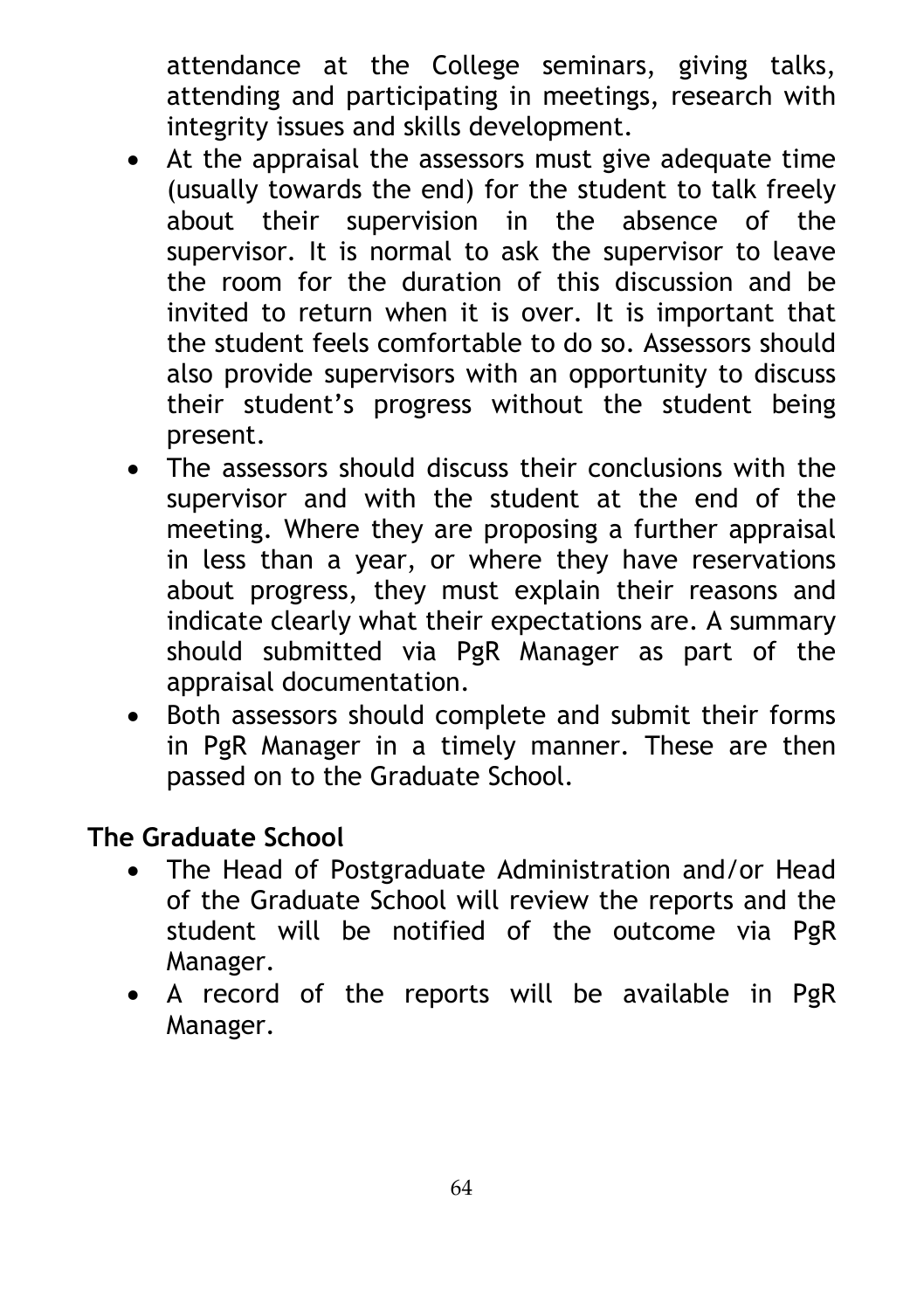attendance at the College seminars, giving talks, attending and participating in meetings, research with integrity issues and skills development.

- At the appraisal the assessors must give adequate time (usually towards the end) for the student to talk freely about their supervision in the absence of the supervisor. It is normal to ask the supervisor to leave the room for the duration of this discussion and be invited to return when it is over. It is important that the student feels comfortable to do so. Assessors should also provide supervisors with an opportunity to discuss their student's progress without the student being present.
- The assessors should discuss their conclusions with the supervisor and with the student at the end of the meeting. Where they are proposing a further appraisal in less than a year, or where they have reservations about progress, they must explain their reasons and indicate clearly what their expectations are. A summary should submitted via PgR Manager as part of the appraisal documentation.
- Both assessors should complete and submit their forms in PgR Manager in a timely manner. These are then passed on to the Graduate School.

### **The Graduate School**

- The Head of Postgraduate Administration and/or Head of the Graduate School will review the reports and the student will be notified of the outcome via PgR Manager.
- A record of the reports will be available in PgR Manager.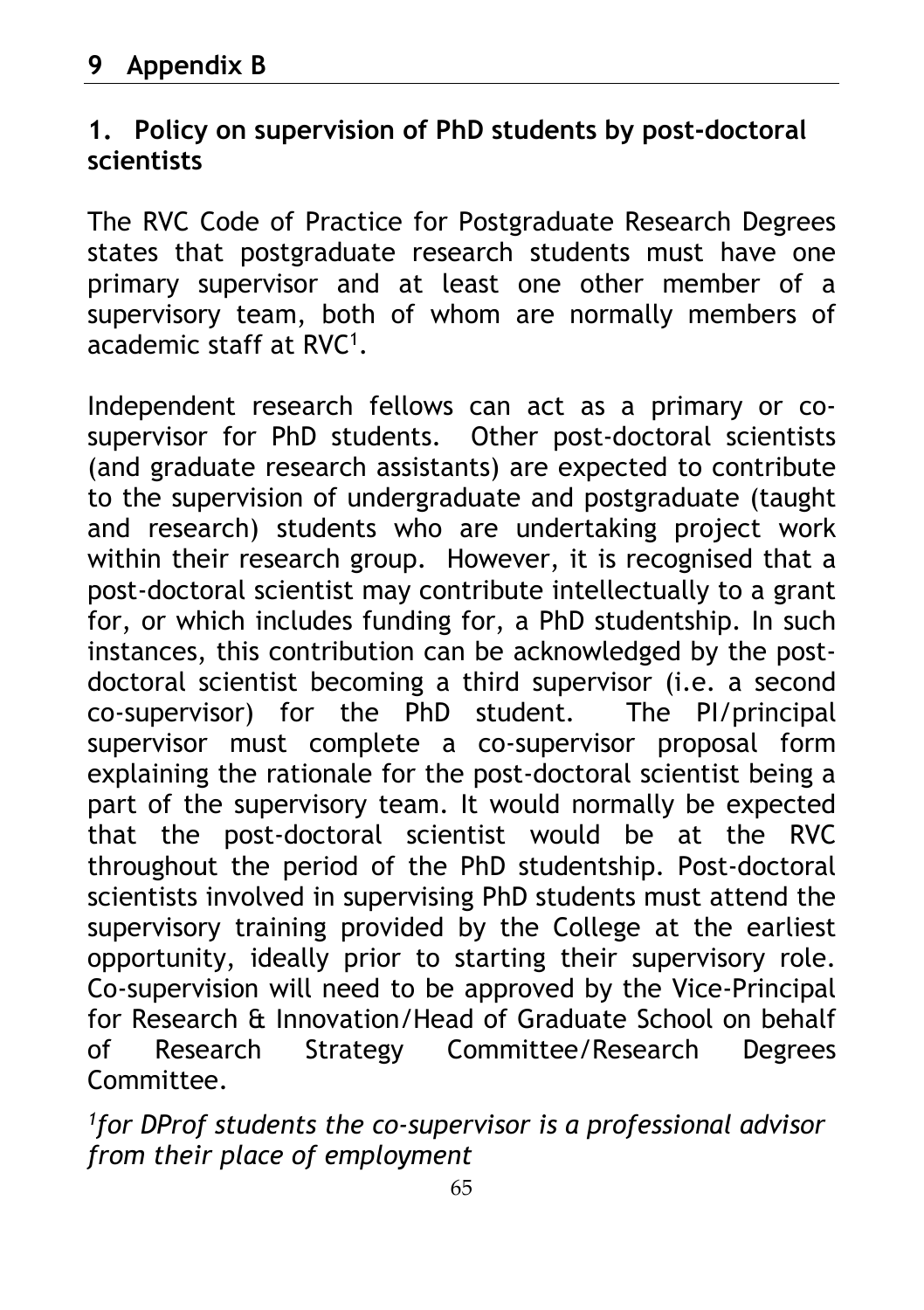### **1. Policy on supervision of PhD students by post-doctoral scientists**

The RVC Code of Practice for Postgraduate Research Degrees states that postgraduate research students must have one primary supervisor and at least one other member of a supervisory team, both of whom are normally members of academic staff at RVC1.

Independent research fellows can act as a primary or cosupervisor for PhD students. Other post-doctoral scientists (and graduate research assistants) are expected to contribute to the supervision of undergraduate and postgraduate (taught and research) students who are undertaking project work within their research group. However, it is recognised that a post-doctoral scientist may contribute intellectually to a grant for, or which includes funding for, a PhD studentship. In such instances, this contribution can be acknowledged by the postdoctoral scientist becoming a third supervisor (i.e. a second co-supervisor) for the PhD student. The PI/principal supervisor must complete a co-supervisor proposal form explaining the rationale for the post-doctoral scientist being a part of the supervisory team. It would normally be expected that the post-doctoral scientist would be at the RVC throughout the period of the PhD studentship. Post-doctoral scientists involved in supervising PhD students must attend the supervisory training provided by the College at the earliest opportunity, ideally prior to starting their supervisory role. Co-supervision will need to be approved by the Vice-Principal for Research & Innovation/Head of Graduate School on behalf of Research Strategy Committee/Research Degrees Committee.

*1for DProf students the co-supervisor is a professional advisor from their place of employment*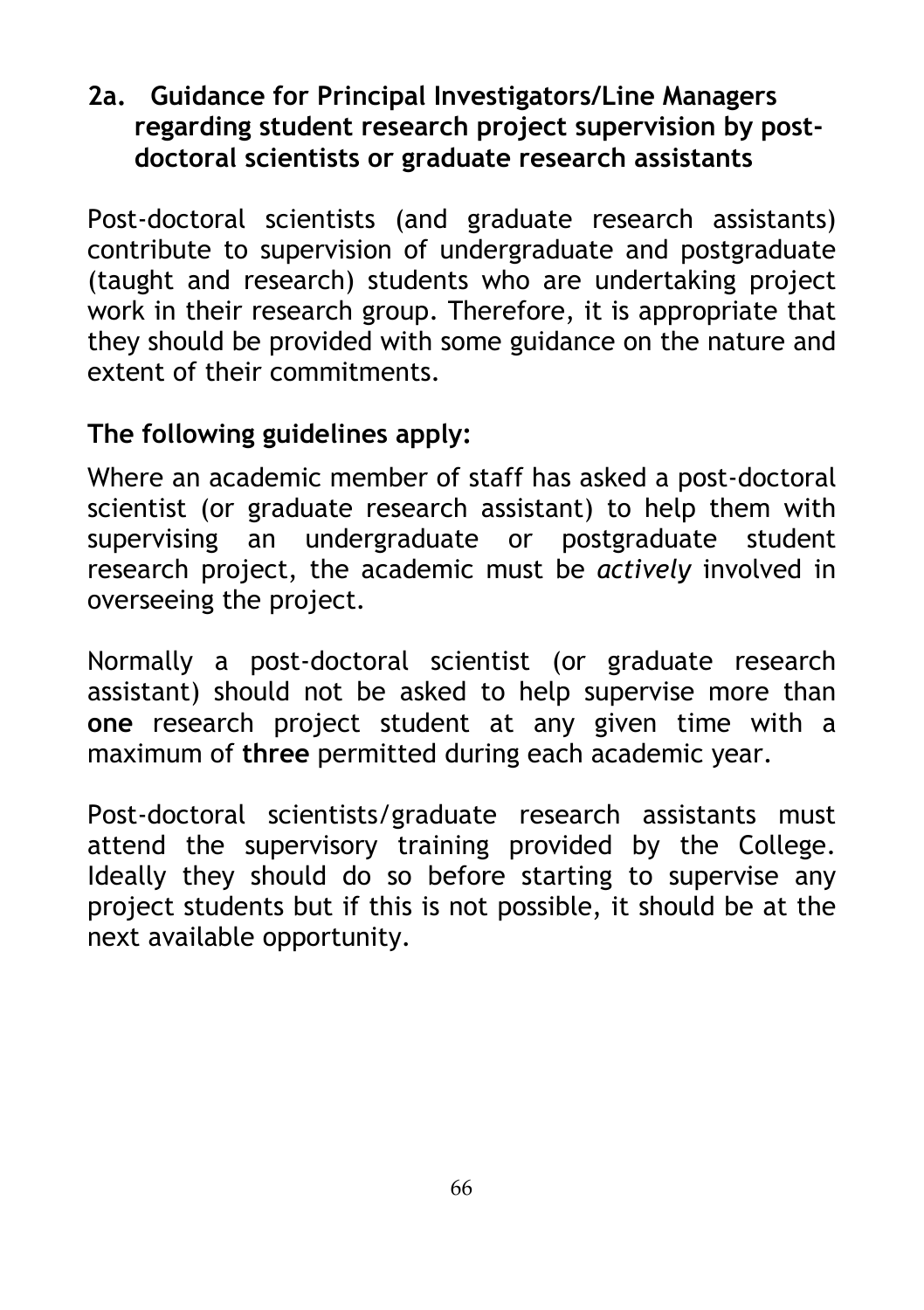### **2a. Guidance for Principal Investigators/Line Managers regarding student research project supervision by postdoctoral scientists or graduate research assistants**

Post-doctoral scientists (and graduate research assistants) contribute to supervision of undergraduate and postgraduate (taught and research) students who are undertaking project work in their research group. Therefore, it is appropriate that they should be provided with some guidance on the nature and extent of their commitments.

## **The following guidelines apply:**

Where an academic member of staff has asked a post-doctoral scientist (or graduate research assistant) to help them with supervising an undergraduate or postgraduate student research project, the academic must be *actively* involved in overseeing the project.

Normally a post-doctoral scientist (or graduate research assistant) should not be asked to help supervise more than **one** research project student at any given time with a maximum of **three** permitted during each academic year.

Post-doctoral scientists/graduate research assistants must attend the supervisory training provided by the College. Ideally they should do so before starting to supervise any project students but if this is not possible, it should be at the next available opportunity.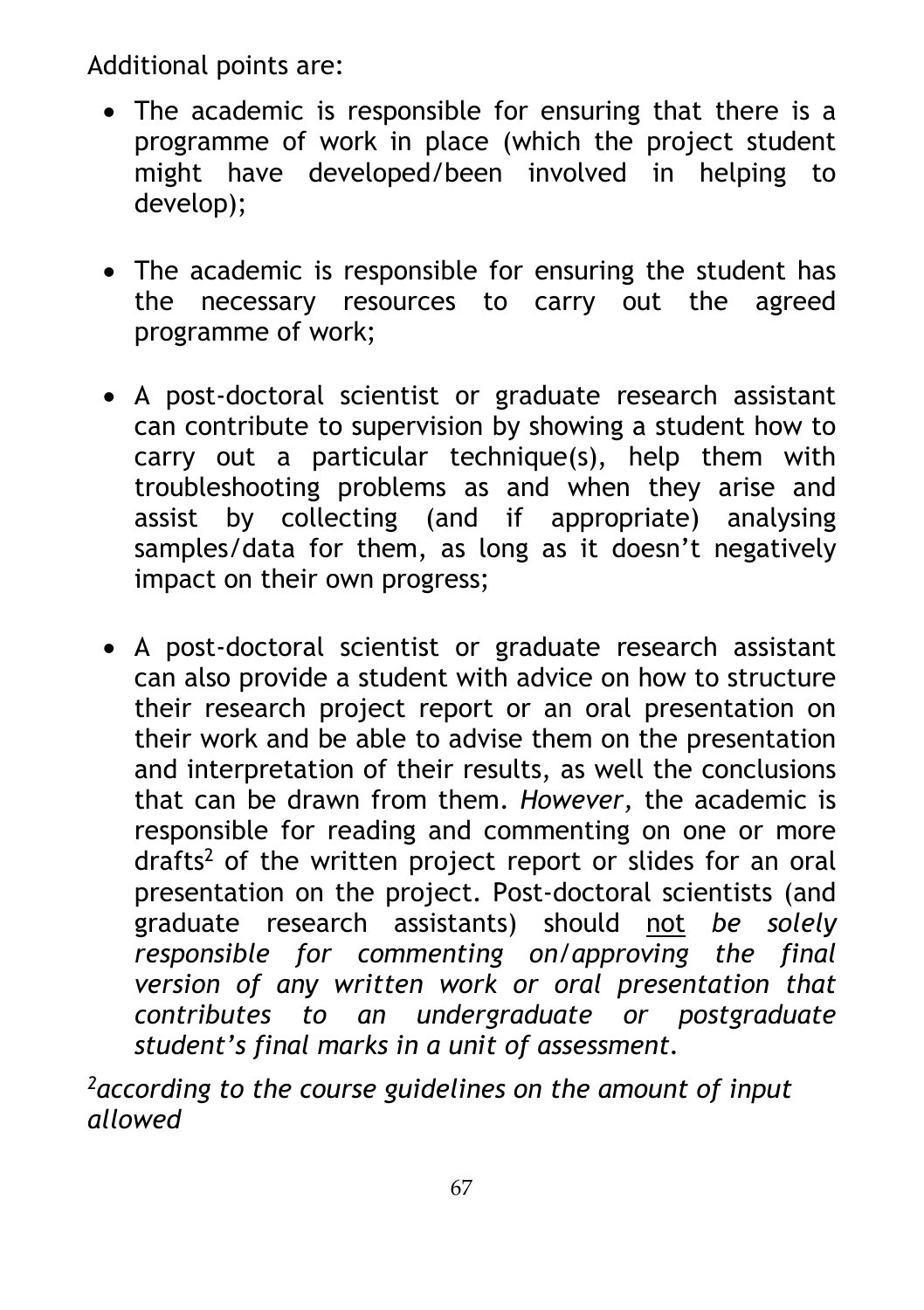Additional points are:

- The academic is responsible for ensuring that there is a programme of work in place (which the project student might have developed/been involved in helping to develop);
- The academic is responsible for ensuring the student has the necessary resources to carry out the agreed programme of work;
- A post-doctoral scientist or graduate research assistant can contribute to supervision by showing a student how to carry out a particular technique(s), help them with troubleshooting problems as and when they arise and assist by collecting (and if appropriate) analysing samples/data for them, as long as it doesn't negatively impact on their own progress;
- A post-doctoral scientist or graduate research assistant can also provide a student with advice on how to structure their research project report or an oral presentation on their work and be able to advise them on the presentation and interpretation of their results, as well the conclusions that can be drawn from them. *However,* the academic is responsible for reading and commenting on one or more drafts<sup>2</sup> of the written project report or slides for an oral presentation on the project. Post-doctoral scientists (and graduate research assistants) should not *be solely responsible for commenting on/approving the final version of any written work or oral presentation that contributes to an undergraduate or postgraduate student's final marks in a unit of assessment.*

*2according to the course guidelines on the amount of input allowed*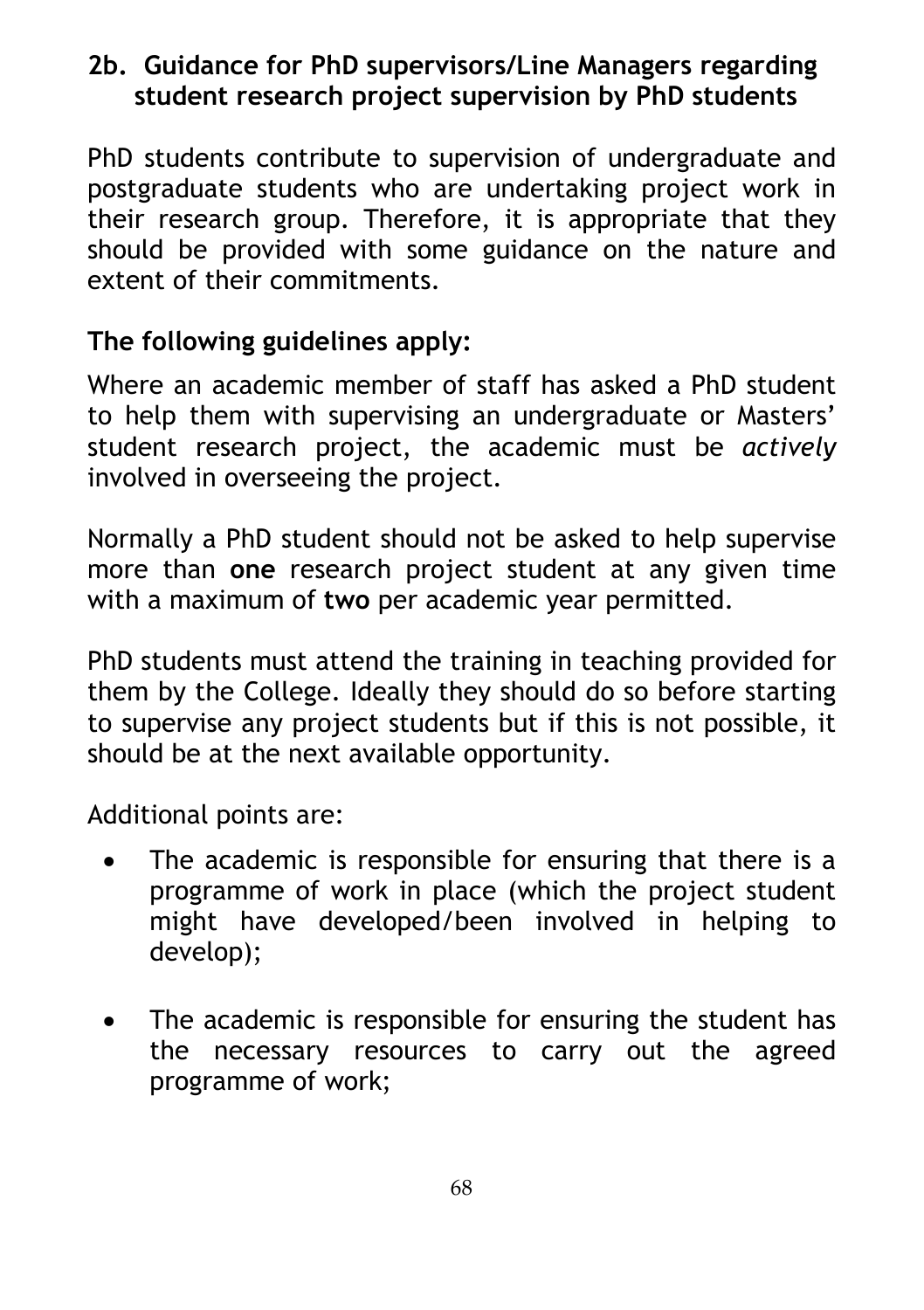### **2b. Guidance for PhD supervisors/Line Managers regarding student research project supervision by PhD students**

PhD students contribute to supervision of undergraduate and postgraduate students who are undertaking project work in their research group. Therefore, it is appropriate that they should be provided with some guidance on the nature and extent of their commitments.

### **The following guidelines apply:**

Where an academic member of staff has asked a PhD student to help them with supervising an undergraduate or Masters' student research project, the academic must be *actively* involved in overseeing the project.

Normally a PhD student should not be asked to help supervise more than **one** research project student at any given time with a maximum of **two** per academic year permitted.

PhD students must attend the training in teaching provided for them by the College. Ideally they should do so before starting to supervise any project students but if this is not possible, it should be at the next available opportunity.

Additional points are:

- The academic is responsible for ensuring that there is a programme of work in place (which the project student might have developed/been involved in helping to develop);
- The academic is responsible for ensuring the student has the necessary resources to carry out the agreed programme of work;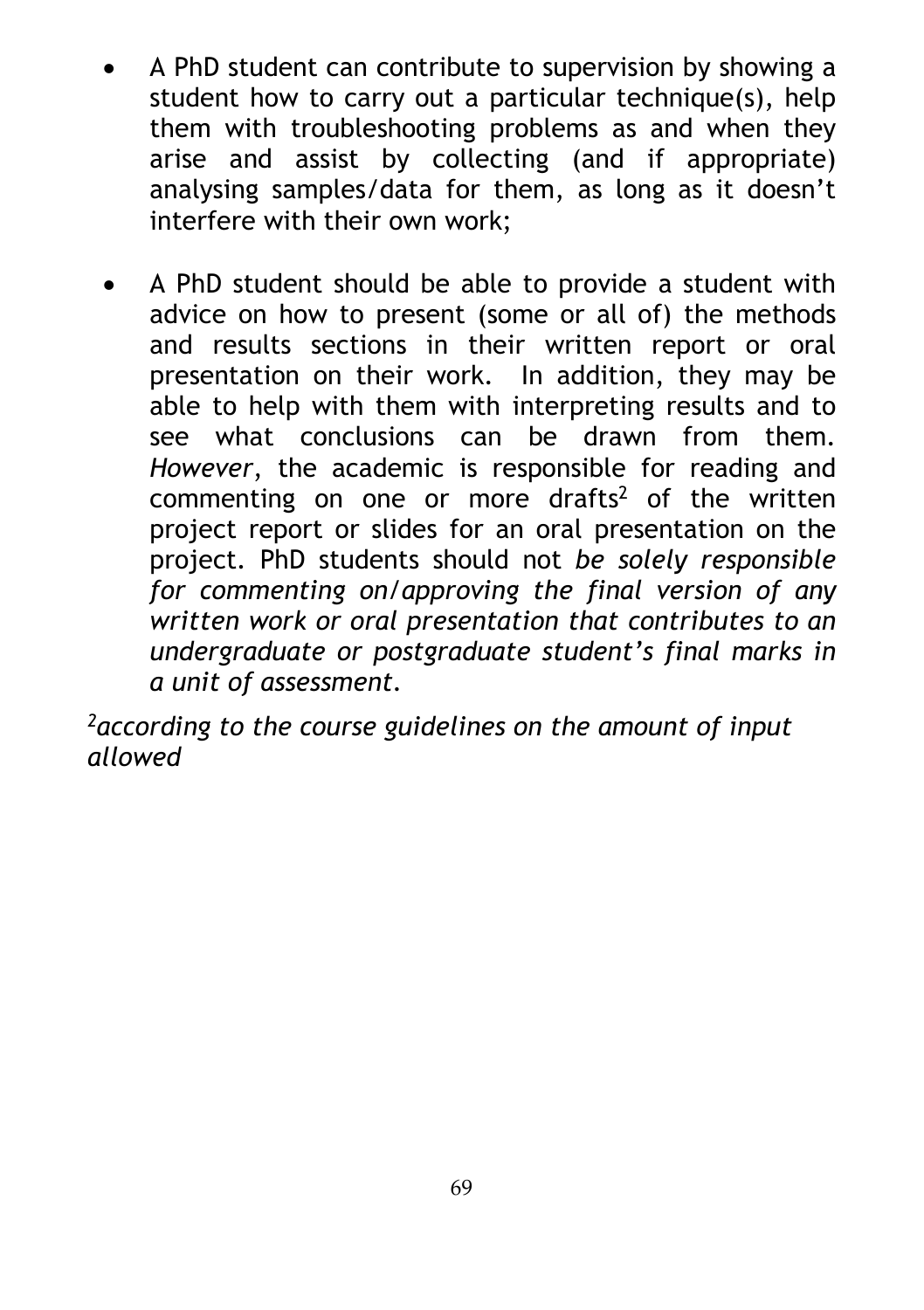- A PhD student can contribute to supervision by showing a student how to carry out a particular technique(s), help them with troubleshooting problems as and when they arise and assist by collecting (and if appropriate) analysing samples/data for them, as long as it doesn't interfere with their own work;
- A PhD student should be able to provide a student with advice on how to present (some or all of) the methods and results sections in their written report or oral presentation on their work. In addition, they may be able to help with them with interpreting results and to see what conclusions can be drawn from them. *However*, the academic is responsible for reading and commenting on one or more drafts2 of the written project report or slides for an oral presentation on the project. PhD students should not *be solely responsible for commenting on/approving the final version of any written work or oral presentation that contributes to an undergraduate or postgraduate student's final marks in a unit of assessment.*

*2according to the course guidelines on the amount of input allowed*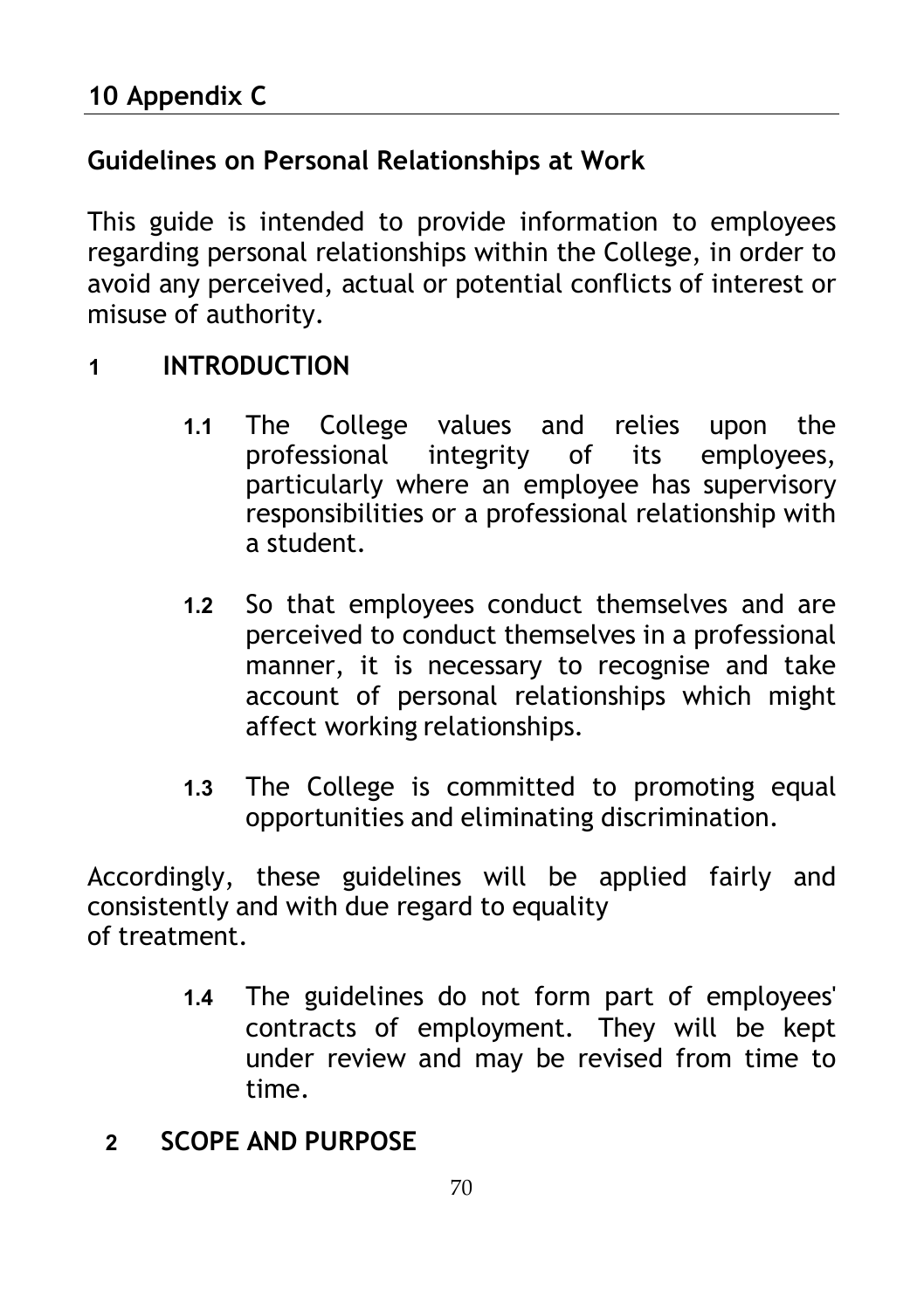## **Guidelines on Personal Relationships at Work**

This guide is intended to provide information to employees regarding personal relationships within the College, in order to avoid any perceived, actual or potential conflicts of interest or misuse of authority.

### **1 INTRODUCTION**

- **1.1** The College values and relies upon the professional integrity particularly where an employee has supervisory responsibilities or a professional relationship with a student.
- **1.2** So that employees conduct themselves and are perceived to conduct themselves in a professional manner, it is necessary to recognise and take account of personal relationships which might affect working relationships.
- **1.3** The College is committed to promoting equal opportunities and eliminating discrimination.

Accordingly, these guidelines will be applied fairly and consistently and with due regard to equality of treatment.

- **1.4** The guidelines do not form part of employees' contracts of employment. They will be kept under review and may be revised from time to time.
- **2 SCOPE AND PURPOSE**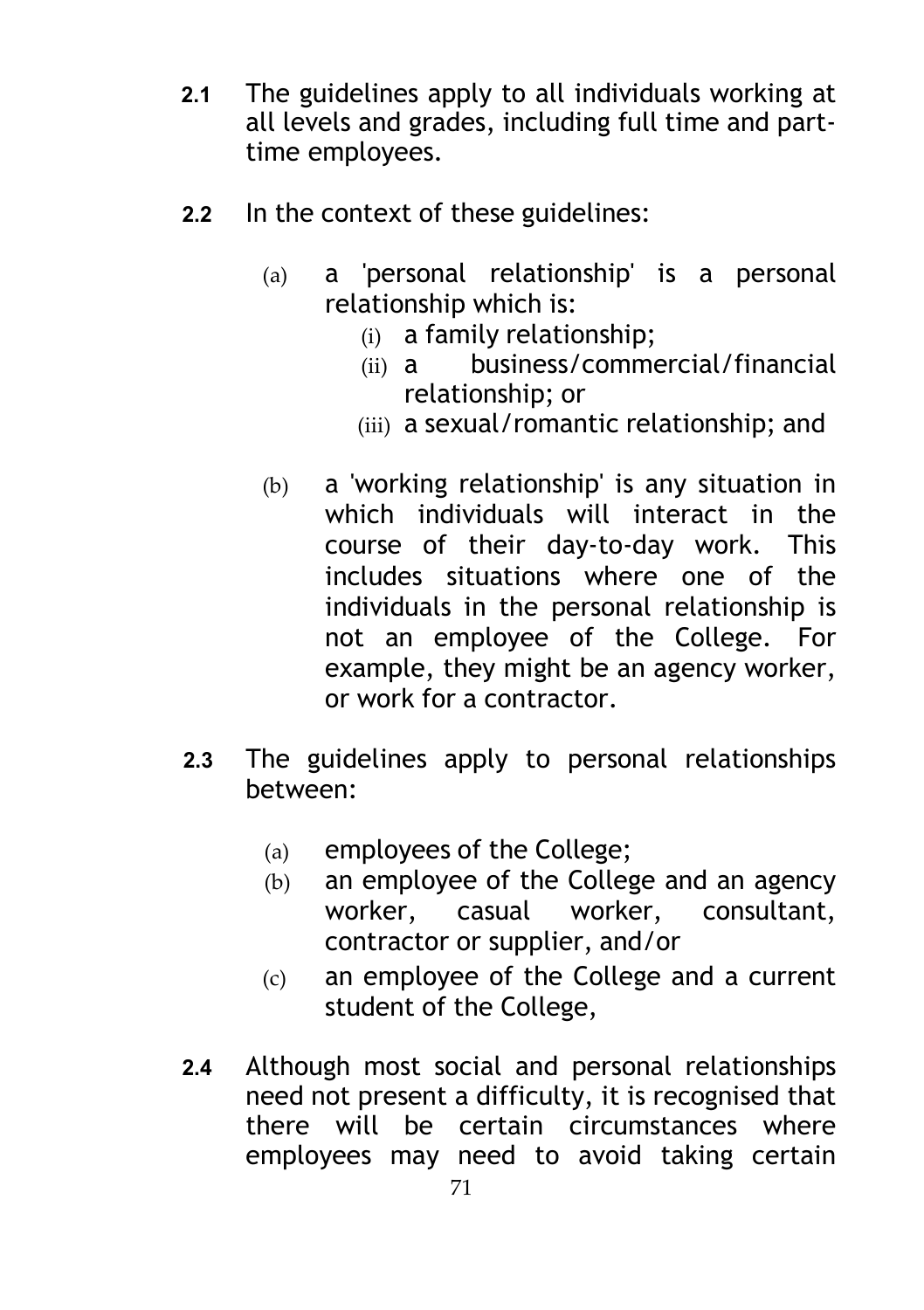- **2.1** The guidelines apply to all individuals working at all levels and grades, including full time and parttime employees.
- **2.2** In the context of these guidelines:
	- (a) a 'personal relationship' is a personal relationship which is:
		- (i) a family relationship;
		- (ii) a business/commercial/financial relationship; or
		- (iii) a sexual/romantic relationship; and
	- (b) a 'working relationship' is any situation in which individuals will interact in the course of their day-to-day work. This includes situations where one of the individuals in the personal relationship is not an employee of the College. For example, they might be an agency worker, or work for a contractor.
- **2.3** The guidelines apply to personal relationships between:
	- (a) employees of the College;
	- (b) an employee of the College and an agency worker, casual worker, consultant, contractor or supplier, and/or
	- (c) an employee of the College and a current student of the College,
- **2.4** Although most social and personal relationships need not present a difficulty, it is recognised that there will be certain circumstances where employees may need to avoid taking certain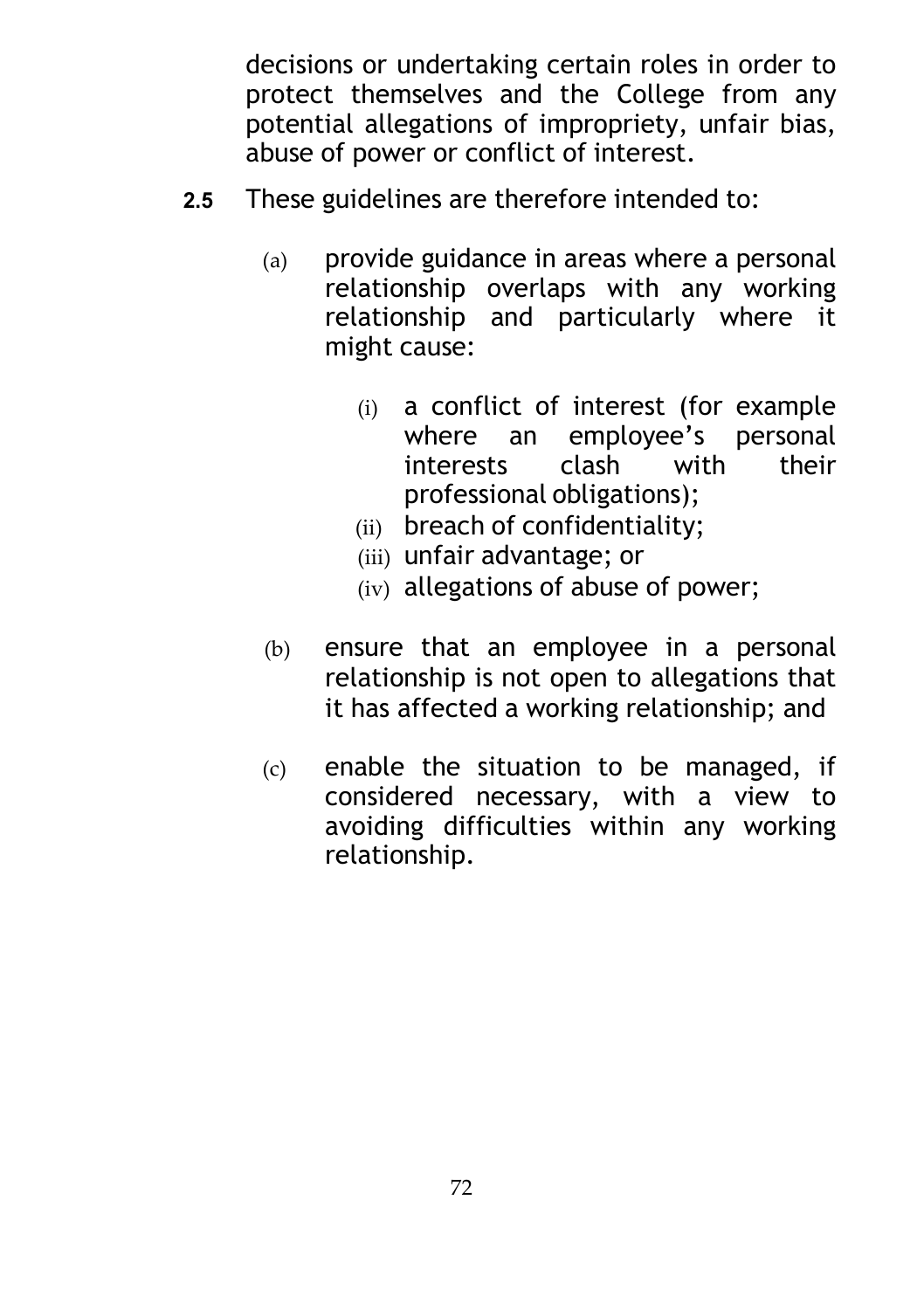decisions or undertaking certain roles in order to protect themselves and the College from any potential allegations of impropriety, unfair bias, abuse of power or conflict of interest.

- **2.5** These guidelines are therefore intended to:
	- (a) provide guidance in areas where a personal relationship overlaps with any working relationship and particularly where it might cause:
		- (i) a conflict of interest (for example where an employee's personal interests clash with their professional obligations);
		- (ii) breach of confidentiality;
		- (iii) unfair advantage; or
		- (iv) allegations of abuse of power;
	- (b) ensure that an employee in a personal relationship is not open to allegations that it has affected a working relationship; and
	- (c) enable the situation to be managed, if considered necessary, with a view to avoiding difficulties within any working relationship.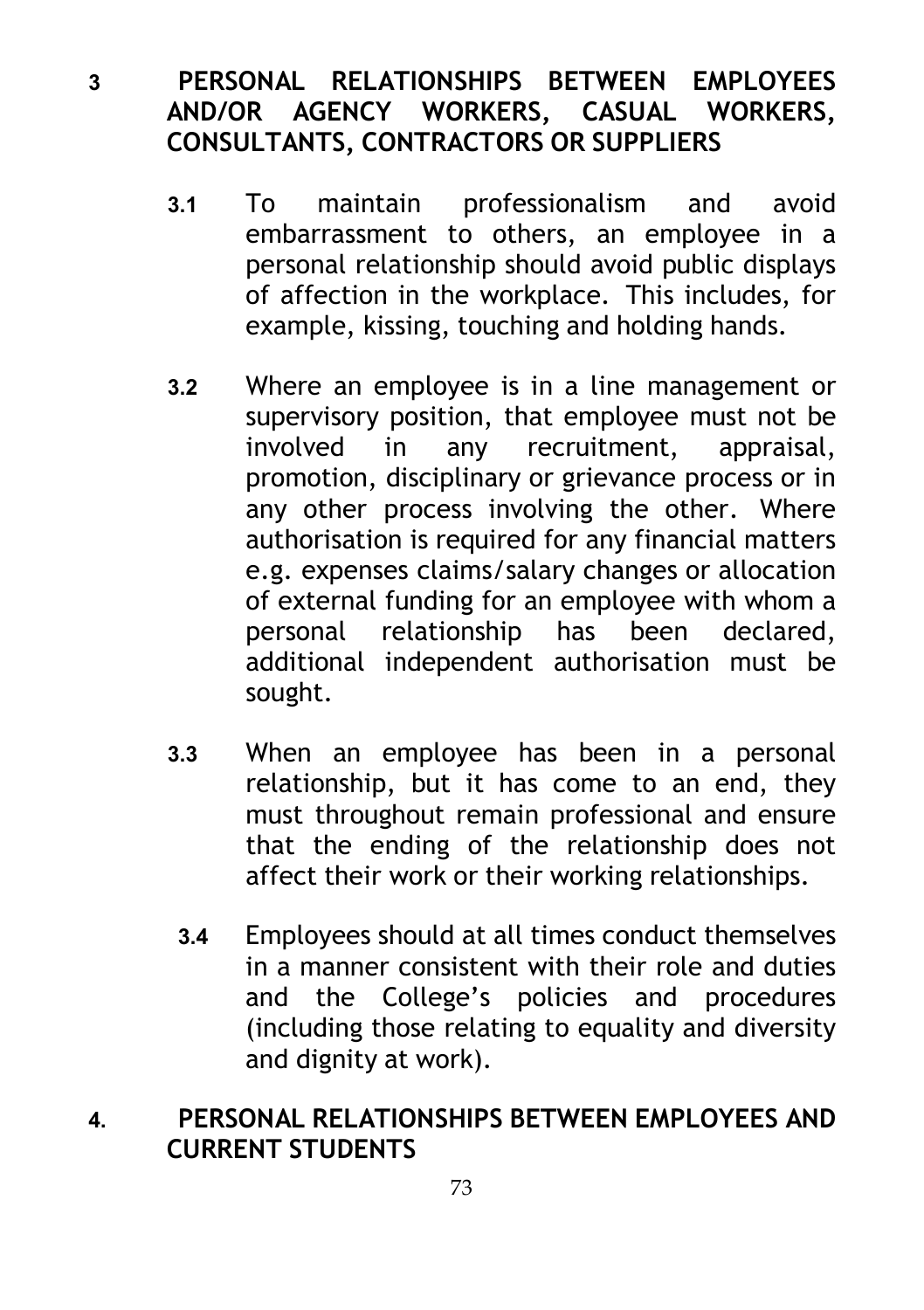#### **3 PERSONAL RELATIONSHIPS BETWEEN EMPLOYEES AND/OR AGENCY WORKERS, CASUAL WORKERS, CONSULTANTS, CONTRACTORS OR SUPPLIERS**

- **3.1** To maintain professionalism and avoid embarrassment to others, an employee in a personal relationship should avoid public displays of affection in the workplace. This includes, for example, kissing, touching and holding hands.
- **3.2** Where an employee is in a line management or supervisory position, that employee must not be involved in any recruitment, appraisal, promotion, disciplinary or grievance process or in any other process involving the other. Where authorisation is required for any financial matters e.g. expenses claims/salary changes or allocation of external funding for an employee with whom a personal relationship has been declared, additional independent authorisation must be sought.
- **3.3** When an employee has been in a personal relationship, but it has come to an end, they must throughout remain professional and ensure that the ending of the relationship does not affect their work or their working relationships.
- **3.4** Employees should at all times conduct themselves in a manner consistent with their role and duties and the College's policies and procedures (including those relating to equality and diversity and dignity at work).

### **4. PERSONAL RELATIONSHIPS BETWEEN EMPLOYEES AND CURRENT STUDENTS**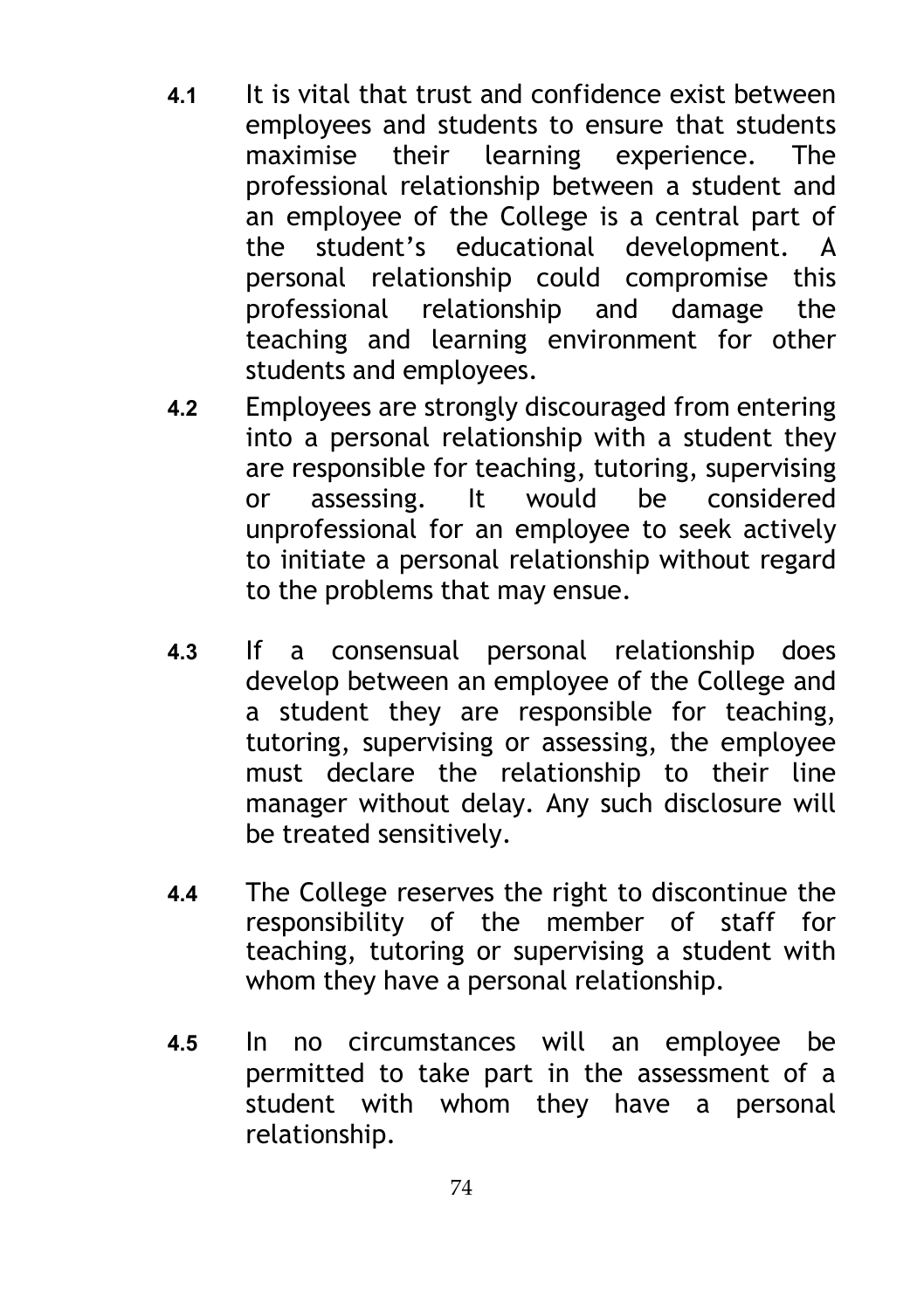- **4.1** It is vital that trust and confidence exist between employees and students to ensure that students maximise their learning experience. The professional relationship between a student and an employee of the College is a central part of the student's educational development. A personal relationship could compromise this professional relationship and damage the teaching and learning environment for other students and employees.
- **4.2** Employees are strongly discouraged from entering into a personal relationship with a student they are responsible for teaching, tutoring, supervising or assessing. It would be considered unprofessional for an employee to seek actively to initiate a personal relationship without regard to the problems that may ensue.
- **4.3** If a consensual personal relationship does develop between an employee of the College and a student they are responsible for teaching, tutoring, supervising or assessing, the employee must declare the relationship to their line manager without delay. Any such disclosure will be treated sensitively.
- **4.4** The College reserves the right to discontinue the responsibility of the member of staff for teaching, tutoring or supervising a student with whom they have a personal relationship.
- **4.5** In no circumstances will an employee be permitted to take part in the assessment of a student with whom they have a personal relationship.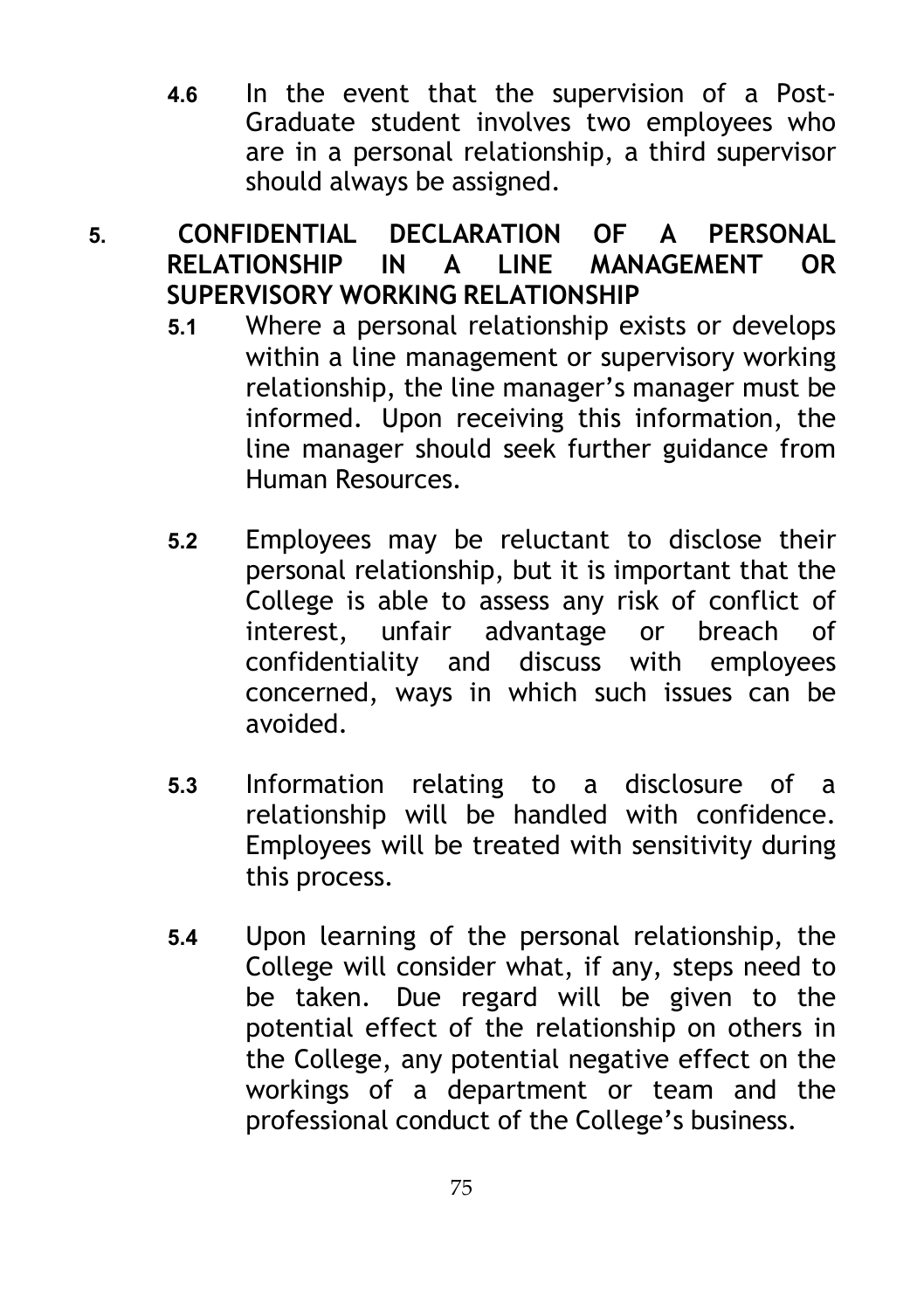**4.6** In the event that the supervision of a Post-Graduate student involves two employees who are in a personal relationship, a third supervisor should always be assigned.

# **5. CONFIDENTIAL DECLARATION OF A PERSONAL RELATIONSHIP IN A LINE MANAGEMENT OR SUPERVISORY WORKING RELATIONSHIP**

- **5.1** Where a personal relationship exists or develops within a line management or supervisory working relationship, the line manager's manager must be informed. Upon receiving this information, the line manager should seek further guidance from Human Resources.
- **5.2** Employees may be reluctant to disclose their personal relationship, but it is important that the College is able to assess any risk of conflict of interest, unfair advantage or breach of confidentiality and discuss with employees concerned, ways in which such issues can be avoided.
- **5.3** Information relating to a disclosure of a relationship will be handled with confidence. Employees will be treated with sensitivity during this process.
- **5.4** Upon learning of the personal relationship, the College will consider what, if any, steps need to be taken. Due regard will be given to the potential effect of the relationship on others in the College, any potential negative effect on the workings of a department or team and the professional conduct of the College's business.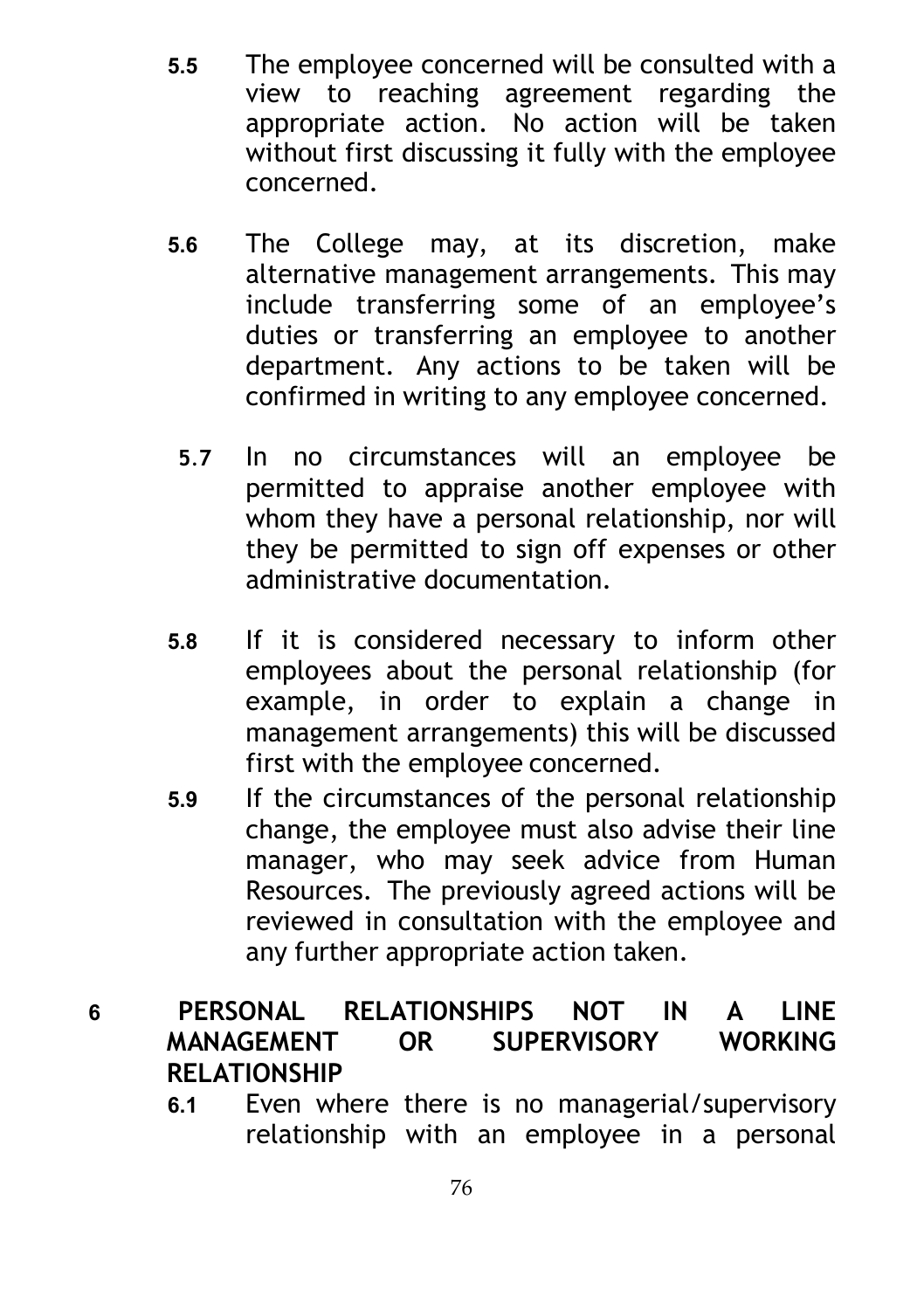- **5.5** The employee concerned will be consulted with a<br>view to reaching agreement regarding the agreement regarding the appropriate action. No action will be taken without first discussing it fully with the employee concerned.
- **5.6** The College may, at its discretion, make alternative management arrangements. This may include transferring some of an employee's duties or transferring an employee to another department. Any actions to be taken will be confirmed in writing to any employee concerned.
- **5**.**7** In no circumstances will an employee be permitted to appraise another employee with whom they have a personal relationship, nor will they be permitted to sign off expenses or other administrative documentation.
- **5.8** If it is considered necessary to inform other employees about the personal relationship (for example, in order to explain a change in management arrangements) this will be discussed first with the employee concerned.
- **5.9** If the circumstances of the personal relationship change, the employee must also advise their line manager, who may seek advice from Human Resources. The previously agreed actions will be reviewed in consultation with the employee and any further appropriate action taken.

### **6 PERSONAL RELATIONSHIPS NOT IN A LINE MANAGEMENT OR SUPERVISORY WORKING RELATIONSHIP**

**6.1** Even where there is no managerial/supervisory relationship with an employee in a personal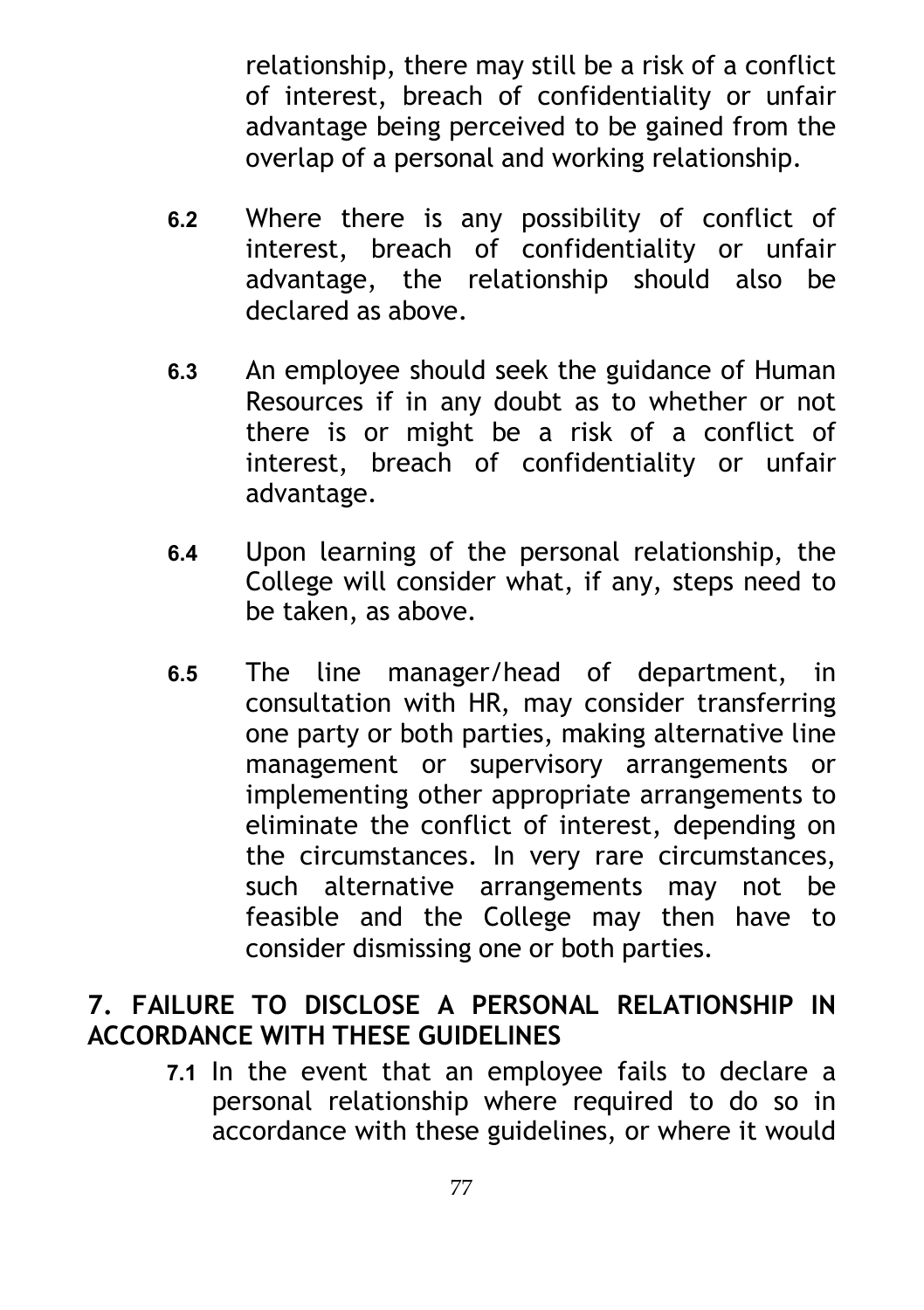relationship, there may still be a risk of a conflict of interest, breach of confidentiality or unfair advantage being perceived to be gained from the overlap of a personal and working relationship.

- **6.2** Where there is any possibility of conflict of interest, breach of confidentiality or unfair advantage, the relationship should also be declared as above.
- **6.3** An employee should seek the guidance of Human Resources if in any doubt as to whether or not there is or might be a risk of a conflict of interest, breach of confidentiality or unfair advantage.
- **6.4** Upon learning of the personal relationship, the College will consider what, if any, steps need to be taken, as above.
- **6.5** The line manager/head of department, in consultation with HR, may consider transferring one party or both parties, making alternative line management or supervisory arrangements or implementing other appropriate arrangements to eliminate the conflict of interest, depending on the circumstances. In very rare circumstances, such alternative arrangements may not be feasible and the College may then have to consider dismissing one or both parties.

### **7. FAILURE TO DISCLOSE A PERSONAL RELATIONSHIP IN ACCORDANCE WITH THESE GUIDELINES**

**7.1** In the event that an employee fails to declare a personal relationship where required to do so in accordance with these guidelines, or where it would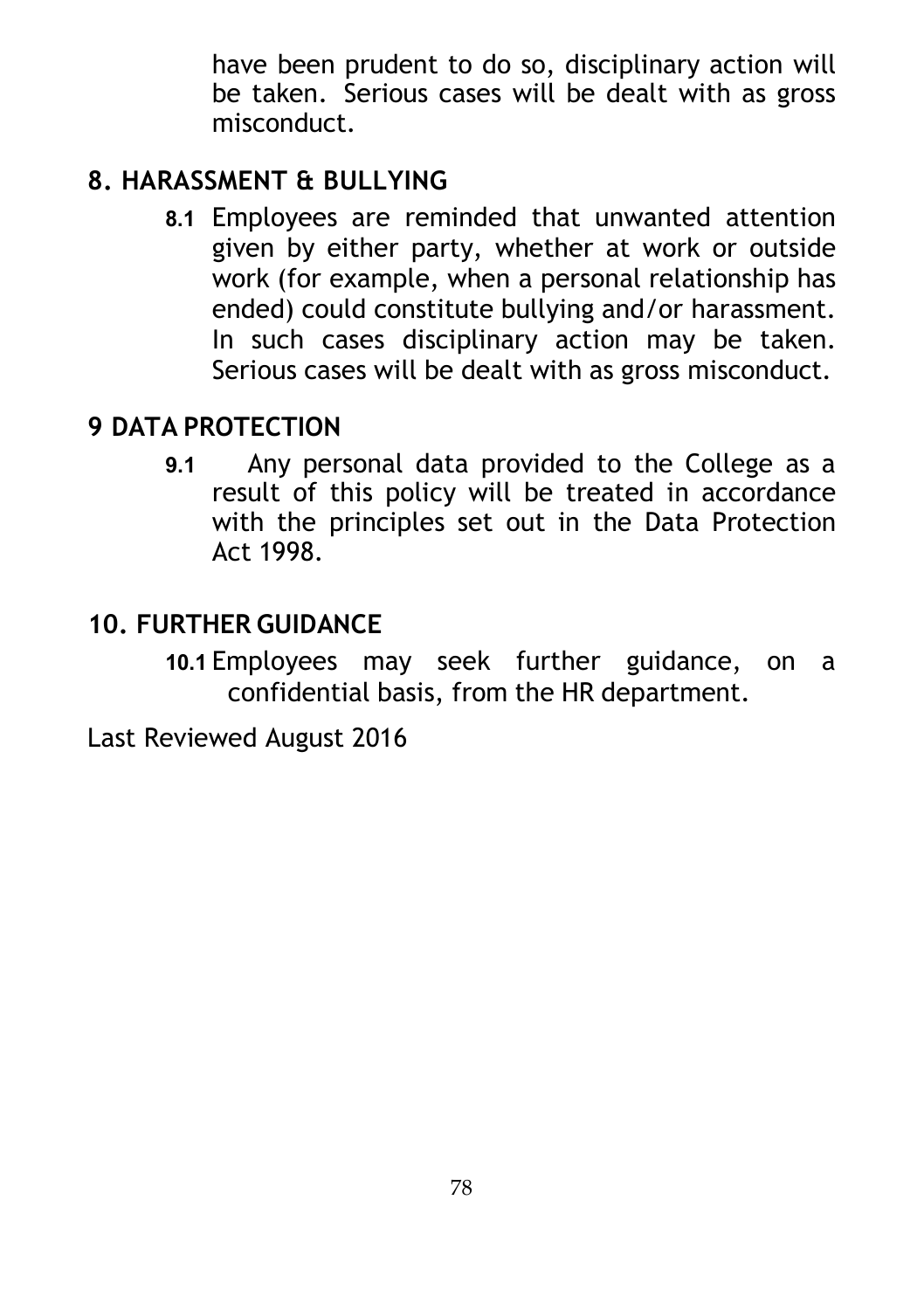have been prudent to do so, disciplinary action will be taken. Serious cases will be dealt with as gross misconduct.

# **8. HARASSMENT & BULLYING**

**8.1** Employees are reminded that unwanted attention given by either party, whether at work or outside work (for example, when a personal relationship has ended) could constitute bullying and/or harassment. In such cases disciplinary action may be taken. Serious cases will be dealt with as gross misconduct.

### **9 DATA PROTECTION**

**9.1** Any personal data provided to the College as a result of this policy will be treated in accordance with the principles set out in the Data Protection Act 1998.

# **10. FURTHER GUIDANCE**

**10.1** Employees may seek further guidance, on a confidential basis, from the HR department.

Last Reviewed August 2016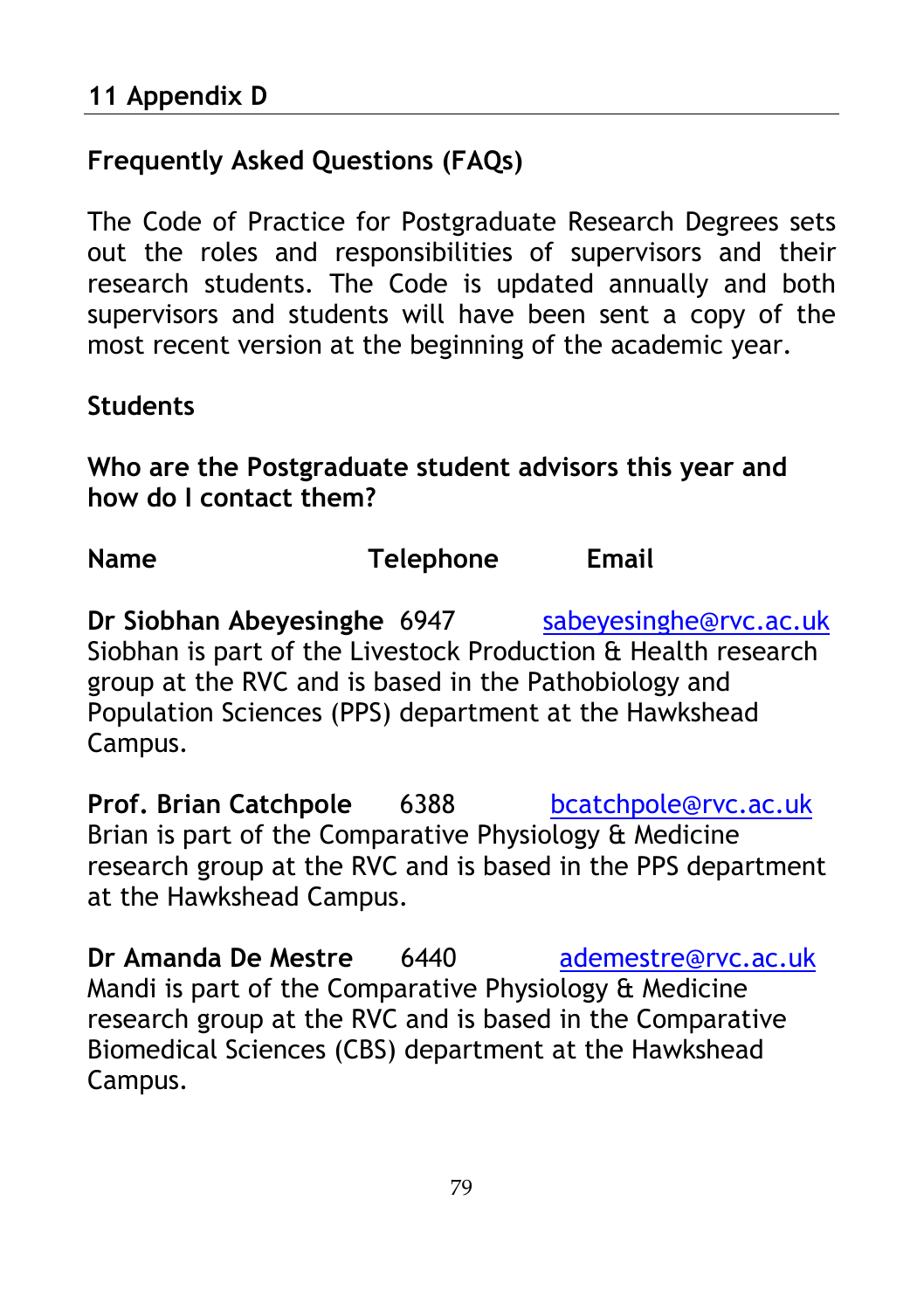# **Frequently Asked Questions (FAQs)**

The Code of Practice for Postgraduate Research Degrees sets out the roles and responsibilities of supervisors and their research students. The Code is updated annually and both supervisors and students will have been sent a copy of the most recent version at the beginning of the academic year.

### **Students**

**Who are the Postgraduate student advisors this year and how do I contact them?**

# **Name Telephone Email**

**Dr Siobhan Abeyesinghe 6947** [sabeyesinghe@rvc.ac.uk](mailto:sabeyesinghe@rvc.ac.uk) Siobhan is part of the Livestock Production & Health research group at the RVC and is based in the Pathobiology and Population Sciences (PPS) department at the Hawkshead Campus.

**Prof. Brian Catchpole** 6388 [bcatchpole@rvc.ac.uk](mailto:bcatchpole@rvc.ac.uk) Brian is part of the Comparative Physiology & Medicine research group at the RVC and is based in the PPS department at the Hawkshead Campus.

**Dr Amanda De Mestre** 6440 [ademestre@rvc.ac.uk](mailto:ademestre@rvc.ac.uk) Mandi is part of the Comparative Physiology & Medicine research group at the RVC and is based in the Comparative Biomedical Sciences (CBS) department at the Hawkshead Campus.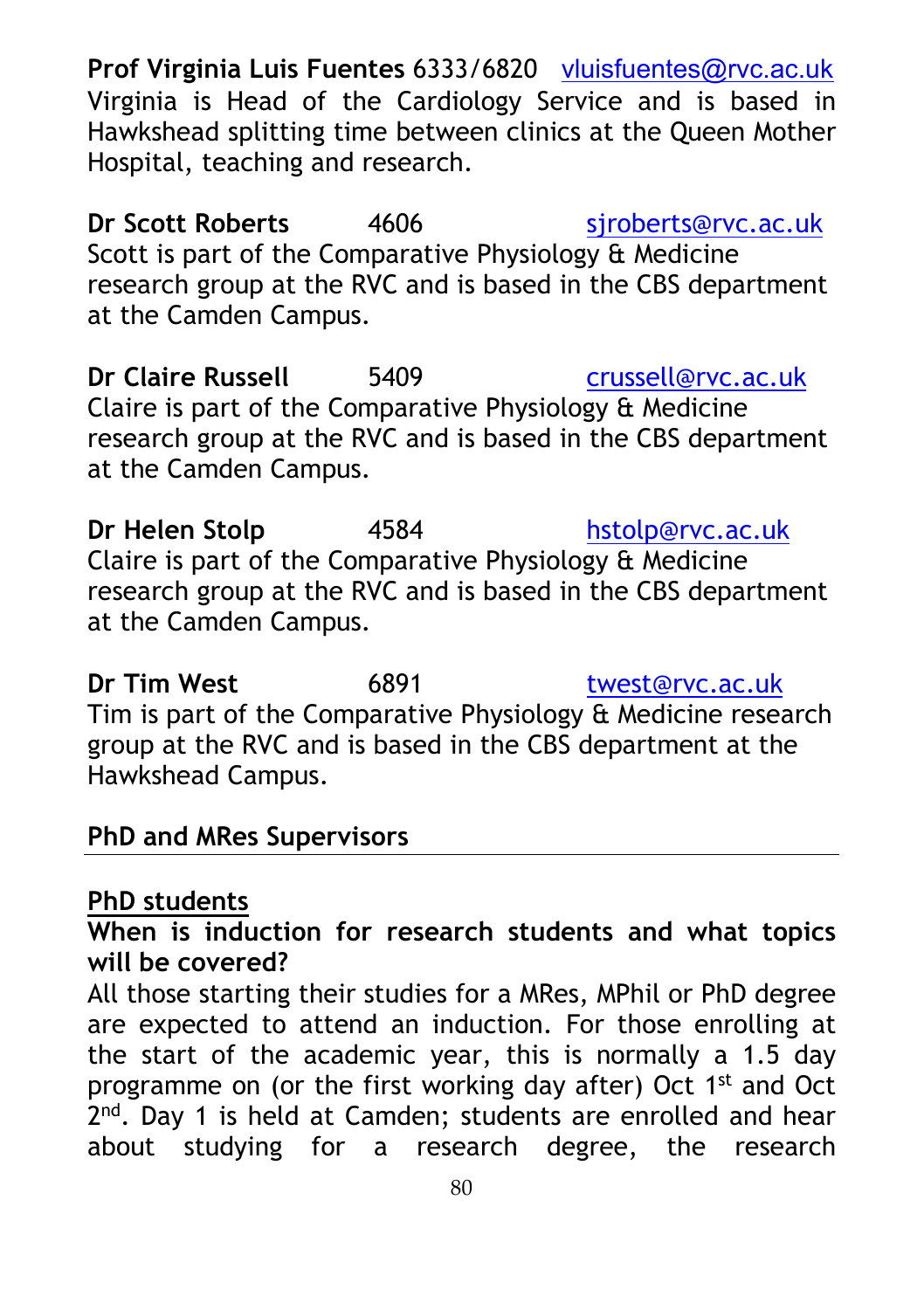**Prof Virginia Luis Fuentes** 6333/6820 [vluisfuentes@rvc.ac.uk](mailto:vluisfuentes@rvc.ac.uk) Virginia is Head of the Cardiology Service and is based in Hawkshead splitting time between clinics at the Queen Mother Hospital, teaching and research.

**Dr Scott Roberts** 4606 siroberts@rvc.ac.uk Scott is part of the Comparative Physiology & Medicine research group at the RVC and is based in the CBS department at the Camden Campus.

**Dr Claire Russell** 5409 [crussell@rvc.ac.uk](mailto:crussell@rvc.ac.uk) Claire is part of the Comparative Physiology & Medicine research group at the RVC and is based in the CBS department at the Camden Campus.

**Dr Helen Stolp** 4584 [hstolp@rvc.ac.uk](mailto:hstolp@rvc.ac.uk) Claire is part of the Comparative Physiology & Medicine research group at the RVC and is based in the CBS department at the Camden Campus.

**Dr Tim West** 6891 [twest@rvc.ac.uk](mailto:twest@rvc.ac.uk) Tim is part of the Comparative Physiology & Medicine research group at the RVC and is based in the CBS department at the Hawkshead Campus.

#### **PhD and MRes Supervisors**

#### **PhD students**

**When is induction for research students and what topics will be covered?**

All those starting their studies for a MRes, MPhil or PhD degree are expected to attend an induction. For those enrolling at the start of the academic year, this is normally a 1.5 day programme on (or the first working day after) Oct 1st and Oct 2<sup>nd</sup>. Day 1 is held at Camden; students are enrolled and hear about studying for a research degree, the research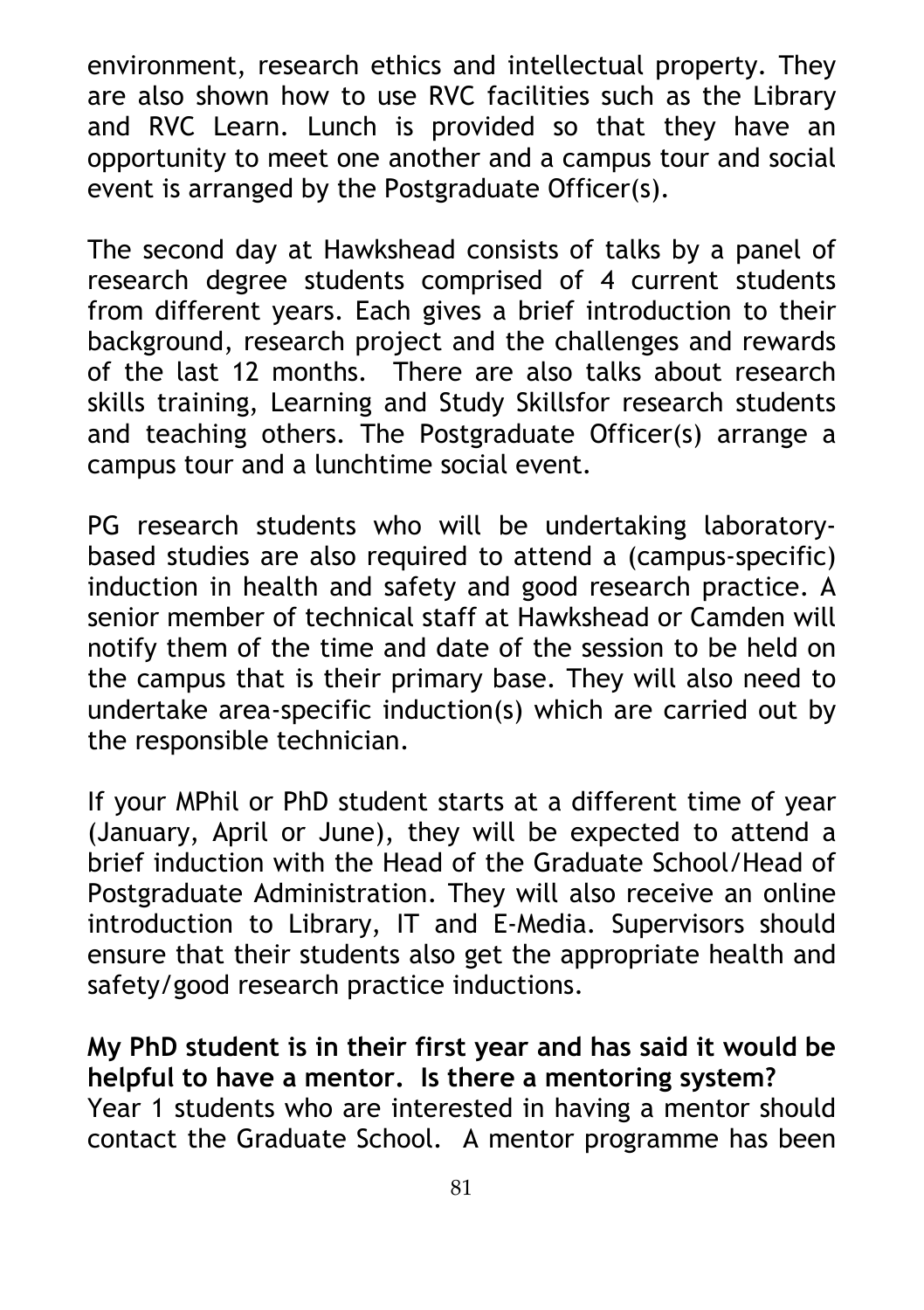environment, research ethics and intellectual property. They are also shown how to use RVC facilities such as the Library and RVC Learn. Lunch is provided so that they have an opportunity to meet one another and a campus tour and social event is arranged by the Postgraduate Officer(s).

The second day at Hawkshead consists of talks by a panel of research degree students comprised of 4 current students from different years. Each gives a brief introduction to their background, research project and the challenges and rewards of the last 12 months. There are also talks about research skills training, Learning and Study Skillsfor research students and teaching others. The Postgraduate Officer(s) arrange a campus tour and a lunchtime social event.

PG research students who will be undertaking laboratorybased studies are also required to attend a (campus-specific) induction in health and safety and good research practice. A senior member of technical staff at Hawkshead or Camden will notify them of the time and date of the session to be held on the campus that is their primary base. They will also need to undertake area-specific induction(s) which are carried out by the responsible technician.

If your MPhil or PhD student starts at a different time of year (January, April or June), they will be expected to attend a brief induction with the Head of the Graduate School/Head of Postgraduate Administration. They will also receive an online introduction to Library, IT and E-Media. Supervisors should ensure that their students also get the appropriate health and safety/good research practice inductions.

**My PhD student is in their first year and has said it would be helpful to have a mentor. Is there a mentoring system?** Year 1 students who are interested in having a mentor should contact the Graduate School. A mentor programme has been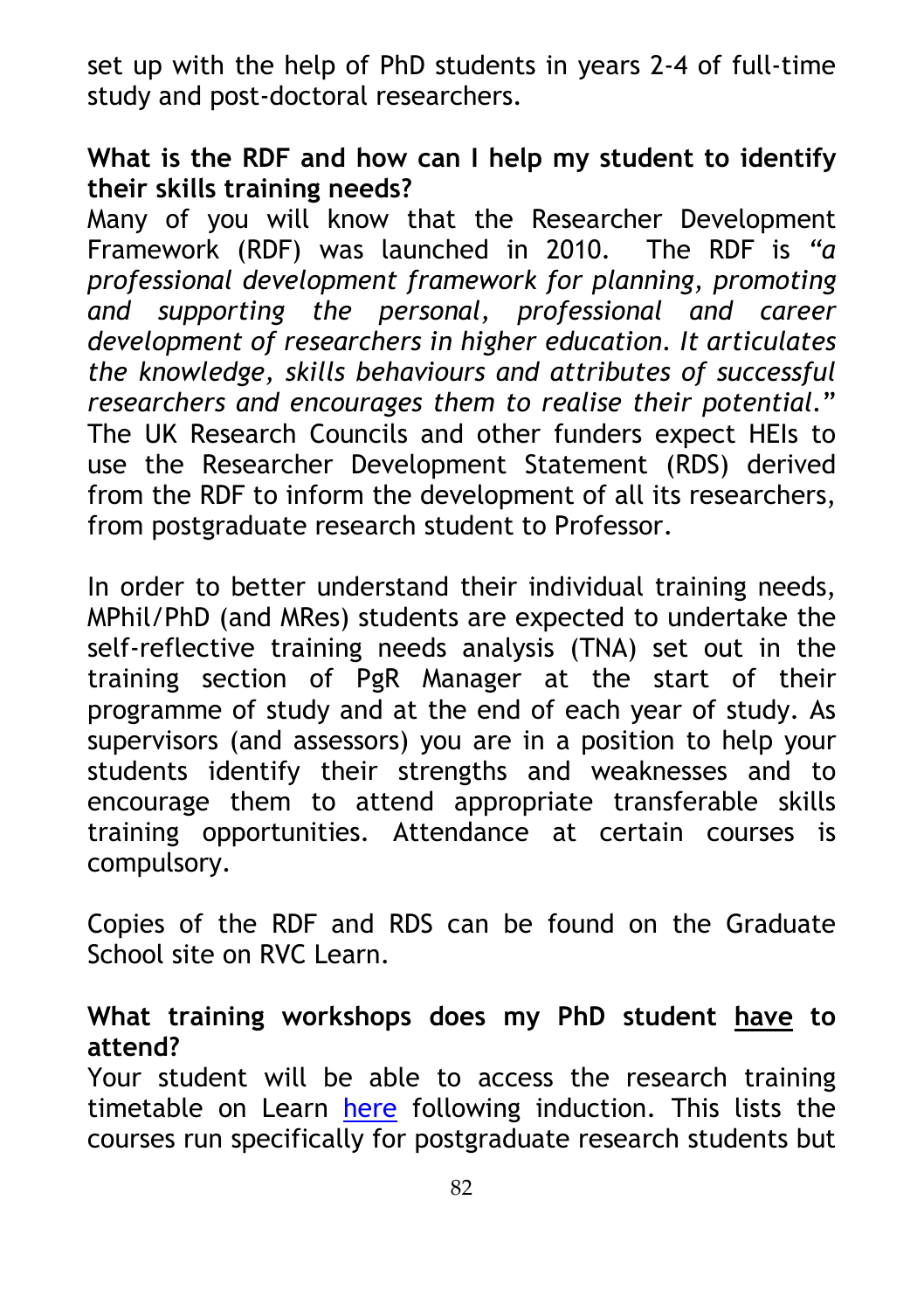set up with the help of PhD students in years 2-4 of full-time study and post-doctoral researchers.

### **What is the RDF and how can I help my student to identify their skills training needs?**

Many of you will know that the Researcher Development Framework (RDF) was launched in 2010. The RDF is *"a professional development framework for planning, promoting and supporting the personal, professional and career development of researchers in higher education. It articulates the knowledge, skills behaviours and attributes of successful researchers and encourages them to realise their potential.*" The UK Research Councils and other funders expect HEIs to use the Researcher Development Statement (RDS) derived from the RDF to inform the development of all its researchers, from postgraduate research student to Professor.

In order to better understand their individual training needs, MPhil/PhD (and MRes) students are expected to undertake the self-reflective training needs analysis (TNA) set out in the training section of PgR Manager at the start of their programme of study and at the end of each year of study. As supervisors (and assessors) you are in a position to help your students identify their strengths and weaknesses and to encourage them to attend appropriate transferable skills training opportunities. Attendance at certain courses is compulsory.

Copies of the RDF and RDS can be found on the Graduate School site on RVC Learn.

#### **What training workshops does my PhD student have to attend?**

Your student will be able to access the research training timetable on Learn [here](https://learn.rvc.ac.uk/mod/book/view.php?id=91462) following induction. This lists the courses run specifically for postgraduate research students but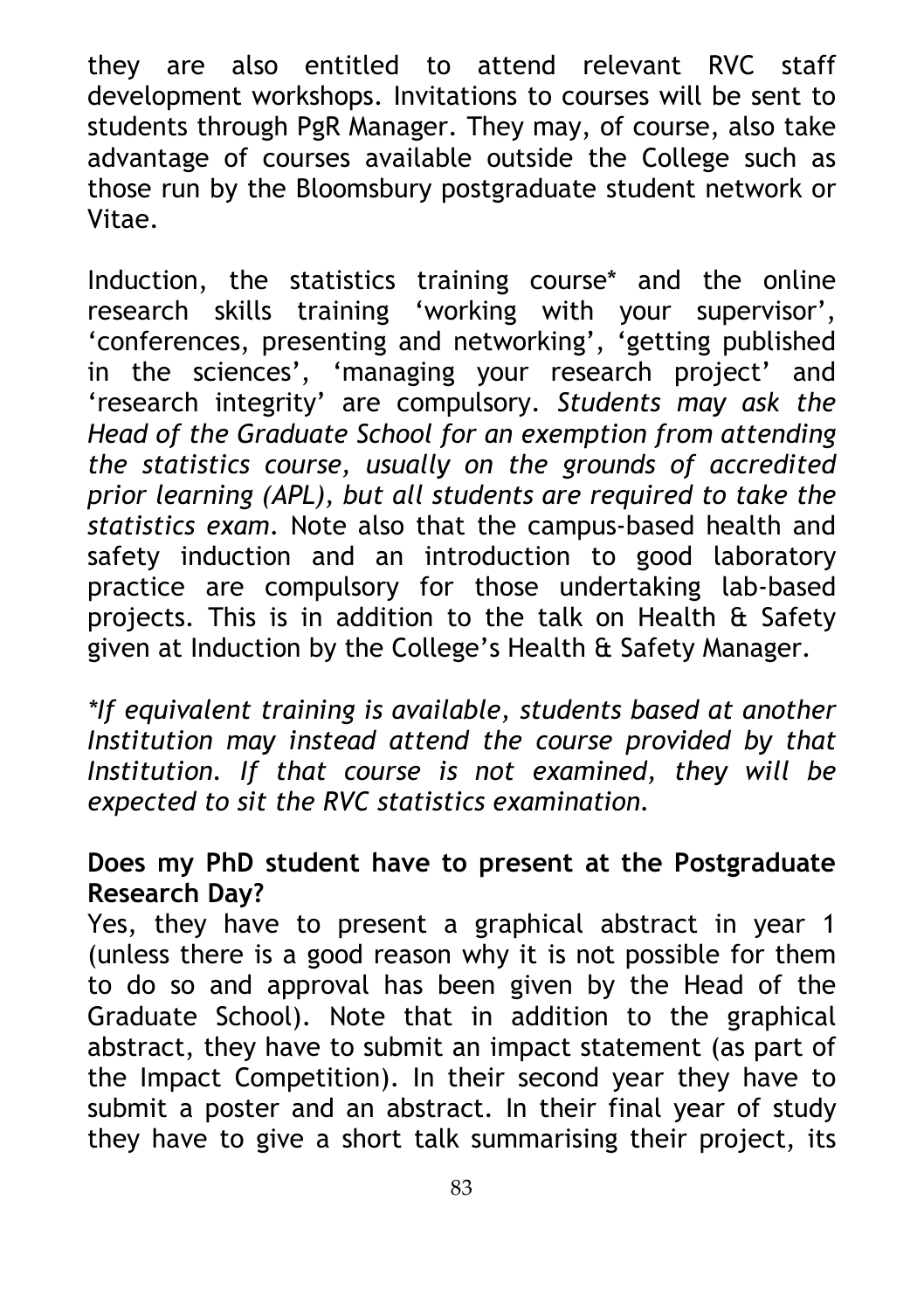they are also entitled to attend relevant RVC staff development workshops. Invitations to courses will be sent to students through PgR Manager. They may, of course, also take advantage of courses available outside the College such as those run by the Bloomsbury postgraduate student network or Vitae.

Induction, the statistics training course\* and the online research skills training 'working with your supervisor', 'conferences, presenting and networking', 'getting published in the sciences', 'managing your research project' and 'research integrity' are compulsory. *Students may ask the Head of the Graduate School for an exemption from attending the statistics course, usually on the grounds of accredited prior learning (APL), but all students are required to take the statistics exam*. Note also that the campus-based health and safety induction and an introduction to good laboratory practice are compulsory for those undertaking lab-based projects. This is in addition to the talk on Health & Safety given at Induction by the College's Health & Safety Manager.

*\*If equivalent training is available, students based at another Institution may instead attend the course provided by that Institution. If that course is not examined, they will be expected to sit the RVC statistics examination.* 

### **Does my PhD student have to present at the Postgraduate Research Day?**

Yes, they have to present a graphical abstract in year 1 (unless there is a good reason why it is not possible for them to do so and approval has been given by the Head of the Graduate School). Note that in addition to the graphical abstract, they have to submit an impact statement (as part of the Impact Competition). In their second year they have to submit a poster and an abstract. In their final year of study they have to give a short talk summarising their project, its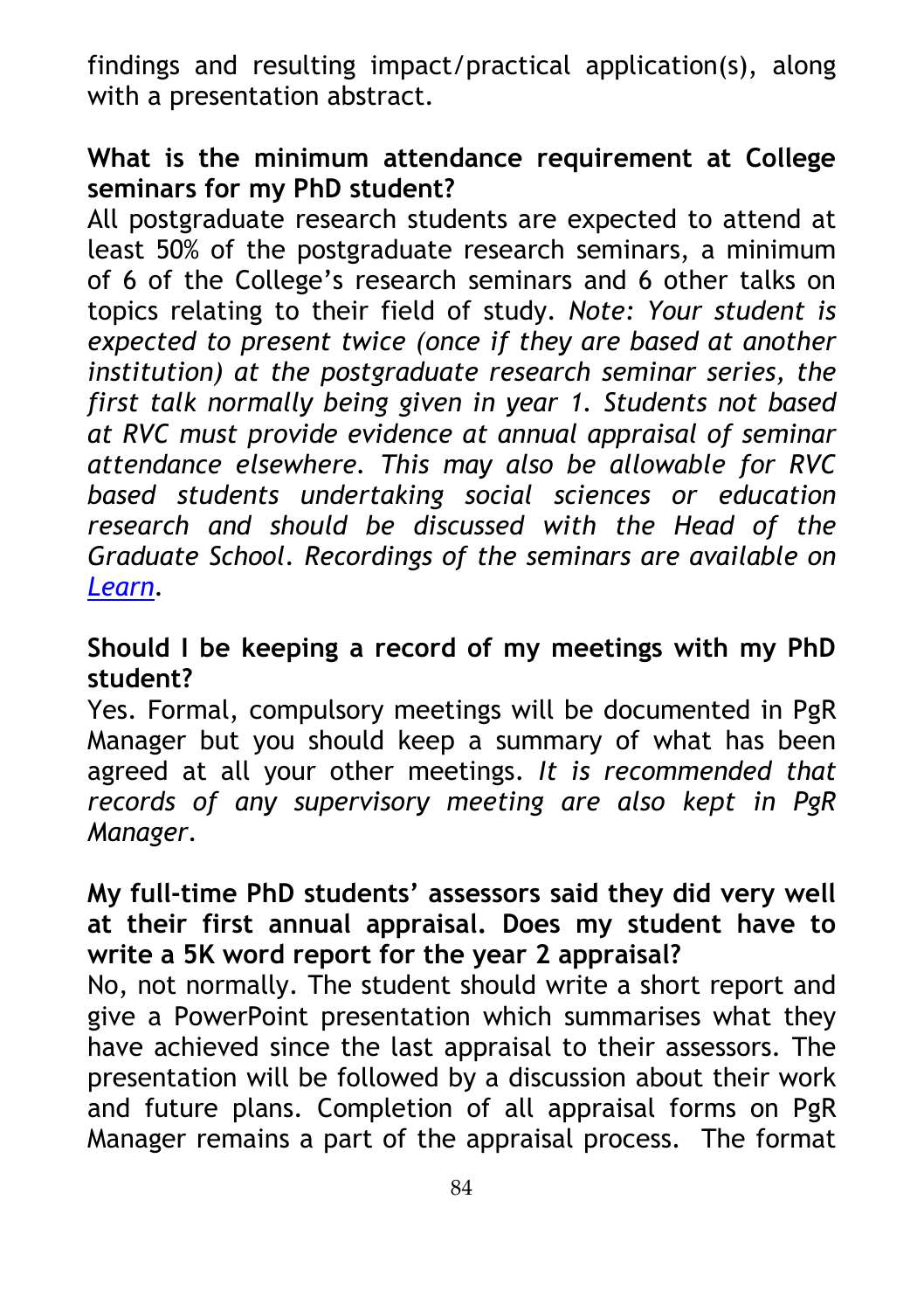findings and resulting impact/practical application(s), along with a presentation abstract.

### **What is the minimum attendance requirement at College seminars for my PhD student?**

All postgraduate research students are expected to attend at least 50% of the postgraduate research seminars, a minimum of 6 of the College's research seminars and 6 other talks on topics relating to their field of study. *Note: Your student is expected to present twice (once if they are based at another institution) at the postgraduate research seminar series, the first talk normally being given in year 1. Students not based at RVC must provide evidence at annual appraisal of seminar attendance elsewhere. This may also be allowable for RVC based students undertaking social sciences or education research and should be discussed with the Head of the Graduate School*. *Recordings of the seminars are available on [Learn.](https://learn.rvc.ac.uk/course/view.php?id=121)* 

#### **Should I be keeping a record of my meetings with my PhD student?**

Yes. Formal, compulsory meetings will be documented in PgR Manager but you should keep a summary of what has been agreed at all your other meetings. *It is recommended that records of any supervisory meeting are also kept in PgR Manager.*

### **My full-time PhD students' assessors said they did very well at their first annual appraisal. Does my student have to write a 5K word report for the year 2 appraisal?**

No, not normally. The student should write a short report and give a PowerPoint presentation which summarises what they have achieved since the last appraisal to their assessors. The presentation will be followed by a discussion about their work and future plans. Completion of all appraisal forms on PgR Manager remains a part of the appraisal process. The format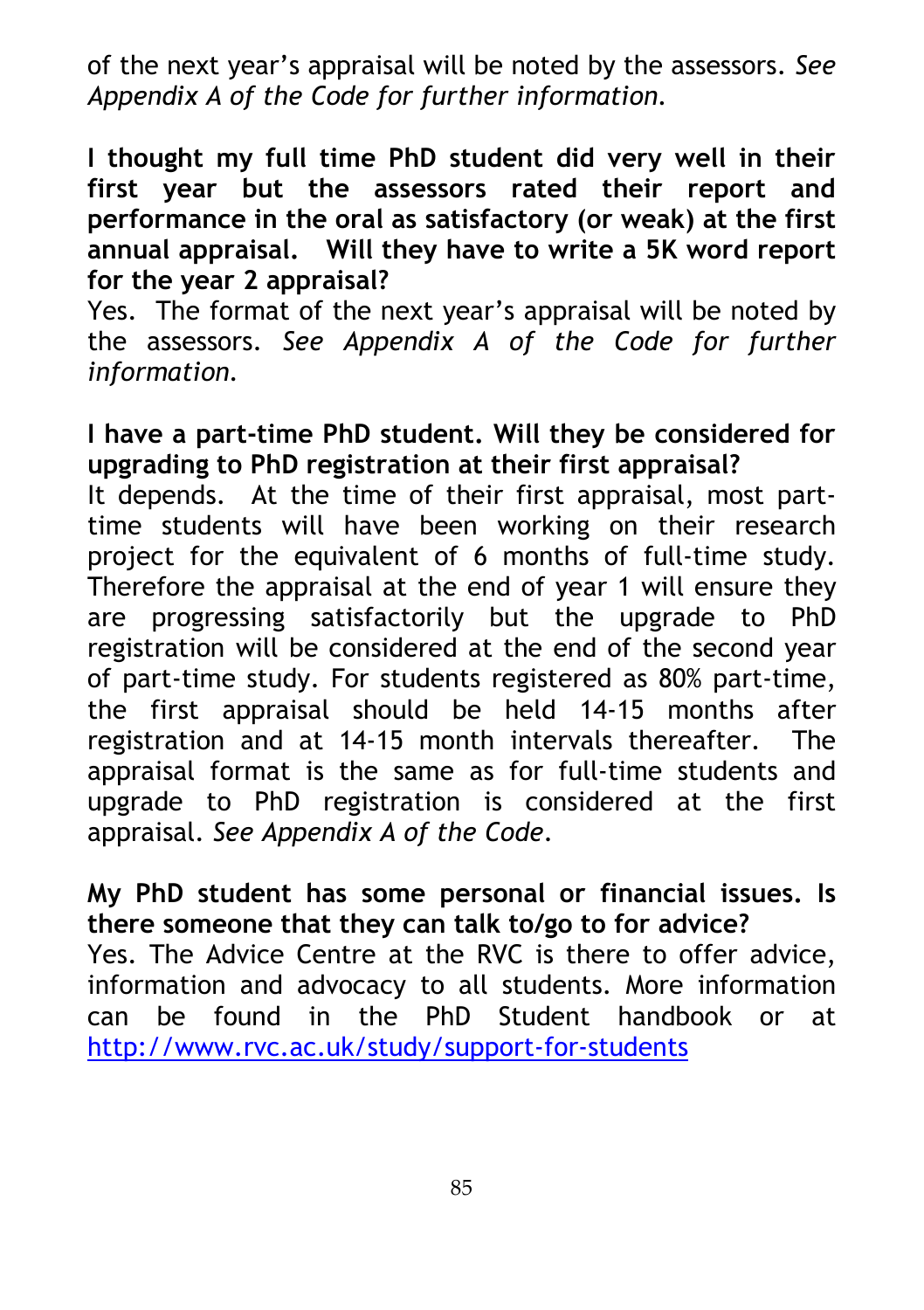of the next year's appraisal will be noted by the assessors. *See Appendix A of the Code for further information.*

**I thought my full time PhD student did very well in their first year but the assessors rated their report and performance in the oral as satisfactory (or weak) at the first annual appraisal. Will they have to write a 5K word report for the year 2 appraisal?** 

Yes. The format of the next year's appraisal will be noted by the assessors. *See Appendix A of the Code for further information.*

### **I have a part-time PhD student. Will they be considered for upgrading to PhD registration at their first appraisal?**

It depends. At the time of their first appraisal, most parttime students will have been working on their research project for the equivalent of 6 months of full-time study. Therefore the appraisal at the end of year 1 will ensure they are progressing satisfactorily but the upgrade to PhD registration will be considered at the end of the second year of part-time study. For students registered as 80% part-time, the first appraisal should be held 14-15 months after registration and at 14-15 month intervals thereafter. The appraisal format is the same as for full-time students and upgrade to PhD registration is considered at the first appraisal. *See Appendix A of the Code*.

### **My PhD student has some personal or financial issues. Is there someone that they can talk to/go to for advice?** Yes. The Advice Centre at the RVC is there to offer advice, information and advocacy to all students. More information can be found in the PhD Student handbook or at <http://www.rvc.ac.uk/study/support-for-students>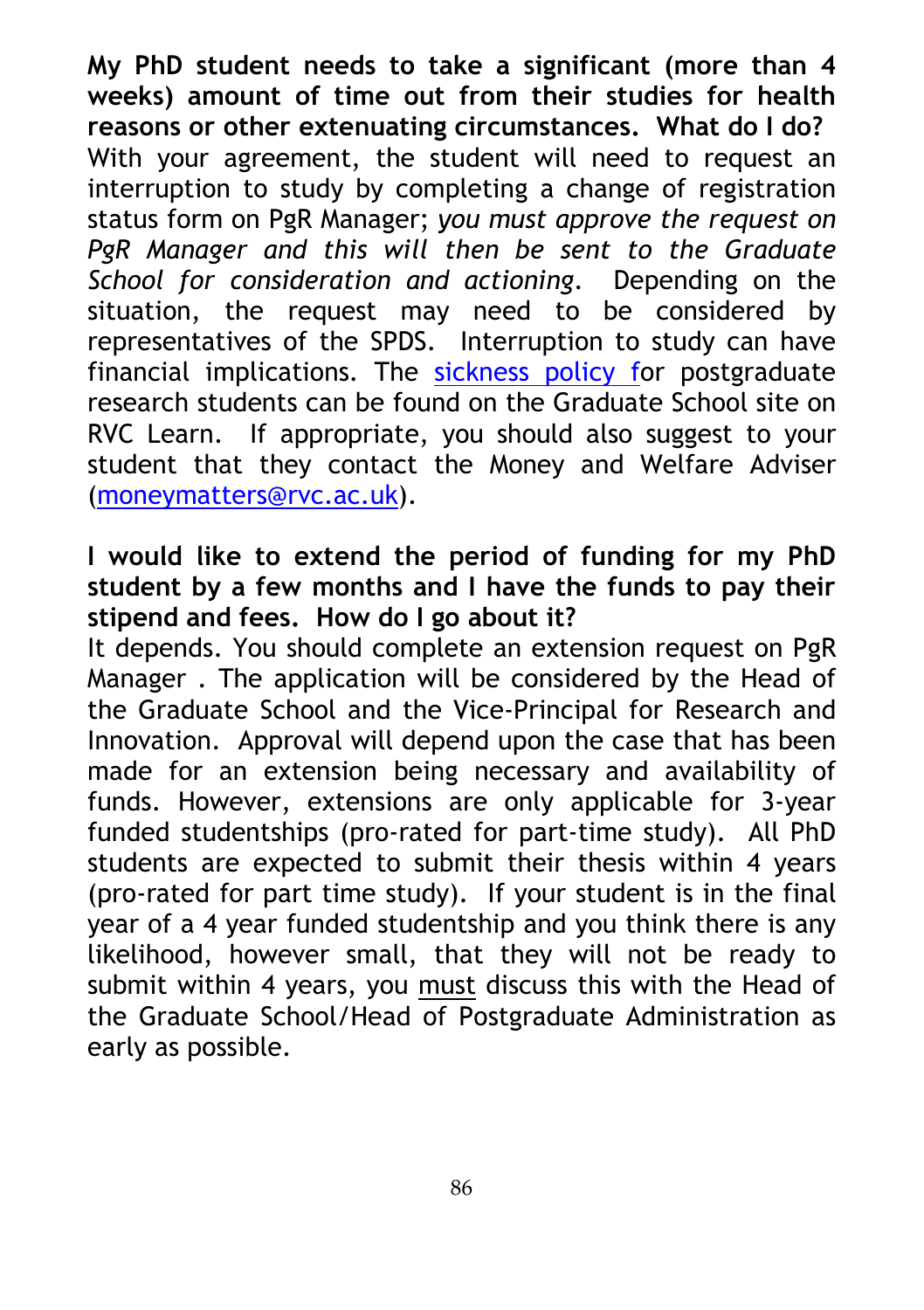**My PhD student needs to take a significant (more than 4 weeks) amount of time out from their studies for health reasons or other extenuating circumstances. What do I do?** With your agreement, the student will need to request an interruption to study by completing a change of registration status form on PgR Manager; *you must approve the request on PgR Manager and this will then be sent to the Graduate School for consideration and actioning*. Depending on the situation, the request may need to be considered by representatives of the SPDS. Interruption to study can have financial implications. The sickness policy for postgraduate research students can be found on the Graduate School site on RVC Learn. If appropriate, you should also suggest to your student that they contact the Money and Welfare Adviser [\(moneymatters@rvc.ac.uk\)](mailto:moneymatters@rvc.ac.uk).

### **I would like to extend the period of funding for my PhD student by a few months and I have the funds to pay their stipend and fees. How do I go about it?**

It depends. You should complete an extension request on PgR Manager . The application will be considered by the Head of the Graduate School and the Vice-Principal for Research and Innovation. Approval will depend upon the case that has been made for an extension being necessary and availability of funds. However, extensions are only applicable for 3-year funded studentships (pro-rated for part-time study). All PhD students are expected to submit their thesis within 4 years (pro-rated for part time study). If your student is in the final year of a 4 year funded studentship and you think there is any likelihood, however small, that they will not be ready to submit within 4 years, you must discuss this with the Head of the Graduate School/Head of Postgraduate Administration as early as possible.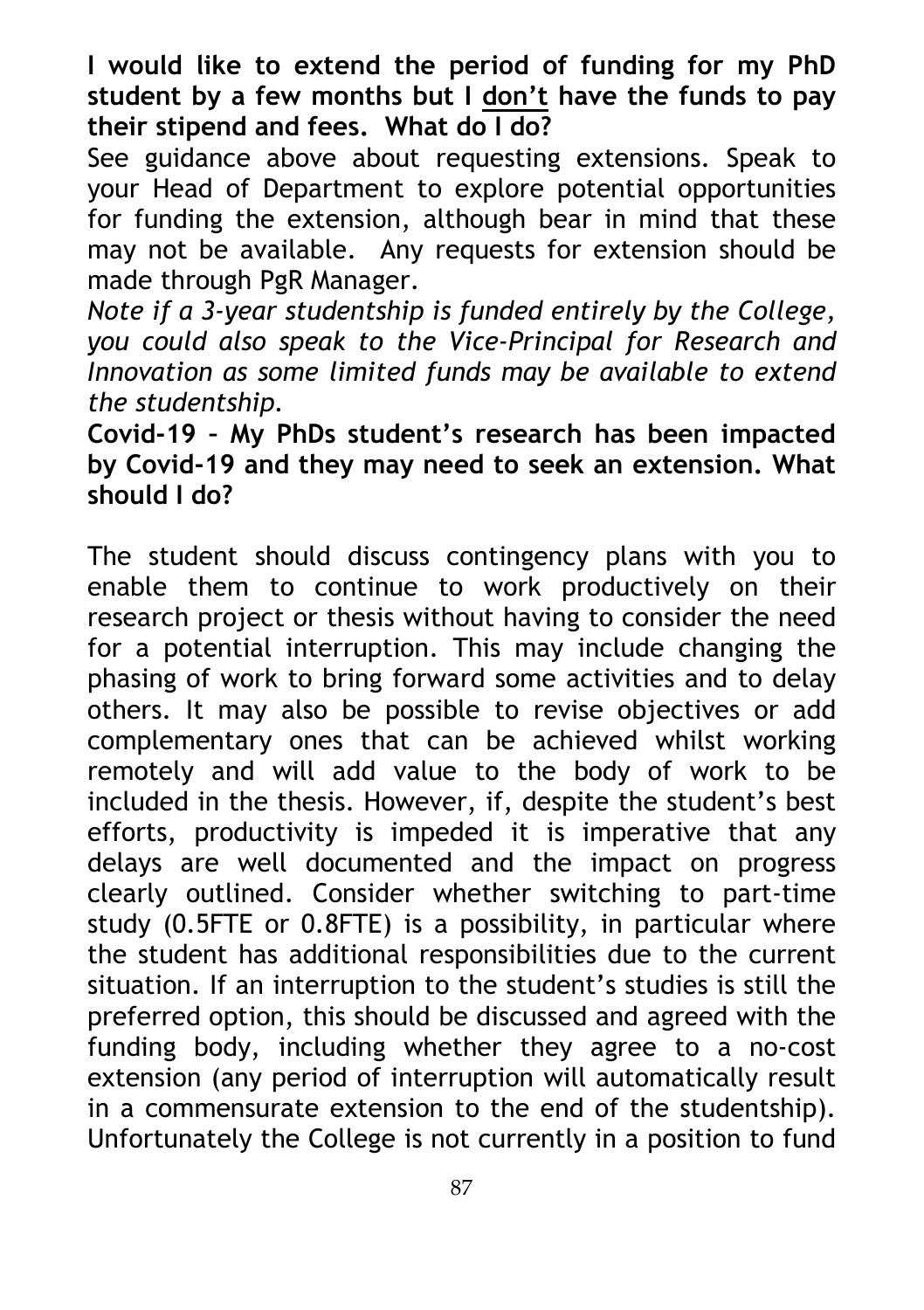**I would like to extend the period of funding for my PhD student by a few months but I don't have the funds to pay their stipend and fees. What do I do?**

See guidance above about requesting extensions. Speak to your Head of Department to explore potential opportunities for funding the extension, although bear in mind that these may not be available. Any requests for extension should be made through PgR Manager.

*Note if a 3-year studentship is funded entirely by the College, you could also speak to the Vice-Principal for Research and Innovation as some limited funds may be available to extend the studentship.* 

**Covid-19 – My PhDs student's research has been impacted by Covid-19 and they may need to seek an extension. What should I do?**

The student should discuss contingency plans with you to enable them to continue to work productively on their research project or thesis without having to consider the need for a potential interruption. This may include changing the phasing of work to bring forward some activities and to delay others. It may also be possible to revise objectives or add complementary ones that can be achieved whilst working remotely and will add value to the body of work to be included in the thesis. However, if, despite the student's best efforts, productivity is impeded it is imperative that any delays are well documented and the impact on progress clearly outlined. Consider whether switching to part-time study (0.5FTE or 0.8FTE) is a possibility, in particular where the student has additional responsibilities due to the current situation. If an interruption to the student's studies is still the preferred option, this should be discussed and agreed with the funding body, including whether they agree to a no-cost extension (any period of interruption will automatically result in a commensurate extension to the end of the studentship). Unfortunately the College is not currently in a position to fund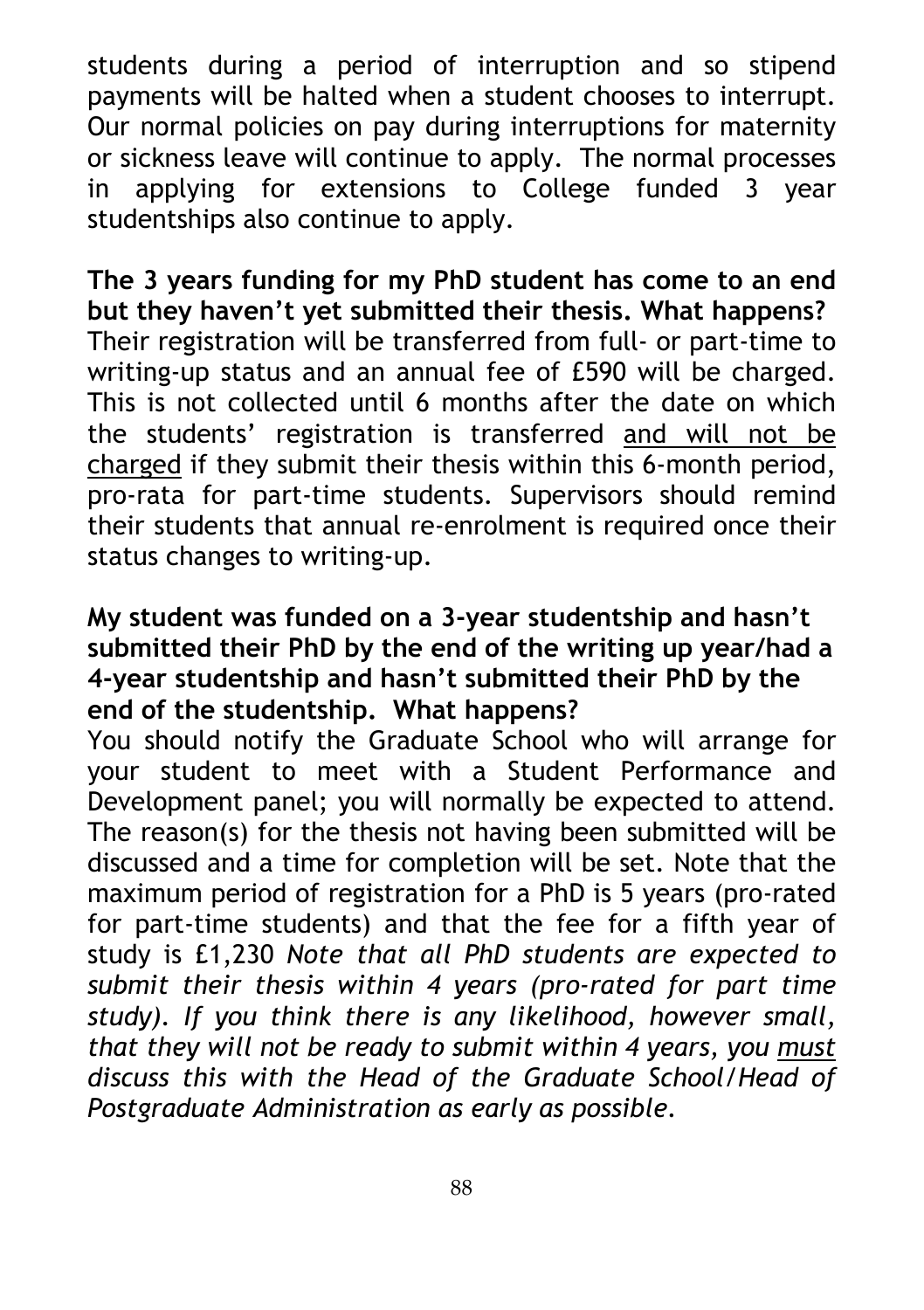students during a period of interruption and so stipend payments will be halted when a student chooses to interrupt. Our normal policies on pay during interruptions for maternity or sickness leave will continue to apply. The normal processes in applying for extensions to College funded 3 year studentships also continue to apply.

**The 3 years funding for my PhD student has come to an end but they haven't yet submitted their thesis. What happens?** Their registration will be transferred from full- or part-time to writing-up status and an annual fee of £590 will be charged. This is not collected until 6 months after the date on which the students' registration is transferred and will not be charged if they submit their thesis within this 6-month period, pro-rata for part-time students. Supervisors should remind their students that annual re-enrolment is required once their status changes to writing-up.

### **My student was funded on a 3-year studentship and hasn't submitted their PhD by the end of the writing up year/had a 4-year studentship and hasn't submitted their PhD by the end of the studentship. What happens?**

You should notify the Graduate School who will arrange for your student to meet with a Student Performance and Development panel; you will normally be expected to attend. The reason(s) for the thesis not having been submitted will be discussed and a time for completion will be set. Note that the maximum period of registration for a PhD is 5 years (pro-rated for part-time students) and that the fee for a fifth year of study is £1,230 *Note that all PhD students are expected to submit their thesis within 4 years (pro-rated for part time study). If you think there is any likelihood, however small, that they will not be ready to submit within 4 years, you must discuss this with the Head of the Graduate School/Head of Postgraduate Administration as early as possible.*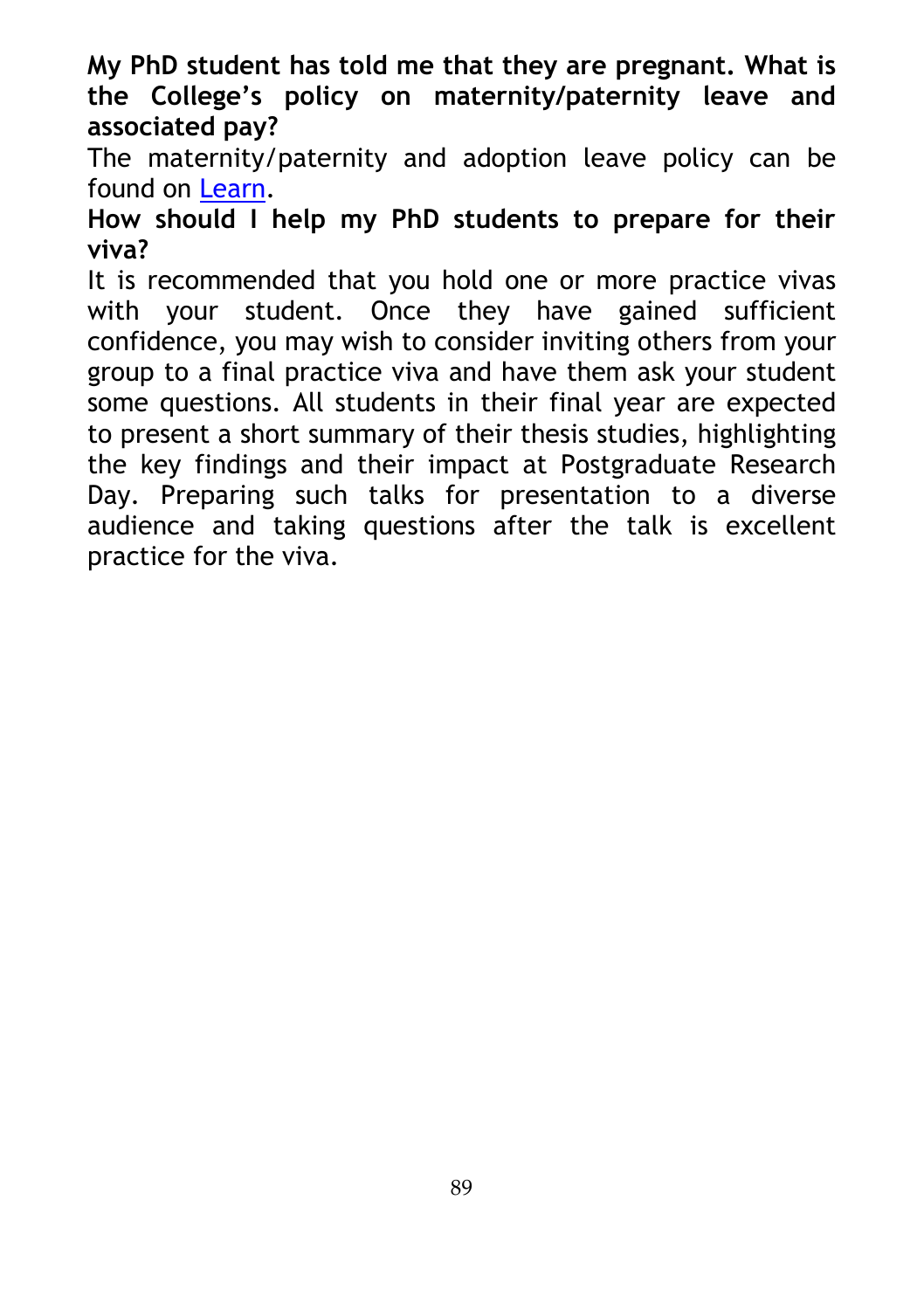**My PhD student has told me that they are pregnant. What is the College's policy on maternity/paternity leave and associated pay?**

The maternity/paternity and adoption leave policy can be found on Learn.

**How should I help my PhD students to prepare for their viva?**

It is recommended that you hold one or more practice vivas with your student. Once they have gained sufficient confidence, you may wish to consider inviting others from your group to a final practice viva and have them ask your student some questions. All students in their final year are expected to present a short summary of their thesis studies, highlighting the key findings and their impact at Postgraduate Research Day. Preparing such talks for presentation to a diverse audience and taking questions after the talk is excellent practice for the viva.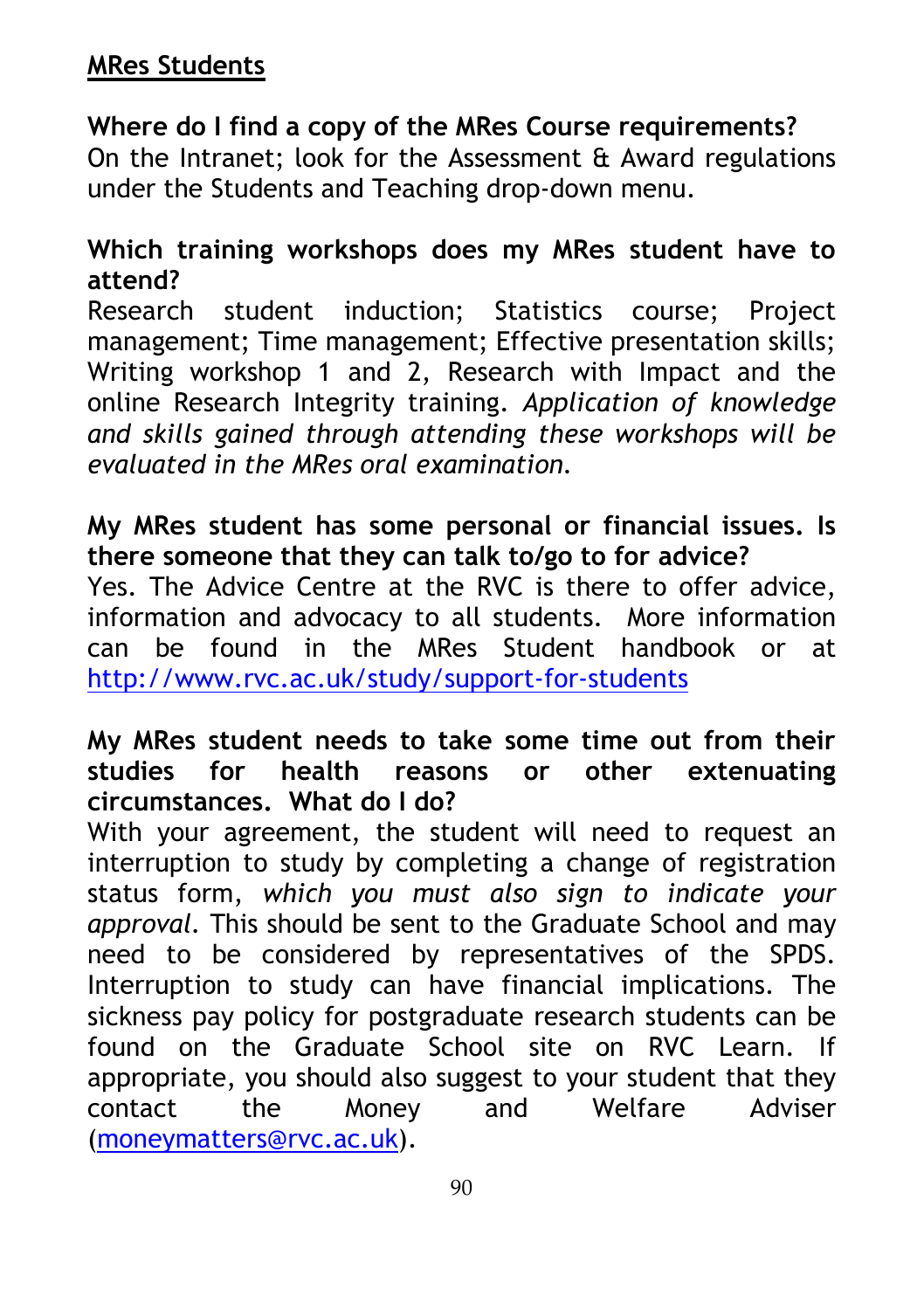# **MRes Students**

# **Where do I find a copy of the MRes Course requirements?**

On the Intranet; look for the Assessment & Award regulations under the Students and Teaching drop-down menu.

#### **Which training workshops does my MRes student have to attend?**

Research student induction; Statistics course; Project management; Time management; Effective presentation skills; Writing workshop 1 and 2, Research with Impact and the online Research Integrity training. *Application of knowledge and skills gained through attending these workshops will be evaluated in the MRes oral examination.*

### **My MRes student has some personal or financial issues. Is there someone that they can talk to/go to for advice?**

Yes. The Advice Centre at the RVC is there to offer advice, information and advocacy to all students. More information can be found in the MRes Student handbook or at <http://www.rvc.ac.uk/study/support-for-students>

#### **My MRes student needs to take some time out from their studies for health reasons or other extenuating circumstances. What do I do?**

With your agreement, the student will need to request an interruption to study by completing a change of registration status form, *which you must also sign to indicate your approval.* This should be sent to the Graduate School and may need to be considered by representatives of the SPDS. Interruption to study can have financial implications. The sickness pay policy for postgraduate research students can be found on the Graduate School site on RVC Learn. If appropriate, you should also suggest to your student that they contact the Money and Welfare Adviser [\(moneymatters@rvc.ac.uk\)](mailto:moneymatters@rvc.ac.uk).